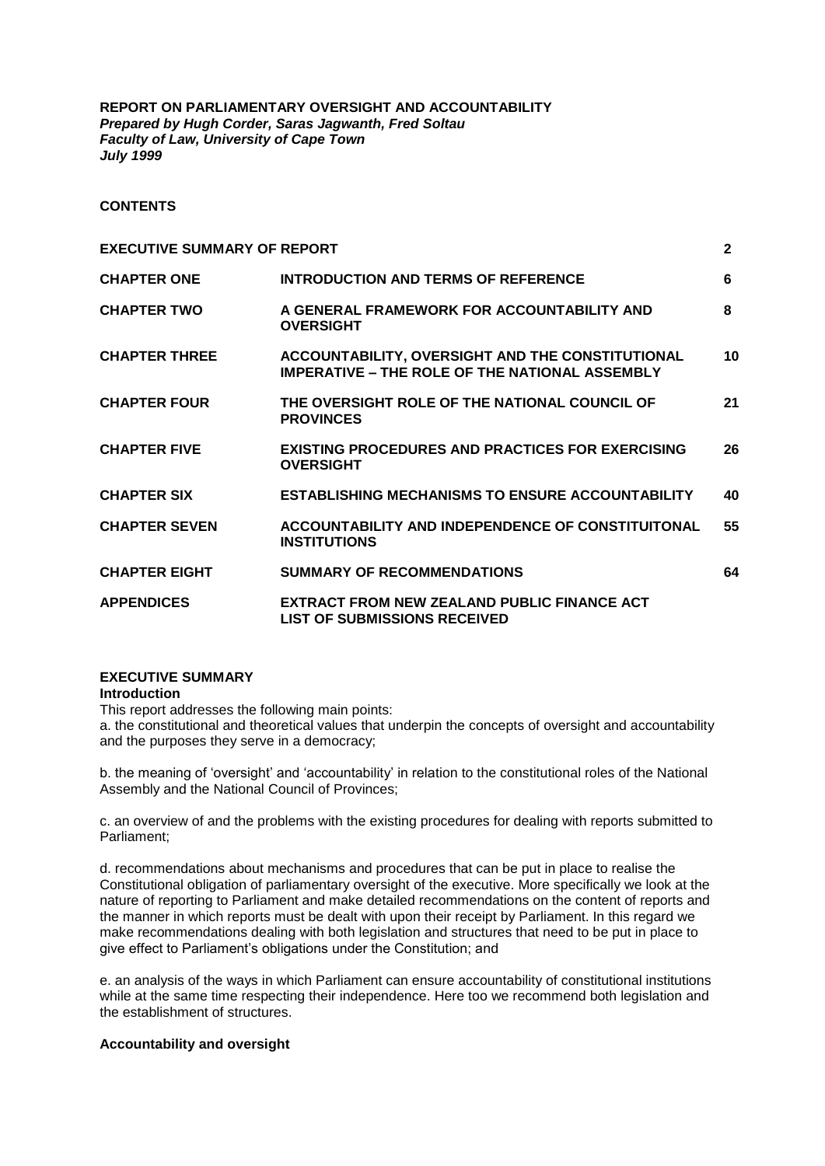**REPORT ON PARLIAMENTARY OVERSIGHT AND ACCOUNTABILITY** *Prepared by Hugh Corder, Saras Jagwanth, Fred Soltau Faculty of Law, University of Cape Town July 1999*

## **CONTENTS**

| <b>EXECUTIVE SUMMARY OF REPORT</b> |                                                                                                           | $\mathbf{2}$ |
|------------------------------------|-----------------------------------------------------------------------------------------------------------|--------------|
| <b>CHAPTER ONE</b>                 | <b>INTRODUCTION AND TERMS OF REFERENCE</b>                                                                | 6            |
| <b>CHAPTER TWO</b>                 | A GENERAL FRAMEWORK FOR ACCOUNTABILITY AND<br><b>OVERSIGHT</b>                                            | 8            |
| <b>CHAPTER THREE</b>               | ACCOUNTABILITY, OVERSIGHT AND THE CONSTITUTIONAL<br><b>IMPERATIVE – THE ROLE OF THE NATIONAL ASSEMBLY</b> | 10           |
| <b>CHAPTER FOUR</b>                | THE OVERSIGHT ROLE OF THE NATIONAL COUNCIL OF<br><b>PROVINCES</b>                                         | 21           |
| <b>CHAPTER FIVE</b>                | <b>EXISTING PROCEDURES AND PRACTICES FOR EXERCISING</b><br><b>OVERSIGHT</b>                               | 26           |
| <b>CHAPTER SIX</b>                 | <b>ESTABLISHING MECHANISMS TO ENSURE ACCOUNTABILITY</b>                                                   | 40           |
| <b>CHAPTER SEVEN</b>               | ACCOUNTABILITY AND INDEPENDENCE OF CONSTITUITONAL<br><b>INSTITUTIONS</b>                                  | 55           |
| <b>CHAPTER EIGHT</b>               | <b>SUMMARY OF RECOMMENDATIONS</b>                                                                         | 64           |
| <b>APPENDICES</b>                  | <b>EXTRACT FROM NEW ZEALAND PUBLIC FINANCE ACT</b><br><b>LIST OF SUBMISSIONS RECEIVED</b>                 |              |

## **EXECUTIVE SUMMARY**

## **Introduction**

This report addresses the following main points:

a. the constitutional and theoretical values that underpin the concepts of oversight and accountability and the purposes they serve in a democracy;

b. the meaning of 'oversight' and 'accountability' in relation to the constitutional roles of the National Assembly and the National Council of Provinces;

c. an overview of and the problems with the existing procedures for dealing with reports submitted to Parliament;

d. recommendations about mechanisms and procedures that can be put in place to realise the Constitutional obligation of parliamentary oversight of the executive. More specifically we look at the nature of reporting to Parliament and make detailed recommendations on the content of reports and the manner in which reports must be dealt with upon their receipt by Parliament. In this regard we make recommendations dealing with both legislation and structures that need to be put in place to give effect to Parliament's obligations under the Constitution; and

e. an analysis of the ways in which Parliament can ensure accountability of constitutional institutions while at the same time respecting their independence. Here too we recommend both legislation and the establishment of structures.

## **Accountability and oversight**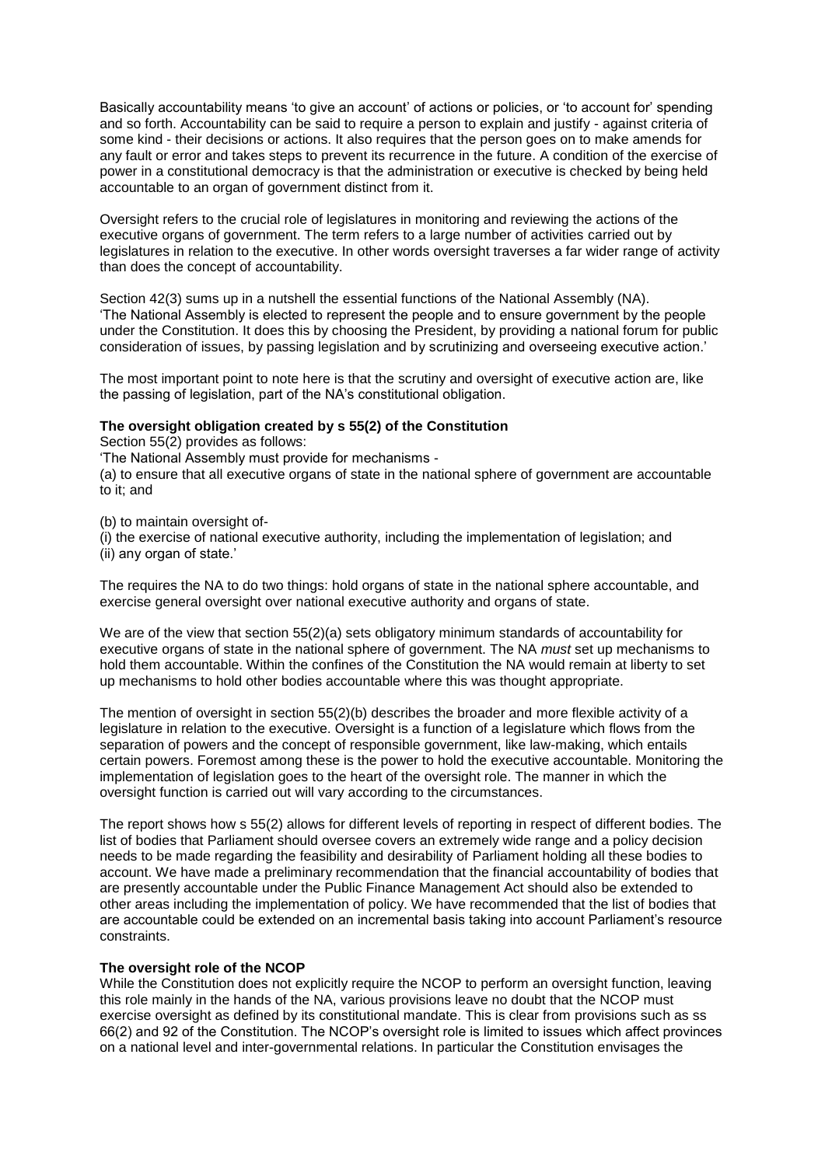Basically accountability means 'to give an account' of actions or policies, or 'to account for' spending and so forth. Accountability can be said to require a person to explain and justify - against criteria of some kind - their decisions or actions. It also requires that the person goes on to make amends for any fault or error and takes steps to prevent its recurrence in the future. A condition of the exercise of power in a constitutional democracy is that the administration or executive is checked by being held accountable to an organ of government distinct from it.

Oversight refers to the crucial role of legislatures in monitoring and reviewing the actions of the executive organs of government. The term refers to a large number of activities carried out by legislatures in relation to the executive. In other words oversight traverses a far wider range of activity than does the concept of accountability.

Section 42(3) sums up in a nutshell the essential functions of the National Assembly (NA). 'The National Assembly is elected to represent the people and to ensure government by the people under the Constitution. It does this by choosing the President, by providing a national forum for public consideration of issues, by passing legislation and by scrutinizing and overseeing executive action.'

The most important point to note here is that the scrutiny and oversight of executive action are, like the passing of legislation, part of the NA's constitutional obligation.

## **The oversight obligation created by s 55(2) of the Constitution**

Section 55(2) provides as follows:

'The National Assembly must provide for mechanisms -

(a) to ensure that all executive organs of state in the national sphere of government are accountable to it; and

(b) to maintain oversight of-

(i) the exercise of national executive authority, including the implementation of legislation; and (ii) any organ of state.'

The requires the NA to do two things: hold organs of state in the national sphere accountable, and exercise general oversight over national executive authority and organs of state.

We are of the view that section 55(2)(a) sets obligatory minimum standards of accountability for executive organs of state in the national sphere of government. The NA *must* set up mechanisms to hold them accountable. Within the confines of the Constitution the NA would remain at liberty to set up mechanisms to hold other bodies accountable where this was thought appropriate.

The mention of oversight in section 55(2)(b) describes the broader and more flexible activity of a legislature in relation to the executive. Oversight is a function of a legislature which flows from the separation of powers and the concept of responsible government, like law-making, which entails certain powers. Foremost among these is the power to hold the executive accountable. Monitoring the implementation of legislation goes to the heart of the oversight role. The manner in which the oversight function is carried out will vary according to the circumstances.

The report shows how s 55(2) allows for different levels of reporting in respect of different bodies. The list of bodies that Parliament should oversee covers an extremely wide range and a policy decision needs to be made regarding the feasibility and desirability of Parliament holding all these bodies to account. We have made a preliminary recommendation that the financial accountability of bodies that are presently accountable under the Public Finance Management Act should also be extended to other areas including the implementation of policy. We have recommended that the list of bodies that are accountable could be extended on an incremental basis taking into account Parliament's resource constraints.

## **The oversight role of the NCOP**

While the Constitution does not explicitly require the NCOP to perform an oversight function, leaving this role mainly in the hands of the NA, various provisions leave no doubt that the NCOP must exercise oversight as defined by its constitutional mandate. This is clear from provisions such as ss 66(2) and 92 of the Constitution. The NCOP's oversight role is limited to issues which affect provinces on a national level and inter-governmental relations. In particular the Constitution envisages the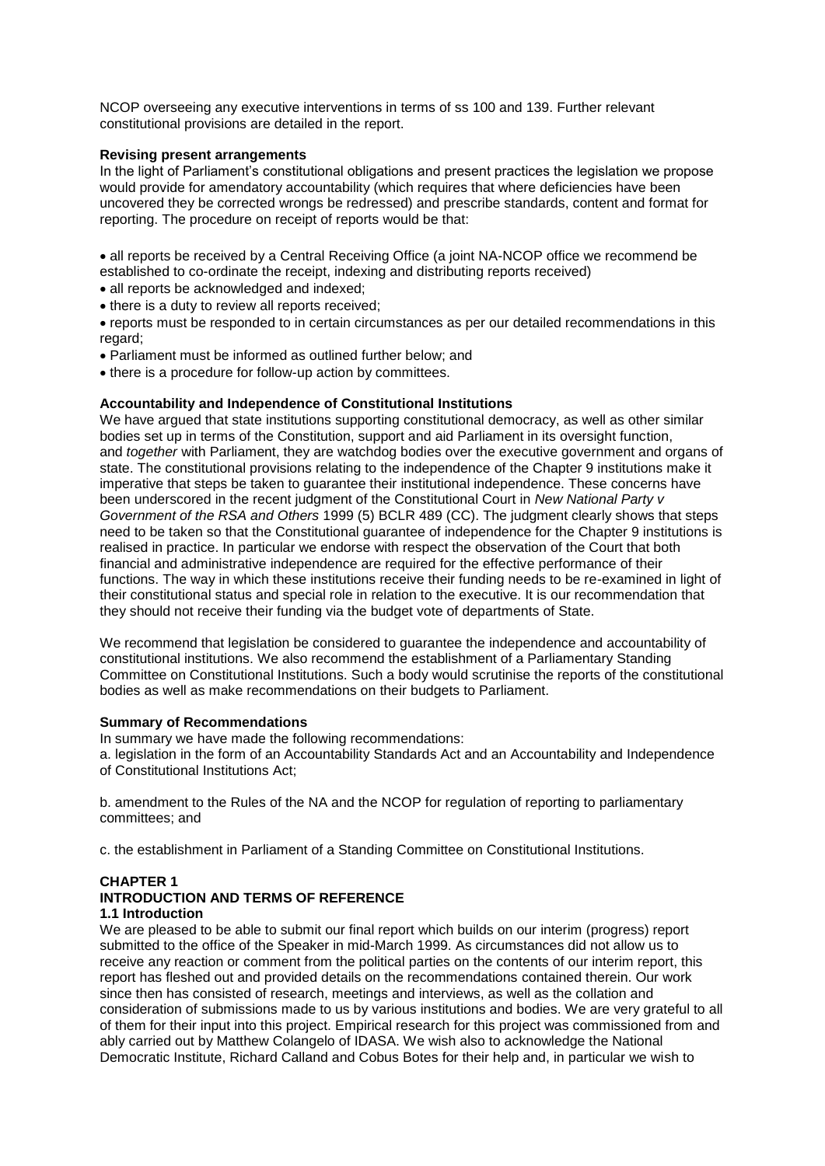NCOP overseeing any executive interventions in terms of ss 100 and 139. Further relevant constitutional provisions are detailed in the report.

## **Revising present arrangements**

In the light of Parliament's constitutional obligations and present practices the legislation we propose would provide for amendatory accountability (which requires that where deficiencies have been uncovered they be corrected wrongs be redressed) and prescribe standards, content and format for reporting. The procedure on receipt of reports would be that:

 all reports be received by a Central Receiving Office (a joint NA-NCOP office we recommend be established to co-ordinate the receipt, indexing and distributing reports received)

- all reports be acknowledged and indexed;
- there is a duty to review all reports received;
- reports must be responded to in certain circumstances as per our detailed recommendations in this regard;
- Parliament must be informed as outlined further below; and
- there is a procedure for follow-up action by committees.

## **Accountability and Independence of Constitutional Institutions**

We have argued that state institutions supporting constitutional democracy, as well as other similar bodies set up in terms of the Constitution, support and aid Parliament in its oversight function, and *together* with Parliament, they are watchdog bodies over the executive government and organs of state. The constitutional provisions relating to the independence of the Chapter 9 institutions make it imperative that steps be taken to guarantee their institutional independence. These concerns have been underscored in the recent judgment of the Constitutional Court in *New National Party v Government of the RSA and Others* 1999 (5) BCLR 489 (CC). The judgment clearly shows that steps need to be taken so that the Constitutional guarantee of independence for the Chapter 9 institutions is realised in practice. In particular we endorse with respect the observation of the Court that both financial and administrative independence are required for the effective performance of their functions. The way in which these institutions receive their funding needs to be re-examined in light of their constitutional status and special role in relation to the executive. It is our recommendation that they should not receive their funding via the budget vote of departments of State.

We recommend that legislation be considered to guarantee the independence and accountability of constitutional institutions. We also recommend the establishment of a Parliamentary Standing Committee on Constitutional Institutions. Such a body would scrutinise the reports of the constitutional bodies as well as make recommendations on their budgets to Parliament.

## **Summary of Recommendations**

In summary we have made the following recommendations:

a. legislation in the form of an Accountability Standards Act and an Accountability and Independence of Constitutional Institutions Act;

b. amendment to the Rules of the NA and the NCOP for regulation of reporting to parliamentary committees; and

c. the establishment in Parliament of a Standing Committee on Constitutional Institutions.

# **CHAPTER 1**

#### **INTRODUCTION AND TERMS OF REFERENCE 1.1 Introduction**

We are pleased to be able to submit our final report which builds on our interim (progress) report submitted to the office of the Speaker in mid-March 1999. As circumstances did not allow us to receive any reaction or comment from the political parties on the contents of our interim report, this report has fleshed out and provided details on the recommendations contained therein. Our work since then has consisted of research, meetings and interviews, as well as the collation and consideration of submissions made to us by various institutions and bodies. We are very grateful to all of them for their input into this project. Empirical research for this project was commissioned from and ably carried out by Matthew Colangelo of IDASA. We wish also to acknowledge the National Democratic Institute, Richard Calland and Cobus Botes for their help and, in particular we wish to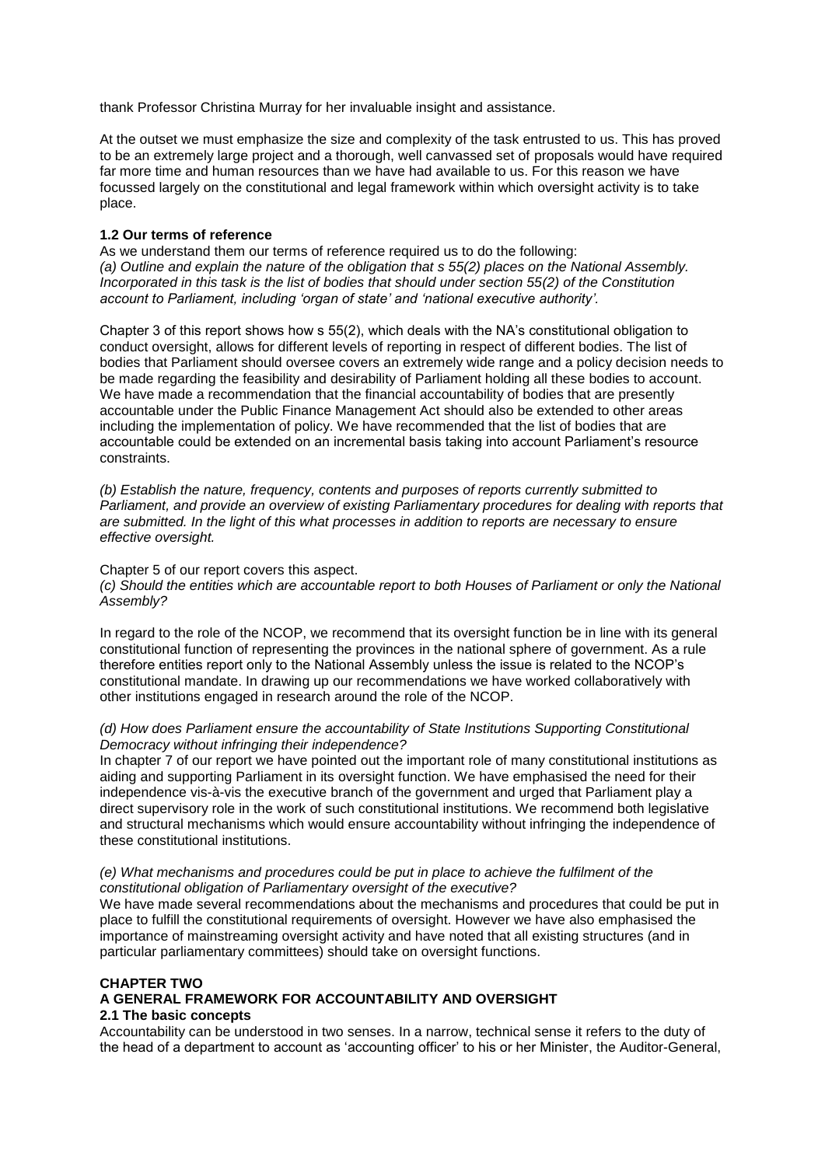thank Professor Christina Murray for her invaluable insight and assistance.

At the outset we must emphasize the size and complexity of the task entrusted to us. This has proved to be an extremely large project and a thorough, well canvassed set of proposals would have required far more time and human resources than we have had available to us. For this reason we have focussed largely on the constitutional and legal framework within which oversight activity is to take place.

## **1.2 Our terms of reference**

As we understand them our terms of reference required us to do the following: *(a) Outline and explain the nature of the obligation that s 55(2) places on the National Assembly. Incorporated in this task is the list of bodies that should under section 55(2) of the Constitution account to Parliament, including 'organ of state' and 'national executive authority'.*

Chapter 3 of this report shows how s 55(2), which deals with the NA's constitutional obligation to conduct oversight, allows for different levels of reporting in respect of different bodies. The list of bodies that Parliament should oversee covers an extremely wide range and a policy decision needs to be made regarding the feasibility and desirability of Parliament holding all these bodies to account. We have made a recommendation that the financial accountability of bodies that are presently accountable under the Public Finance Management Act should also be extended to other areas including the implementation of policy. We have recommended that the list of bodies that are accountable could be extended on an incremental basis taking into account Parliament's resource constraints.

*(b) Establish the nature, frequency, contents and purposes of reports currently submitted to Parliament, and provide an overview of existing Parliamentary procedures for dealing with reports that are submitted. In the light of this what processes in addition to reports are necessary to ensure effective oversight.*

### Chapter 5 of our report covers this aspect.

*(c) Should the entities which are accountable report to both Houses of Parliament or only the National Assembly?*

In regard to the role of the NCOP, we recommend that its oversight function be in line with its general constitutional function of representing the provinces in the national sphere of government. As a rule therefore entities report only to the National Assembly unless the issue is related to the NCOP's constitutional mandate. In drawing up our recommendations we have worked collaboratively with other institutions engaged in research around the role of the NCOP.

## *(d) How does Parliament ensure the accountability of State Institutions Supporting Constitutional Democracy without infringing their independence?*

In chapter 7 of our report we have pointed out the important role of many constitutional institutions as aiding and supporting Parliament in its oversight function. We have emphasised the need for their independence vis-à-vis the executive branch of the government and urged that Parliament play a direct supervisory role in the work of such constitutional institutions. We recommend both legislative and structural mechanisms which would ensure accountability without infringing the independence of these constitutional institutions.

#### *(e) What mechanisms and procedures could be put in place to achieve the fulfilment of the constitutional obligation of Parliamentary oversight of the executive?*

We have made several recommendations about the mechanisms and procedures that could be put in place to fulfill the constitutional requirements of oversight. However we have also emphasised the importance of mainstreaming oversight activity and have noted that all existing structures (and in particular parliamentary committees) should take on oversight functions.

## **CHAPTER TWO**

## **A GENERAL FRAMEWORK FOR ACCOUNTABILITY AND OVERSIGHT**

## **2.1 The basic concepts**

Accountability can be understood in two senses. In a narrow, technical sense it refers to the duty of the head of a department to account as 'accounting officer' to his or her Minister, the Auditor-General,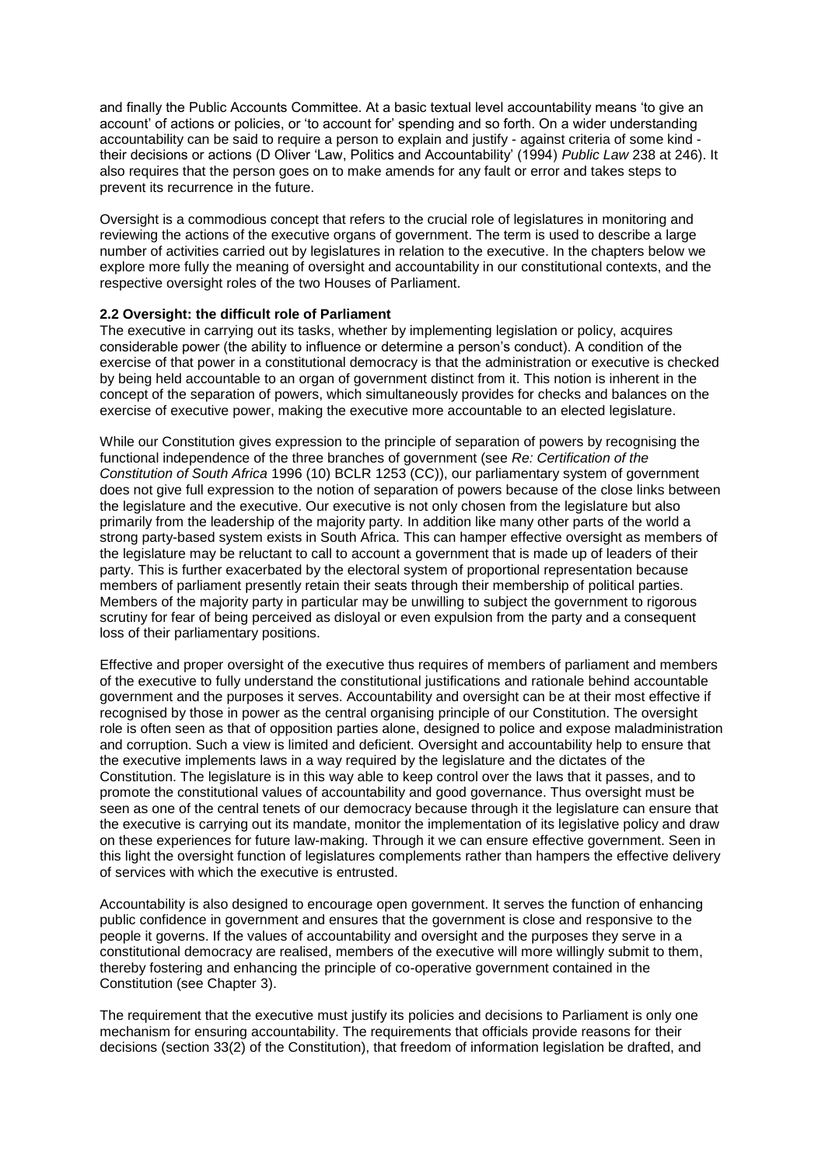and finally the Public Accounts Committee. At a basic textual level accountability means 'to give an account' of actions or policies, or 'to account for' spending and so forth. On a wider understanding accountability can be said to require a person to explain and justify - against criteria of some kind their decisions or actions (D Oliver 'Law, Politics and Accountability' (1994) *Public Law* 238 at 246). It also requires that the person goes on to make amends for any fault or error and takes steps to prevent its recurrence in the future.

Oversight is a commodious concept that refers to the crucial role of legislatures in monitoring and reviewing the actions of the executive organs of government. The term is used to describe a large number of activities carried out by legislatures in relation to the executive. In the chapters below we explore more fully the meaning of oversight and accountability in our constitutional contexts, and the respective oversight roles of the two Houses of Parliament.

## **2.2 Oversight: the difficult role of Parliament**

The executive in carrying out its tasks, whether by implementing legislation or policy, acquires considerable power (the ability to influence or determine a person's conduct). A condition of the exercise of that power in a constitutional democracy is that the administration or executive is checked by being held accountable to an organ of government distinct from it. This notion is inherent in the concept of the separation of powers, which simultaneously provides for checks and balances on the exercise of executive power, making the executive more accountable to an elected legislature.

While our Constitution gives expression to the principle of separation of powers by recognising the functional independence of the three branches of government (see *Re: Certification of the Constitution of South Africa* 1996 (10) BCLR 1253 (CC)), our parliamentary system of government does not give full expression to the notion of separation of powers because of the close links between the legislature and the executive. Our executive is not only chosen from the legislature but also primarily from the leadership of the majority party. In addition like many other parts of the world a strong party-based system exists in South Africa. This can hamper effective oversight as members of the legislature may be reluctant to call to account a government that is made up of leaders of their party. This is further exacerbated by the electoral system of proportional representation because members of parliament presently retain their seats through their membership of political parties. Members of the majority party in particular may be unwilling to subject the government to rigorous scrutiny for fear of being perceived as disloyal or even expulsion from the party and a consequent loss of their parliamentary positions.

Effective and proper oversight of the executive thus requires of members of parliament and members of the executive to fully understand the constitutional justifications and rationale behind accountable government and the purposes it serves. Accountability and oversight can be at their most effective if recognised by those in power as the central organising principle of our Constitution. The oversight role is often seen as that of opposition parties alone, designed to police and expose maladministration and corruption. Such a view is limited and deficient. Oversight and accountability help to ensure that the executive implements laws in a way required by the legislature and the dictates of the Constitution. The legislature is in this way able to keep control over the laws that it passes, and to promote the constitutional values of accountability and good governance. Thus oversight must be seen as one of the central tenets of our democracy because through it the legislature can ensure that the executive is carrying out its mandate, monitor the implementation of its legislative policy and draw on these experiences for future law-making. Through it we can ensure effective government. Seen in this light the oversight function of legislatures complements rather than hampers the effective delivery of services with which the executive is entrusted.

Accountability is also designed to encourage open government. It serves the function of enhancing public confidence in government and ensures that the government is close and responsive to the people it governs. If the values of accountability and oversight and the purposes they serve in a constitutional democracy are realised, members of the executive will more willingly submit to them, thereby fostering and enhancing the principle of co-operative government contained in the Constitution (see Chapter 3).

The requirement that the executive must justify its policies and decisions to Parliament is only one mechanism for ensuring accountability. The requirements that officials provide reasons for their decisions (section 33(2) of the Constitution), that freedom of information legislation be drafted, and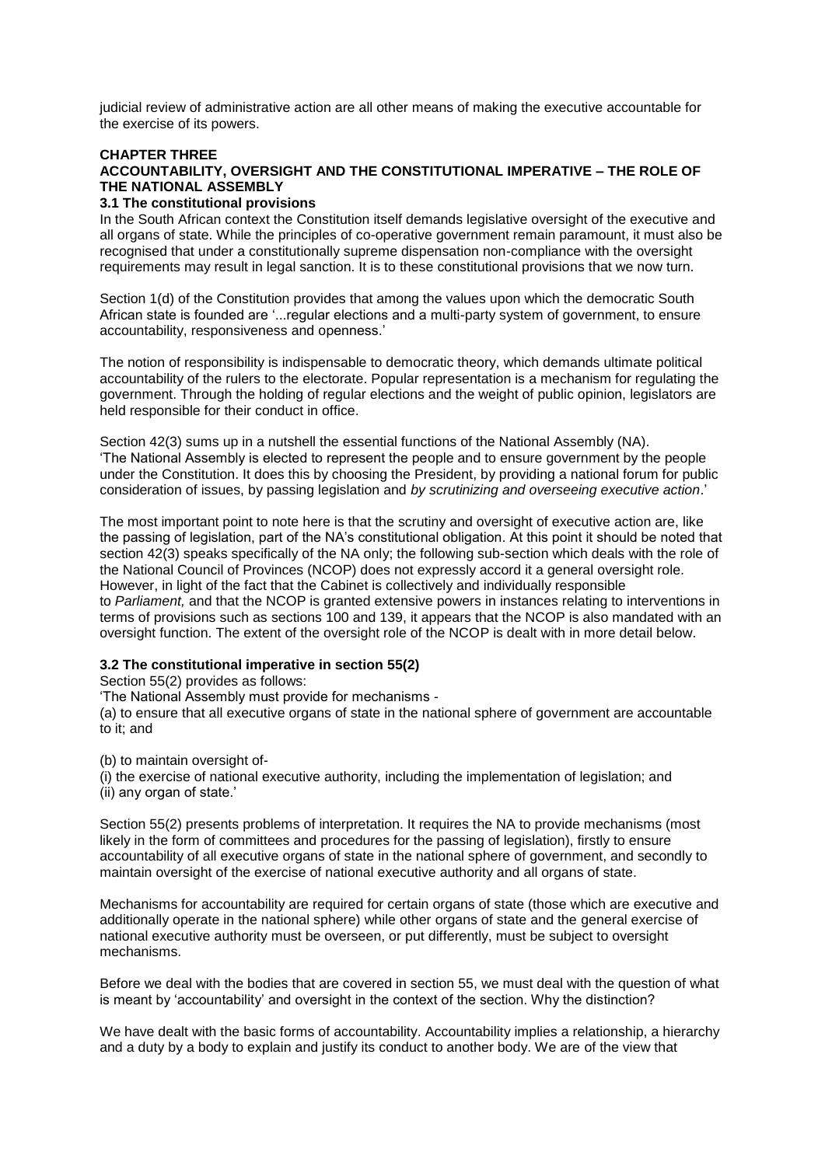judicial review of administrative action are all other means of making the executive accountable for the exercise of its powers.

## **CHAPTER THREE**

## **ACCOUNTABILITY, OVERSIGHT AND THE CONSTITUTIONAL IMPERATIVE – THE ROLE OF THE NATIONAL ASSEMBLY**

## **3.1 The constitutional provisions**

In the South African context the Constitution itself demands legislative oversight of the executive and all organs of state. While the principles of co-operative government remain paramount, it must also be recognised that under a constitutionally supreme dispensation non-compliance with the oversight requirements may result in legal sanction. It is to these constitutional provisions that we now turn.

Section 1(d) of the Constitution provides that among the values upon which the democratic South African state is founded are '...regular elections and a multi-party system of government, to ensure accountability, responsiveness and openness.'

The notion of responsibility is indispensable to democratic theory, which demands ultimate political accountability of the rulers to the electorate. Popular representation is a mechanism for regulating the government. Through the holding of regular elections and the weight of public opinion, legislators are held responsible for their conduct in office.

Section 42(3) sums up in a nutshell the essential functions of the National Assembly (NA). 'The National Assembly is elected to represent the people and to ensure government by the people under the Constitution. It does this by choosing the President, by providing a national forum for public consideration of issues, by passing legislation and *by scrutinizing and overseeing executive action*.'

The most important point to note here is that the scrutiny and oversight of executive action are, like the passing of legislation, part of the NA's constitutional obligation. At this point it should be noted that section 42(3) speaks specifically of the NA only; the following sub-section which deals with the role of the National Council of Provinces (NCOP) does not expressly accord it a general oversight role. However, in light of the fact that the Cabinet is collectively and individually responsible to *Parliament,* and that the NCOP is granted extensive powers in instances relating to interventions in terms of provisions such as sections 100 and 139, it appears that the NCOP is also mandated with an oversight function. The extent of the oversight role of the NCOP is dealt with in more detail below.

## **3.2 The constitutional imperative in section 55(2)**

Section 55(2) provides as follows:

'The National Assembly must provide for mechanisms -

(a) to ensure that all executive organs of state in the national sphere of government are accountable to it; and

(b) to maintain oversight of-

(i) the exercise of national executive authority, including the implementation of legislation; and (ii) any organ of state.'

Section 55(2) presents problems of interpretation. It requires the NA to provide mechanisms (most likely in the form of committees and procedures for the passing of legislation), firstly to ensure accountability of all executive organs of state in the national sphere of government, and secondly to maintain oversight of the exercise of national executive authority and all organs of state.

Mechanisms for accountability are required for certain organs of state (those which are executive and additionally operate in the national sphere) while other organs of state and the general exercise of national executive authority must be overseen, or put differently, must be subject to oversight mechanisms.

Before we deal with the bodies that are covered in section 55, we must deal with the question of what is meant by 'accountability' and oversight in the context of the section. Why the distinction?

We have dealt with the basic forms of accountability. Accountability implies a relationship, a hierarchy and a duty by a body to explain and justify its conduct to another body. We are of the view that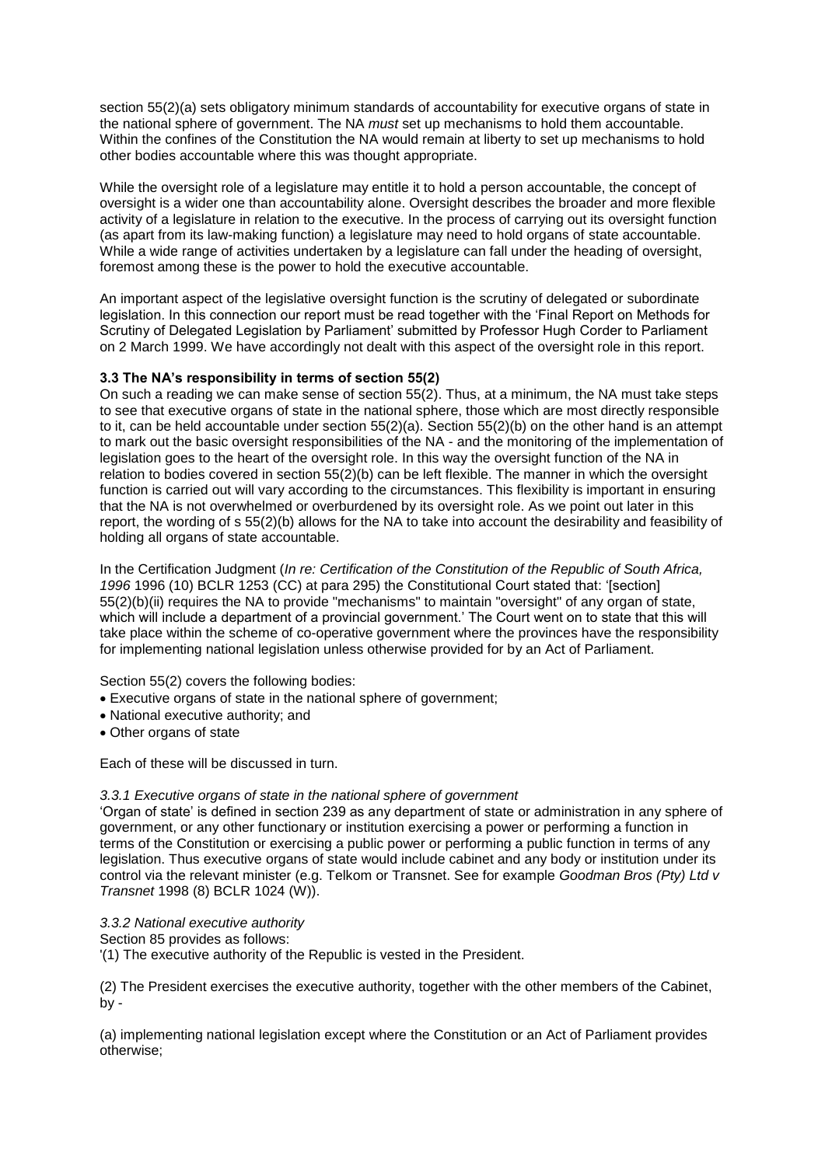section 55(2)(a) sets obligatory minimum standards of accountability for executive organs of state in the national sphere of government. The NA *must* set up mechanisms to hold them accountable. Within the confines of the Constitution the NA would remain at liberty to set up mechanisms to hold other bodies accountable where this was thought appropriate.

While the oversight role of a legislature may entitle it to hold a person accountable, the concept of oversight is a wider one than accountability alone. Oversight describes the broader and more flexible activity of a legislature in relation to the executive. In the process of carrying out its oversight function (as apart from its law-making function) a legislature may need to hold organs of state accountable. While a wide range of activities undertaken by a legislature can fall under the heading of oversight, foremost among these is the power to hold the executive accountable.

An important aspect of the legislative oversight function is the scrutiny of delegated or subordinate legislation. In this connection our report must be read together with the 'Final Report on Methods for Scrutiny of Delegated Legislation by Parliament' submitted by Professor Hugh Corder to Parliament on 2 March 1999. We have accordingly not dealt with this aspect of the oversight role in this report.

## **3.3 The NA's responsibility in terms of section 55(2)**

On such a reading we can make sense of section 55(2). Thus, at a minimum, the NA must take steps to see that executive organs of state in the national sphere, those which are most directly responsible to it, can be held accountable under section 55(2)(a). Section 55(2)(b) on the other hand is an attempt to mark out the basic oversight responsibilities of the NA - and the monitoring of the implementation of legislation goes to the heart of the oversight role. In this way the oversight function of the NA in relation to bodies covered in section 55(2)(b) can be left flexible. The manner in which the oversight function is carried out will vary according to the circumstances. This flexibility is important in ensuring that the NA is not overwhelmed or overburdened by its oversight role. As we point out later in this report, the wording of s 55(2)(b) allows for the NA to take into account the desirability and feasibility of holding all organs of state accountable.

In the Certification Judgment (*In re: Certification of the Constitution of the Republic of South Africa, 1996* 1996 (10) BCLR 1253 (CC) at para 295) the Constitutional Court stated that: '[section] 55(2)(b)(ii) requires the NA to provide "mechanisms" to maintain "oversight" of any organ of state, which will include a department of a provincial government.' The Court went on to state that this will take place within the scheme of co-operative government where the provinces have the responsibility for implementing national legislation unless otherwise provided for by an Act of Parliament.

## Section 55(2) covers the following bodies:

- Executive organs of state in the national sphere of government;
- National executive authority; and
- Other organs of state

Each of these will be discussed in turn.

#### *3.3.1 Executive organs of state in the national sphere of government*

'Organ of state' is defined in section 239 as any department of state or administration in any sphere of government, or any other functionary or institution exercising a power or performing a function in terms of the Constitution or exercising a public power or performing a public function in terms of any legislation. Thus executive organs of state would include cabinet and any body or institution under its control via the relevant minister (e.g. Telkom or Transnet. See for example *Goodman Bros (Pty) Ltd v Transnet* 1998 (8) BCLR 1024 (W)).

## *3.3.2 National executive authority*

Section 85 provides as follows:

'(1) The executive authority of the Republic is vested in the President.

(2) The President exercises the executive authority, together with the other members of the Cabinet,  $bv -$ 

(a) implementing national legislation except where the Constitution or an Act of Parliament provides otherwise;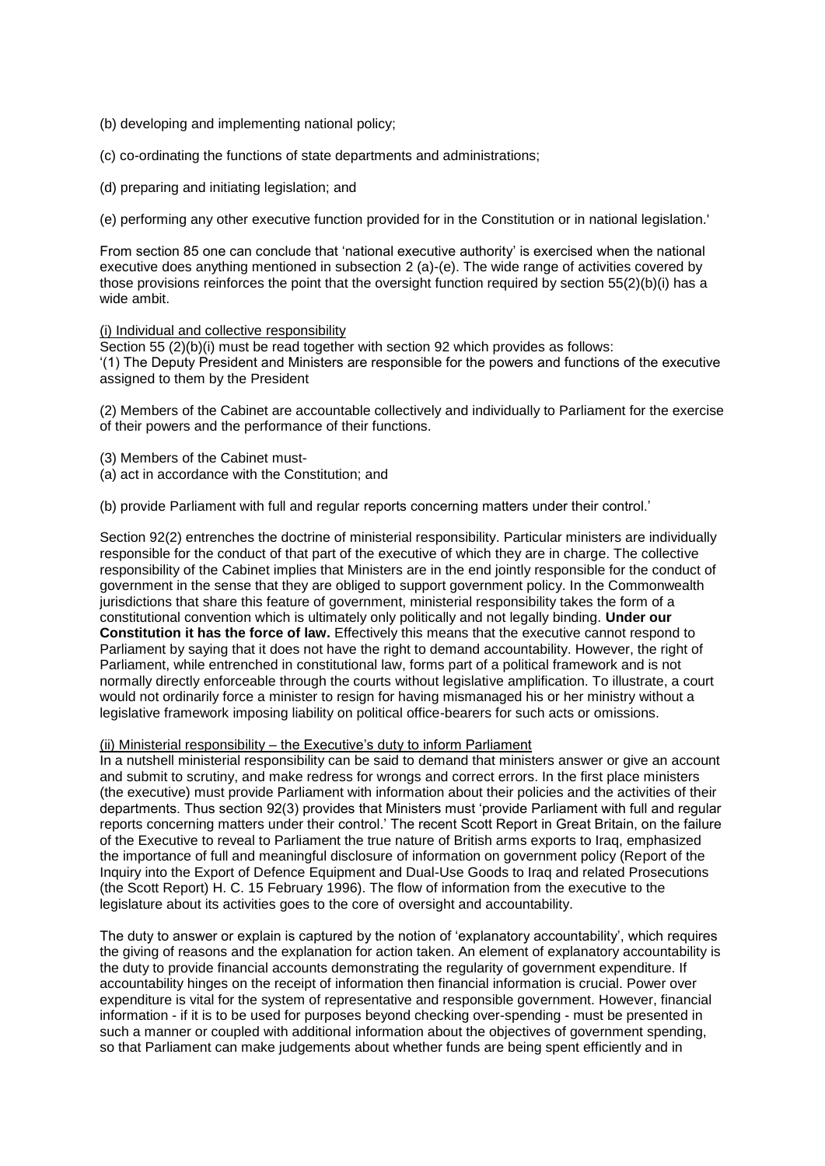- (b) developing and implementing national policy;
- (c) co-ordinating the functions of state departments and administrations;
- (d) preparing and initiating legislation; and

(e) performing any other executive function provided for in the Constitution or in national legislation.'

From section 85 one can conclude that 'national executive authority' is exercised when the national executive does anything mentioned in subsection 2 (a)-(e). The wide range of activities covered by those provisions reinforces the point that the oversight function required by section 55(2)(b)(i) has a wide ambit.

#### (i) Individual and collective responsibility

Section 55 (2)(b)(i) must be read together with section 92 which provides as follows: '(1) The Deputy President and Ministers are responsible for the powers and functions of the executive assigned to them by the President

(2) Members of the Cabinet are accountable collectively and individually to Parliament for the exercise of their powers and the performance of their functions.

- (3) Members of the Cabinet must-
- (a) act in accordance with the Constitution; and

(b) provide Parliament with full and regular reports concerning matters under their control.'

Section 92(2) entrenches the doctrine of ministerial responsibility. Particular ministers are individually responsible for the conduct of that part of the executive of which they are in charge. The collective responsibility of the Cabinet implies that Ministers are in the end jointly responsible for the conduct of government in the sense that they are obliged to support government policy. In the Commonwealth jurisdictions that share this feature of government, ministerial responsibility takes the form of a constitutional convention which is ultimately only politically and not legally binding. **Under our Constitution it has the force of law.** Effectively this means that the executive cannot respond to Parliament by saying that it does not have the right to demand accountability. However, the right of Parliament, while entrenched in constitutional law, forms part of a political framework and is not normally directly enforceable through the courts without legislative amplification. To illustrate, a court would not ordinarily force a minister to resign for having mismanaged his or her ministry without a legislative framework imposing liability on political office-bearers for such acts or omissions.

### (ii) Ministerial responsibility – the Executive's duty to inform Parliament

In a nutshell ministerial responsibility can be said to demand that ministers answer or give an account and submit to scrutiny, and make redress for wrongs and correct errors. In the first place ministers (the executive) must provide Parliament with information about their policies and the activities of their departments. Thus section 92(3) provides that Ministers must 'provide Parliament with full and regular reports concerning matters under their control.' The recent Scott Report in Great Britain, on the failure of the Executive to reveal to Parliament the true nature of British arms exports to Iraq, emphasized the importance of full and meaningful disclosure of information on government policy (Report of the Inquiry into the Export of Defence Equipment and Dual-Use Goods to Iraq and related Prosecutions (the Scott Report) H. C. 15 February 1996). The flow of information from the executive to the legislature about its activities goes to the core of oversight and accountability.

The duty to answer or explain is captured by the notion of 'explanatory accountability', which requires the giving of reasons and the explanation for action taken. An element of explanatory accountability is the duty to provide financial accounts demonstrating the regularity of government expenditure. If accountability hinges on the receipt of information then financial information is crucial. Power over expenditure is vital for the system of representative and responsible government. However, financial information - if it is to be used for purposes beyond checking over-spending - must be presented in such a manner or coupled with additional information about the objectives of government spending, so that Parliament can make judgements about whether funds are being spent efficiently and in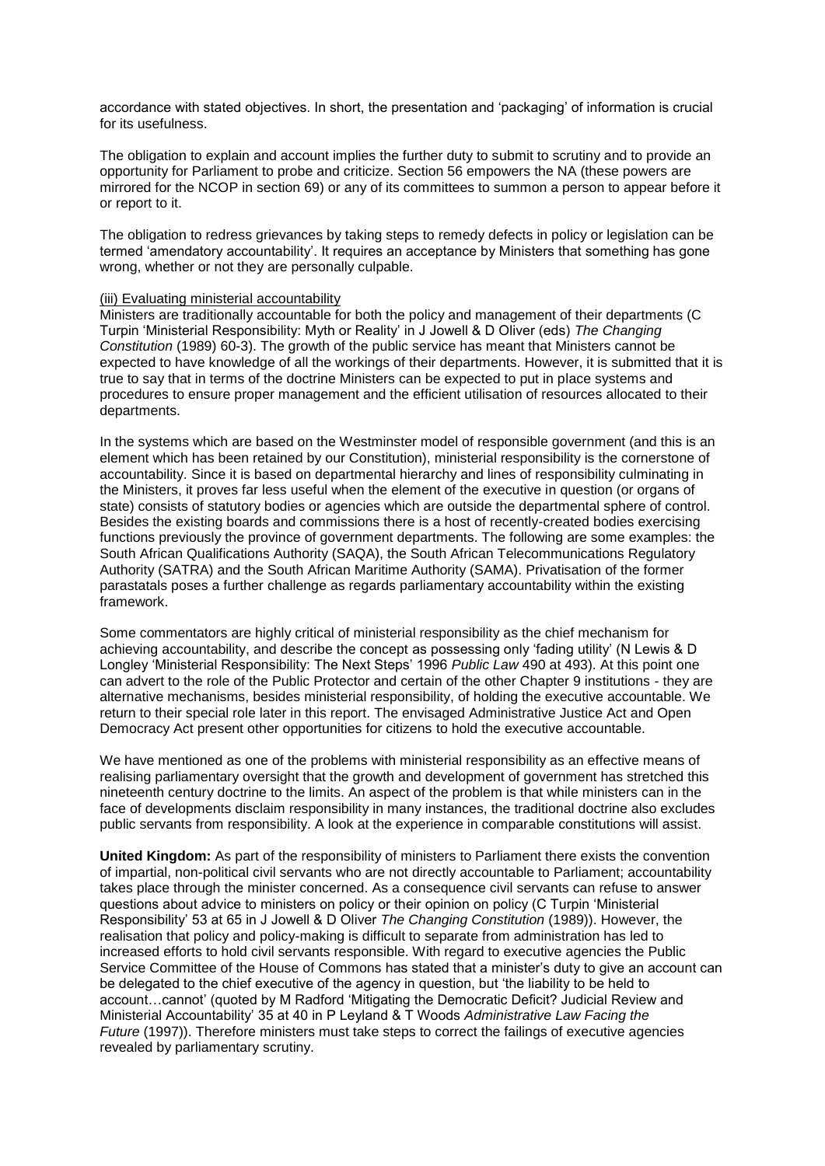accordance with stated objectives. In short, the presentation and 'packaging' of information is crucial for its usefulness.

The obligation to explain and account implies the further duty to submit to scrutiny and to provide an opportunity for Parliament to probe and criticize. Section 56 empowers the NA (these powers are mirrored for the NCOP in section 69) or any of its committees to summon a person to appear before it or report to it.

The obligation to redress grievances by taking steps to remedy defects in policy or legislation can be termed 'amendatory accountability'. It requires an acceptance by Ministers that something has gone wrong, whether or not they are personally culpable.

#### (iii) Evaluating ministerial accountability

Ministers are traditionally accountable for both the policy and management of their departments (C Turpin 'Ministerial Responsibility: Myth or Reality' in J Jowell & D Oliver (eds) *The Changing Constitution* (1989) 60-3). The growth of the public service has meant that Ministers cannot be expected to have knowledge of all the workings of their departments. However, it is submitted that it is true to say that in terms of the doctrine Ministers can be expected to put in place systems and procedures to ensure proper management and the efficient utilisation of resources allocated to their departments.

In the systems which are based on the Westminster model of responsible government (and this is an element which has been retained by our Constitution), ministerial responsibility is the cornerstone of accountability. Since it is based on departmental hierarchy and lines of responsibility culminating in the Ministers, it proves far less useful when the element of the executive in question (or organs of state) consists of statutory bodies or agencies which are outside the departmental sphere of control. Besides the existing boards and commissions there is a host of recently-created bodies exercising functions previously the province of government departments. The following are some examples: the South African Qualifications Authority (SAQA), the South African Telecommunications Regulatory Authority (SATRA) and the South African Maritime Authority (SAMA). Privatisation of the former parastatals poses a further challenge as regards parliamentary accountability within the existing framework.

Some commentators are highly critical of ministerial responsibility as the chief mechanism for achieving accountability, and describe the concept as possessing only 'fading utility' (N Lewis & D Longley 'Ministerial Responsibility: The Next Steps' 1996 *Public Law* 490 at 493). At this point one can advert to the role of the Public Protector and certain of the other Chapter 9 institutions - they are alternative mechanisms, besides ministerial responsibility, of holding the executive accountable. We return to their special role later in this report. The envisaged Administrative Justice Act and Open Democracy Act present other opportunities for citizens to hold the executive accountable.

We have mentioned as one of the problems with ministerial responsibility as an effective means of realising parliamentary oversight that the growth and development of government has stretched this nineteenth century doctrine to the limits. An aspect of the problem is that while ministers can in the face of developments disclaim responsibility in many instances, the traditional doctrine also excludes public servants from responsibility. A look at the experience in comparable constitutions will assist.

**United Kingdom:** As part of the responsibility of ministers to Parliament there exists the convention of impartial, non-political civil servants who are not directly accountable to Parliament; accountability takes place through the minister concerned. As a consequence civil servants can refuse to answer questions about advice to ministers on policy or their opinion on policy (C Turpin 'Ministerial Responsibility' 53 at 65 in J Jowell & D Oliver *The Changing Constitution* (1989)). However, the realisation that policy and policy-making is difficult to separate from administration has led to increased efforts to hold civil servants responsible. With regard to executive agencies the Public Service Committee of the House of Commons has stated that a minister's duty to give an account can be delegated to the chief executive of the agency in question, but 'the liability to be held to account…cannot' (quoted by M Radford 'Mitigating the Democratic Deficit? Judicial Review and Ministerial Accountability' 35 at 40 in P Leyland & T Woods *Administrative Law Facing the Future* (1997)). Therefore ministers must take steps to correct the failings of executive agencies revealed by parliamentary scrutiny.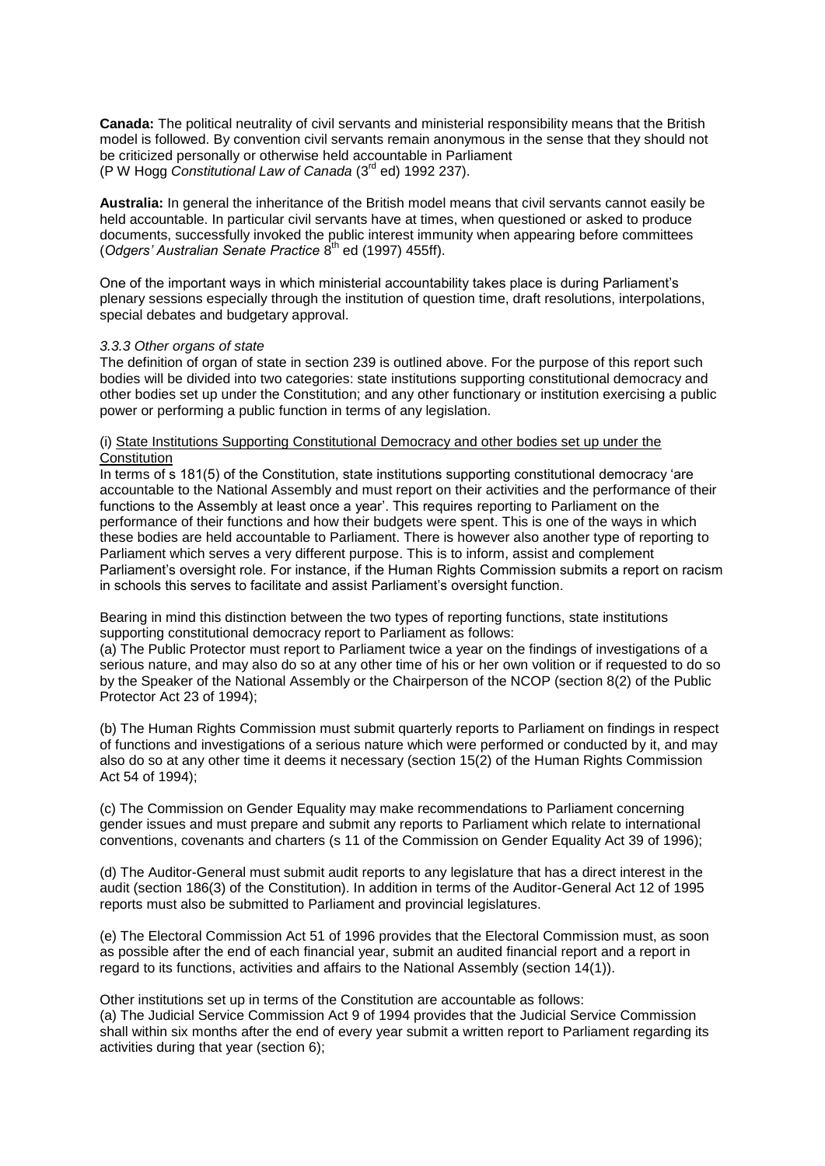**Canada:** The political neutrality of civil servants and ministerial responsibility means that the British model is followed. By convention civil servants remain anonymous in the sense that they should not be criticized personally or otherwise held accountable in Parliament (P W Hogg *Constitutional Law of Canada* (3rd ed) 1992 237).

**Australia:** In general the inheritance of the British model means that civil servants cannot easily be held accountable. In particular civil servants have at times, when questioned or asked to produce documents, successfully invoked the public interest immunity when appearing before committees (Odgers' Australian Senate Practice 8<sup>th</sup> ed (1997) 455ff).

One of the important ways in which ministerial accountability takes place is during Parliament's plenary sessions especially through the institution of question time, draft resolutions, interpolations, special debates and budgetary approval.

## *3.3.3 Other organs of state*

The definition of organ of state in section 239 is outlined above. For the purpose of this report such bodies will be divided into two categories: state institutions supporting constitutional democracy and other bodies set up under the Constitution; and any other functionary or institution exercising a public power or performing a public function in terms of any legislation.

## (i) State Institutions Supporting Constitutional Democracy and other bodies set up under the **Constitution**

In terms of s 181(5) of the Constitution, state institutions supporting constitutional democracy 'are accountable to the National Assembly and must report on their activities and the performance of their functions to the Assembly at least once a year'. This requires reporting to Parliament on the performance of their functions and how their budgets were spent. This is one of the ways in which these bodies are held accountable to Parliament. There is however also another type of reporting to Parliament which serves a very different purpose. This is to inform, assist and complement Parliament's oversight role. For instance, if the Human Rights Commission submits a report on racism in schools this serves to facilitate and assist Parliament's oversight function.

Bearing in mind this distinction between the two types of reporting functions, state institutions supporting constitutional democracy report to Parliament as follows:

(a) The Public Protector must report to Parliament twice a year on the findings of investigations of a serious nature, and may also do so at any other time of his or her own volition or if requested to do so by the Speaker of the National Assembly or the Chairperson of the NCOP (section 8(2) of the Public Protector Act 23 of 1994);

(b) The Human Rights Commission must submit quarterly reports to Parliament on findings in respect of functions and investigations of a serious nature which were performed or conducted by it, and may also do so at any other time it deems it necessary (section 15(2) of the Human Rights Commission Act 54 of 1994);

(c) The Commission on Gender Equality may make recommendations to Parliament concerning gender issues and must prepare and submit any reports to Parliament which relate to international conventions, covenants and charters (s 11 of the Commission on Gender Equality Act 39 of 1996);

(d) The Auditor-General must submit audit reports to any legislature that has a direct interest in the audit (section 186(3) of the Constitution). In addition in terms of the Auditor-General Act 12 of 1995 reports must also be submitted to Parliament and provincial legislatures.

(e) The Electoral Commission Act 51 of 1996 provides that the Electoral Commission must, as soon as possible after the end of each financial year, submit an audited financial report and a report in regard to its functions, activities and affairs to the National Assembly (section 14(1)).

Other institutions set up in terms of the Constitution are accountable as follows: (a) The Judicial Service Commission Act 9 of 1994 provides that the Judicial Service Commission shall within six months after the end of every year submit a written report to Parliament regarding its activities during that year (section 6);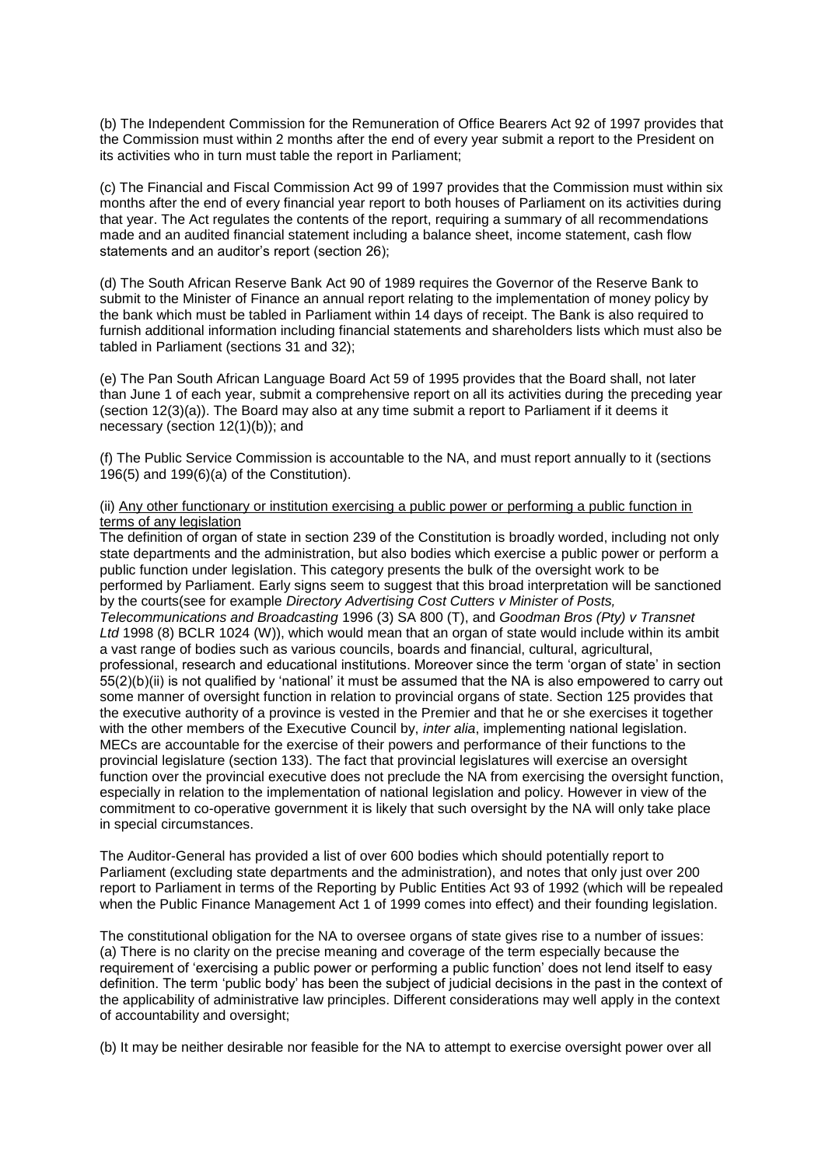(b) The Independent Commission for the Remuneration of Office Bearers Act 92 of 1997 provides that the Commission must within 2 months after the end of every year submit a report to the President on its activities who in turn must table the report in Parliament;

(c) The Financial and Fiscal Commission Act 99 of 1997 provides that the Commission must within six months after the end of every financial year report to both houses of Parliament on its activities during that year. The Act regulates the contents of the report, requiring a summary of all recommendations made and an audited financial statement including a balance sheet, income statement, cash flow statements and an auditor's report (section 26);

(d) The South African Reserve Bank Act 90 of 1989 requires the Governor of the Reserve Bank to submit to the Minister of Finance an annual report relating to the implementation of money policy by the bank which must be tabled in Parliament within 14 days of receipt. The Bank is also required to furnish additional information including financial statements and shareholders lists which must also be tabled in Parliament (sections 31 and 32);

(e) The Pan South African Language Board Act 59 of 1995 provides that the Board shall, not later than June 1 of each year, submit a comprehensive report on all its activities during the preceding year (section 12(3)(a)). The Board may also at any time submit a report to Parliament if it deems it necessary (section 12(1)(b)); and

(f) The Public Service Commission is accountable to the NA, and must report annually to it (sections 196(5) and 199(6)(a) of the Constitution).

### (ii) Any other functionary or institution exercising a public power or performing a public function in terms of any legislation

The definition of organ of state in section 239 of the Constitution is broadly worded, including not only state departments and the administration, but also bodies which exercise a public power or perform a public function under legislation. This category presents the bulk of the oversight work to be performed by Parliament. Early signs seem to suggest that this broad interpretation will be sanctioned by the courts(see for example *Directory Advertising Cost Cutters v Minister of Posts, Telecommunications and Broadcasting* 1996 (3) SA 800 (T), and *Goodman Bros (Pty) v Transnet Ltd* 1998 (8) BCLR 1024 (W)), which would mean that an organ of state would include within its ambit a vast range of bodies such as various councils, boards and financial, cultural, agricultural, professional, research and educational institutions. Moreover since the term 'organ of state' in section 55(2)(b)(ii) is not qualified by 'national' it must be assumed that the NA is also empowered to carry out some manner of oversight function in relation to provincial organs of state. Section 125 provides that the executive authority of a province is vested in the Premier and that he or she exercises it together with the other members of the Executive Council by, *inter alia*, implementing national legislation. MECs are accountable for the exercise of their powers and performance of their functions to the provincial legislature (section 133). The fact that provincial legislatures will exercise an oversight function over the provincial executive does not preclude the NA from exercising the oversight function, especially in relation to the implementation of national legislation and policy. However in view of the commitment to co-operative government it is likely that such oversight by the NA will only take place in special circumstances.

The Auditor-General has provided a list of over 600 bodies which should potentially report to Parliament (excluding state departments and the administration), and notes that only just over 200 report to Parliament in terms of the Reporting by Public Entities Act 93 of 1992 (which will be repealed when the Public Finance Management Act 1 of 1999 comes into effect) and their founding legislation.

The constitutional obligation for the NA to oversee organs of state gives rise to a number of issues: (a) There is no clarity on the precise meaning and coverage of the term especially because the requirement of 'exercising a public power or performing a public function' does not lend itself to easy definition. The term 'public body' has been the subject of judicial decisions in the past in the context of the applicability of administrative law principles. Different considerations may well apply in the context of accountability and oversight;

(b) It may be neither desirable nor feasible for the NA to attempt to exercise oversight power over all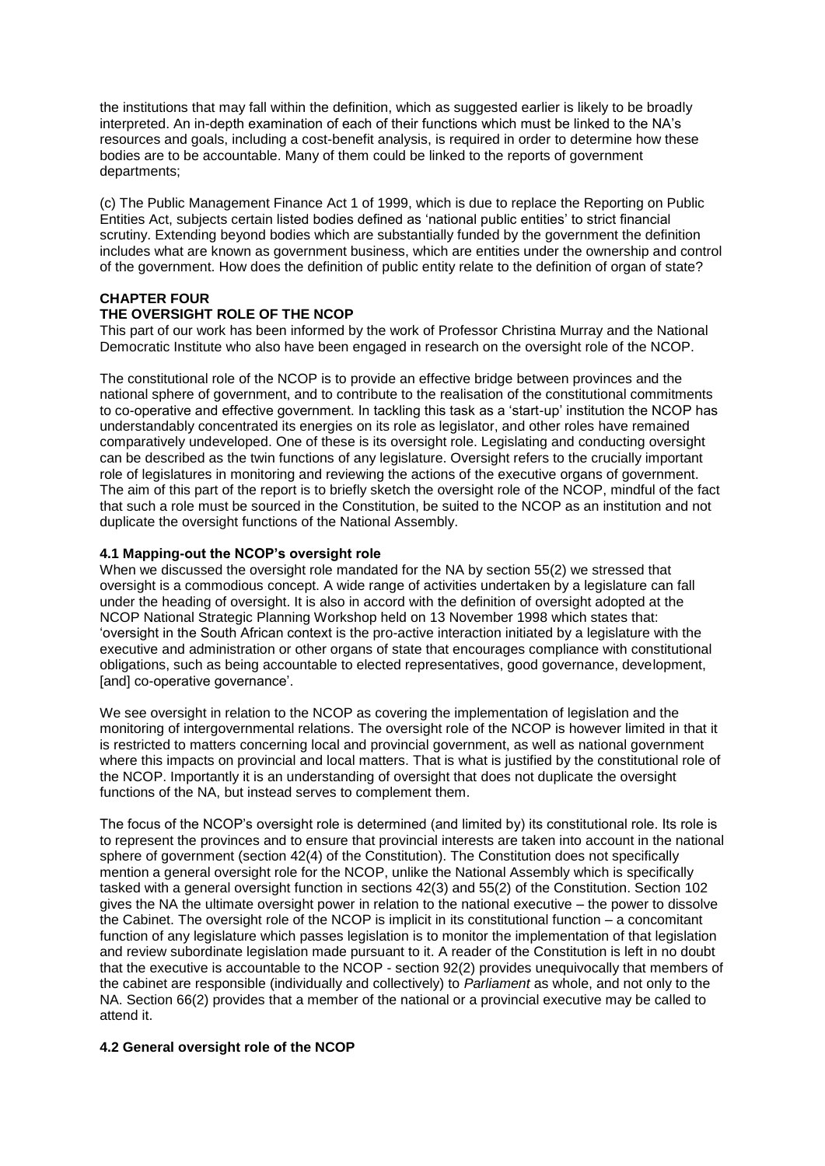the institutions that may fall within the definition, which as suggested earlier is likely to be broadly interpreted. An in-depth examination of each of their functions which must be linked to the NA's resources and goals, including a cost-benefit analysis, is required in order to determine how these bodies are to be accountable. Many of them could be linked to the reports of government departments;

(c) The Public Management Finance Act 1 of 1999, which is due to replace the Reporting on Public Entities Act, subjects certain listed bodies defined as 'national public entities' to strict financial scrutiny. Extending beyond bodies which are substantially funded by the government the definition includes what are known as government business, which are entities under the ownership and control of the government. How does the definition of public entity relate to the definition of organ of state?

## **CHAPTER FOUR**

## **THE OVERSIGHT ROLE OF THE NCOP**

This part of our work has been informed by the work of Professor Christina Murray and the National Democratic Institute who also have been engaged in research on the oversight role of the NCOP.

The constitutional role of the NCOP is to provide an effective bridge between provinces and the national sphere of government, and to contribute to the realisation of the constitutional commitments to co-operative and effective government. In tackling this task as a 'start-up' institution the NCOP has understandably concentrated its energies on its role as legislator, and other roles have remained comparatively undeveloped. One of these is its oversight role. Legislating and conducting oversight can be described as the twin functions of any legislature. Oversight refers to the crucially important role of legislatures in monitoring and reviewing the actions of the executive organs of government. The aim of this part of the report is to briefly sketch the oversight role of the NCOP, mindful of the fact that such a role must be sourced in the Constitution, be suited to the NCOP as an institution and not duplicate the oversight functions of the National Assembly.

## **4.1 Mapping-out the NCOP's oversight role**

When we discussed the oversight role mandated for the NA by section 55(2) we stressed that oversight is a commodious concept. A wide range of activities undertaken by a legislature can fall under the heading of oversight. It is also in accord with the definition of oversight adopted at the NCOP National Strategic Planning Workshop held on 13 November 1998 which states that: 'oversight in the South African context is the pro-active interaction initiated by a legislature with the executive and administration or other organs of state that encourages compliance with constitutional obligations, such as being accountable to elected representatives, good governance, development, [and] co-operative governance'.

We see oversight in relation to the NCOP as covering the implementation of legislation and the monitoring of intergovernmental relations. The oversight role of the NCOP is however limited in that it is restricted to matters concerning local and provincial government, as well as national government where this impacts on provincial and local matters. That is what is justified by the constitutional role of the NCOP. Importantly it is an understanding of oversight that does not duplicate the oversight functions of the NA, but instead serves to complement them.

The focus of the NCOP's oversight role is determined (and limited by) its constitutional role. Its role is to represent the provinces and to ensure that provincial interests are taken into account in the national sphere of government (section 42(4) of the Constitution). The Constitution does not specifically mention a general oversight role for the NCOP, unlike the National Assembly which is specifically tasked with a general oversight function in sections 42(3) and 55(2) of the Constitution. Section 102 gives the NA the ultimate oversight power in relation to the national executive – the power to dissolve the Cabinet. The oversight role of the NCOP is implicit in its constitutional function – a concomitant function of any legislature which passes legislation is to monitor the implementation of that legislation and review subordinate legislation made pursuant to it. A reader of the Constitution is left in no doubt that the executive is accountable to the NCOP - section 92(2) provides unequivocally that members of the cabinet are responsible (individually and collectively) to *Parliament* as whole, and not only to the NA. Section 66(2) provides that a member of the national or a provincial executive may be called to attend it.

#### **4.2 General oversight role of the NCOP**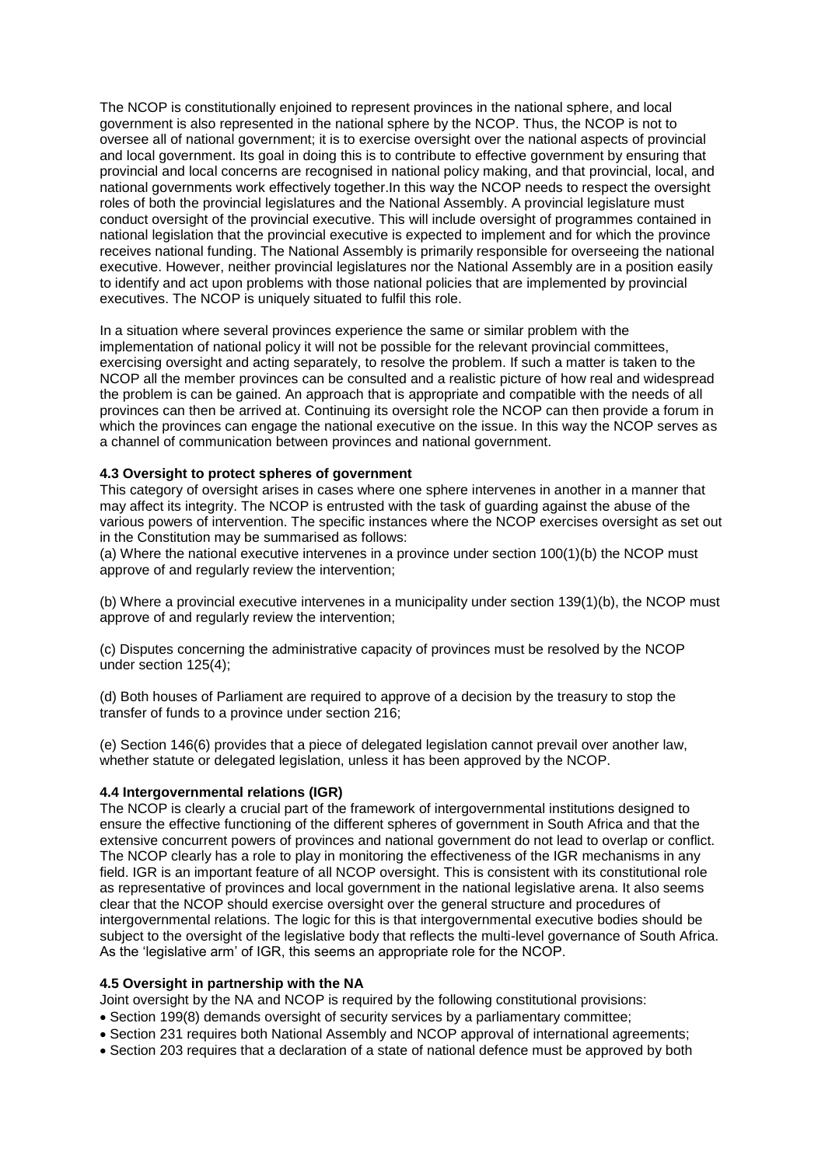The NCOP is constitutionally enjoined to represent provinces in the national sphere, and local government is also represented in the national sphere by the NCOP. Thus, the NCOP is not to oversee all of national government; it is to exercise oversight over the national aspects of provincial and local government. Its goal in doing this is to contribute to effective government by ensuring that provincial and local concerns are recognised in national policy making, and that provincial, local, and national governments work effectively together.In this way the NCOP needs to respect the oversight roles of both the provincial legislatures and the National Assembly. A provincial legislature must conduct oversight of the provincial executive. This will include oversight of programmes contained in national legislation that the provincial executive is expected to implement and for which the province receives national funding. The National Assembly is primarily responsible for overseeing the national executive. However, neither provincial legislatures nor the National Assembly are in a position easily to identify and act upon problems with those national policies that are implemented by provincial executives. The NCOP is uniquely situated to fulfil this role.

In a situation where several provinces experience the same or similar problem with the implementation of national policy it will not be possible for the relevant provincial committees, exercising oversight and acting separately, to resolve the problem. If such a matter is taken to the NCOP all the member provinces can be consulted and a realistic picture of how real and widespread the problem is can be gained. An approach that is appropriate and compatible with the needs of all provinces can then be arrived at. Continuing its oversight role the NCOP can then provide a forum in which the provinces can engage the national executive on the issue. In this way the NCOP serves as a channel of communication between provinces and national government.

## **4.3 Oversight to protect spheres of government**

This category of oversight arises in cases where one sphere intervenes in another in a manner that may affect its integrity. The NCOP is entrusted with the task of guarding against the abuse of the various powers of intervention. The specific instances where the NCOP exercises oversight as set out in the Constitution may be summarised as follows:

(a) Where the national executive intervenes in a province under section 100(1)(b) the NCOP must approve of and regularly review the intervention;

(b) Where a provincial executive intervenes in a municipality under section 139(1)(b), the NCOP must approve of and regularly review the intervention;

(c) Disputes concerning the administrative capacity of provinces must be resolved by the NCOP under section 125(4);

(d) Both houses of Parliament are required to approve of a decision by the treasury to stop the transfer of funds to a province under section 216;

(e) Section 146(6) provides that a piece of delegated legislation cannot prevail over another law, whether statute or delegated legislation, unless it has been approved by the NCOP.

## **4.4 Intergovernmental relations (IGR)**

The NCOP is clearly a crucial part of the framework of intergovernmental institutions designed to ensure the effective functioning of the different spheres of government in South Africa and that the extensive concurrent powers of provinces and national government do not lead to overlap or conflict. The NCOP clearly has a role to play in monitoring the effectiveness of the IGR mechanisms in any field. IGR is an important feature of all NCOP oversight. This is consistent with its constitutional role as representative of provinces and local government in the national legislative arena. It also seems clear that the NCOP should exercise oversight over the general structure and procedures of intergovernmental relations. The logic for this is that intergovernmental executive bodies should be subject to the oversight of the legislative body that reflects the multi-level governance of South Africa. As the 'legislative arm' of IGR, this seems an appropriate role for the NCOP.

#### **4.5 Oversight in partnership with the NA**

Joint oversight by the NA and NCOP is required by the following constitutional provisions:

- Section 199(8) demands oversight of security services by a parliamentary committee;
- Section 231 requires both National Assembly and NCOP approval of international agreements;
- Section 203 requires that a declaration of a state of national defence must be approved by both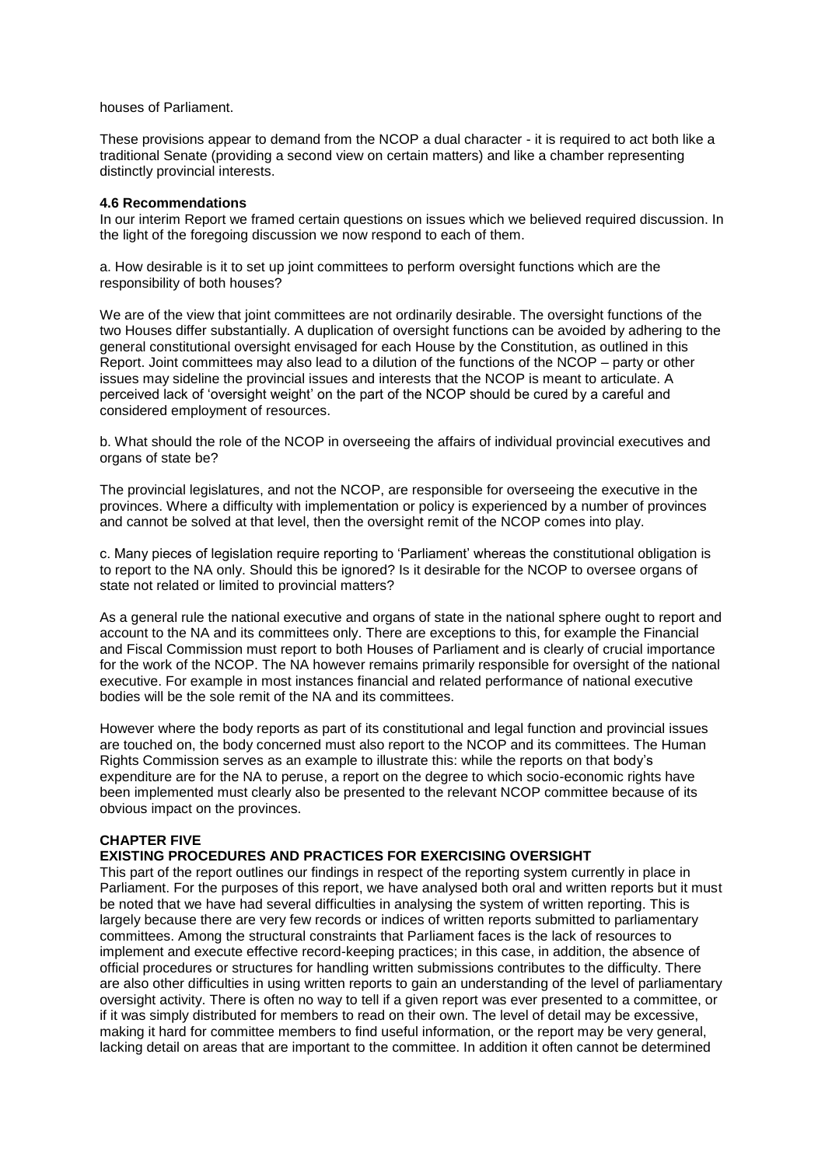houses of Parliament.

These provisions appear to demand from the NCOP a dual character - it is required to act both like a traditional Senate (providing a second view on certain matters) and like a chamber representing distinctly provincial interests.

### **4.6 Recommendations**

In our interim Report we framed certain questions on issues which we believed required discussion. In the light of the foregoing discussion we now respond to each of them.

a. How desirable is it to set up joint committees to perform oversight functions which are the responsibility of both houses?

We are of the view that joint committees are not ordinarily desirable. The oversight functions of the two Houses differ substantially. A duplication of oversight functions can be avoided by adhering to the general constitutional oversight envisaged for each House by the Constitution, as outlined in this Report. Joint committees may also lead to a dilution of the functions of the NCOP – party or other issues may sideline the provincial issues and interests that the NCOP is meant to articulate. A perceived lack of 'oversight weight' on the part of the NCOP should be cured by a careful and considered employment of resources.

b. What should the role of the NCOP in overseeing the affairs of individual provincial executives and organs of state be?

The provincial legislatures, and not the NCOP, are responsible for overseeing the executive in the provinces. Where a difficulty with implementation or policy is experienced by a number of provinces and cannot be solved at that level, then the oversight remit of the NCOP comes into play.

c. Many pieces of legislation require reporting to 'Parliament' whereas the constitutional obligation is to report to the NA only. Should this be ignored? Is it desirable for the NCOP to oversee organs of state not related or limited to provincial matters?

As a general rule the national executive and organs of state in the national sphere ought to report and account to the NA and its committees only. There are exceptions to this, for example the Financial and Fiscal Commission must report to both Houses of Parliament and is clearly of crucial importance for the work of the NCOP. The NA however remains primarily responsible for oversight of the national executive. For example in most instances financial and related performance of national executive bodies will be the sole remit of the NA and its committees.

However where the body reports as part of its constitutional and legal function and provincial issues are touched on, the body concerned must also report to the NCOP and its committees. The Human Rights Commission serves as an example to illustrate this: while the reports on that body's expenditure are for the NA to peruse, a report on the degree to which socio-economic rights have been implemented must clearly also be presented to the relevant NCOP committee because of its obvious impact on the provinces.

## **CHAPTER FIVE**

## **EXISTING PROCEDURES AND PRACTICES FOR EXERCISING OVERSIGHT**

This part of the report outlines our findings in respect of the reporting system currently in place in Parliament. For the purposes of this report, we have analysed both oral and written reports but it must be noted that we have had several difficulties in analysing the system of written reporting. This is largely because there are very few records or indices of written reports submitted to parliamentary committees. Among the structural constraints that Parliament faces is the lack of resources to implement and execute effective record-keeping practices; in this case, in addition, the absence of official procedures or structures for handling written submissions contributes to the difficulty. There are also other difficulties in using written reports to gain an understanding of the level of parliamentary oversight activity. There is often no way to tell if a given report was ever presented to a committee, or if it was simply distributed for members to read on their own. The level of detail may be excessive, making it hard for committee members to find useful information, or the report may be very general, lacking detail on areas that are important to the committee. In addition it often cannot be determined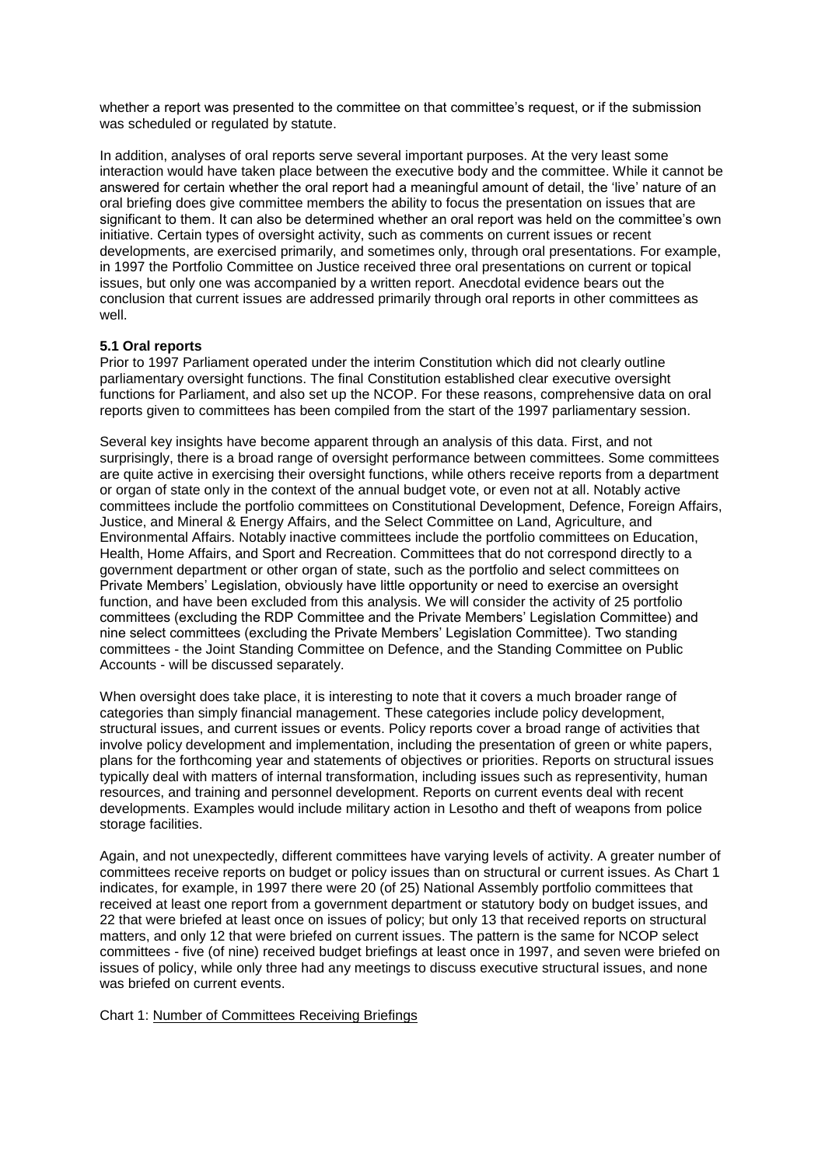whether a report was presented to the committee on that committee's request, or if the submission was scheduled or regulated by statute.

In addition, analyses of oral reports serve several important purposes. At the very least some interaction would have taken place between the executive body and the committee. While it cannot be answered for certain whether the oral report had a meaningful amount of detail, the 'live' nature of an oral briefing does give committee members the ability to focus the presentation on issues that are significant to them. It can also be determined whether an oral report was held on the committee's own initiative. Certain types of oversight activity, such as comments on current issues or recent developments, are exercised primarily, and sometimes only, through oral presentations. For example, in 1997 the Portfolio Committee on Justice received three oral presentations on current or topical issues, but only one was accompanied by a written report. Anecdotal evidence bears out the conclusion that current issues are addressed primarily through oral reports in other committees as well.

## **5.1 Oral reports**

Prior to 1997 Parliament operated under the interim Constitution which did not clearly outline parliamentary oversight functions. The final Constitution established clear executive oversight functions for Parliament, and also set up the NCOP. For these reasons, comprehensive data on oral reports given to committees has been compiled from the start of the 1997 parliamentary session.

Several key insights have become apparent through an analysis of this data. First, and not surprisingly, there is a broad range of oversight performance between committees. Some committees are quite active in exercising their oversight functions, while others receive reports from a department or organ of state only in the context of the annual budget vote, or even not at all. Notably active committees include the portfolio committees on Constitutional Development, Defence, Foreign Affairs, Justice, and Mineral & Energy Affairs, and the Select Committee on Land, Agriculture, and Environmental Affairs. Notably inactive committees include the portfolio committees on Education, Health, Home Affairs, and Sport and Recreation. Committees that do not correspond directly to a government department or other organ of state, such as the portfolio and select committees on Private Members' Legislation, obviously have little opportunity or need to exercise an oversight function, and have been excluded from this analysis. We will consider the activity of 25 portfolio committees (excluding the RDP Committee and the Private Members' Legislation Committee) and nine select committees (excluding the Private Members' Legislation Committee). Two standing committees - the Joint Standing Committee on Defence, and the Standing Committee on Public Accounts - will be discussed separately.

When oversight does take place, it is interesting to note that it covers a much broader range of categories than simply financial management. These categories include policy development, structural issues, and current issues or events. Policy reports cover a broad range of activities that involve policy development and implementation, including the presentation of green or white papers, plans for the forthcoming year and statements of objectives or priorities. Reports on structural issues typically deal with matters of internal transformation, including issues such as representivity, human resources, and training and personnel development. Reports on current events deal with recent developments. Examples would include military action in Lesotho and theft of weapons from police storage facilities.

Again, and not unexpectedly, different committees have varying levels of activity. A greater number of committees receive reports on budget or policy issues than on structural or current issues. As Chart 1 indicates, for example, in 1997 there were 20 (of 25) National Assembly portfolio committees that received at least one report from a government department or statutory body on budget issues, and 22 that were briefed at least once on issues of policy; but only 13 that received reports on structural matters, and only 12 that were briefed on current issues. The pattern is the same for NCOP select committees - five (of nine) received budget briefings at least once in 1997, and seven were briefed on issues of policy, while only three had any meetings to discuss executive structural issues, and none was briefed on current events.

Chart 1: Number of Committees Receiving Briefings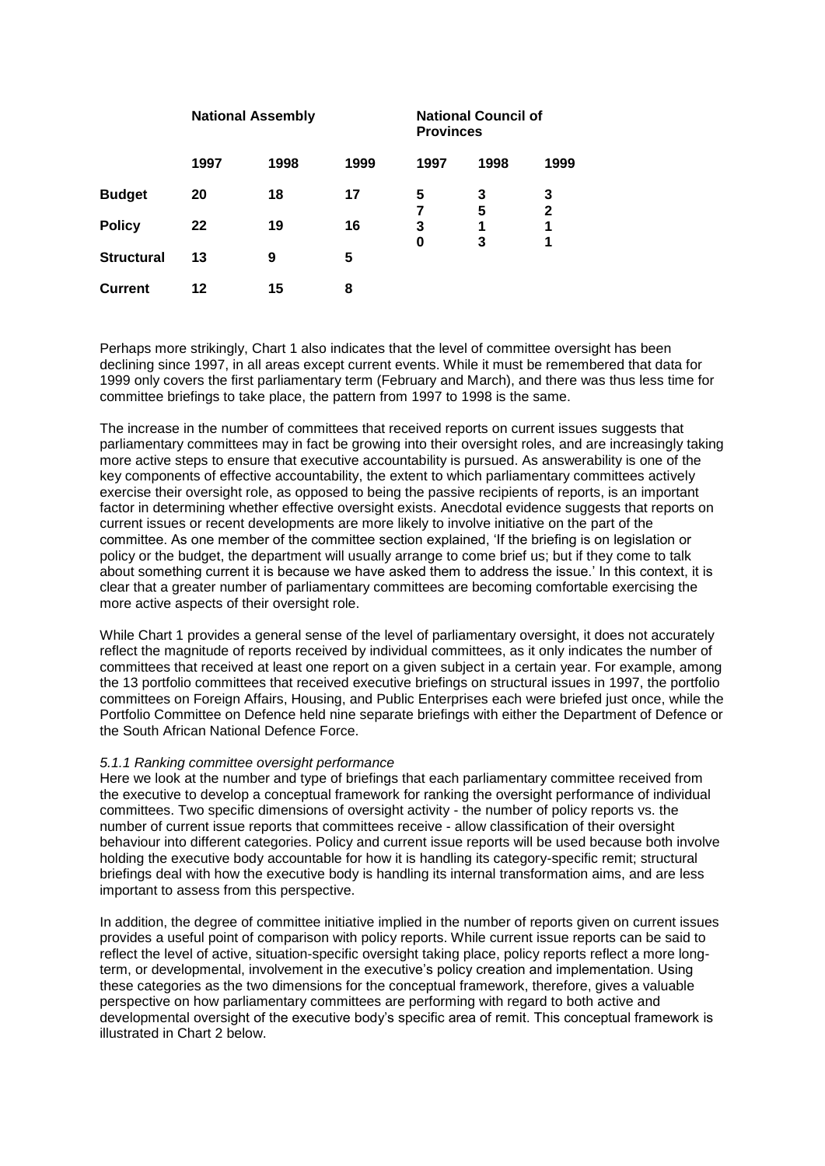|                   | <b>National Assembly</b> |      |      | <b>National Council of</b><br><b>Provinces</b> |        |                   |
|-------------------|--------------------------|------|------|------------------------------------------------|--------|-------------------|
|                   | 1997                     | 1998 | 1999 | 1997                                           | 1998   | 1999              |
| <b>Budget</b>     | 20                       | 18   | 17   | 5<br>7                                         | 3<br>5 | 3<br>$\mathbf{2}$ |
| <b>Policy</b>     | 22                       | 19   | 16   | 3<br>0                                         | 1<br>3 | 1<br>1            |
| <b>Structural</b> | 13                       | 9    | 5    |                                                |        |                   |
| <b>Current</b>    | 12                       | 15   | 8    |                                                |        |                   |

Perhaps more strikingly, Chart 1 also indicates that the level of committee oversight has been declining since 1997, in all areas except current events. While it must be remembered that data for 1999 only covers the first parliamentary term (February and March), and there was thus less time for committee briefings to take place, the pattern from 1997 to 1998 is the same.

The increase in the number of committees that received reports on current issues suggests that parliamentary committees may in fact be growing into their oversight roles, and are increasingly taking more active steps to ensure that executive accountability is pursued. As answerability is one of the key components of effective accountability, the extent to which parliamentary committees actively exercise their oversight role, as opposed to being the passive recipients of reports, is an important factor in determining whether effective oversight exists. Anecdotal evidence suggests that reports on current issues or recent developments are more likely to involve initiative on the part of the committee. As one member of the committee section explained, 'If the briefing is on legislation or policy or the budget, the department will usually arrange to come brief us; but if they come to talk about something current it is because we have asked them to address the issue.' In this context, it is clear that a greater number of parliamentary committees are becoming comfortable exercising the more active aspects of their oversight role.

While Chart 1 provides a general sense of the level of parliamentary oversight, it does not accurately reflect the magnitude of reports received by individual committees, as it only indicates the number of committees that received at least one report on a given subject in a certain year. For example, among the 13 portfolio committees that received executive briefings on structural issues in 1997, the portfolio committees on Foreign Affairs, Housing, and Public Enterprises each were briefed just once, while the Portfolio Committee on Defence held nine separate briefings with either the Department of Defence or the South African National Defence Force.

## *5.1.1 Ranking committee oversight performance*

Here we look at the number and type of briefings that each parliamentary committee received from the executive to develop a conceptual framework for ranking the oversight performance of individual committees. Two specific dimensions of oversight activity - the number of policy reports vs. the number of current issue reports that committees receive - allow classification of their oversight behaviour into different categories. Policy and current issue reports will be used because both involve holding the executive body accountable for how it is handling its category-specific remit; structural briefings deal with how the executive body is handling its internal transformation aims, and are less important to assess from this perspective.

In addition, the degree of committee initiative implied in the number of reports given on current issues provides a useful point of comparison with policy reports. While current issue reports can be said to reflect the level of active, situation-specific oversight taking place, policy reports reflect a more longterm, or developmental, involvement in the executive's policy creation and implementation. Using these categories as the two dimensions for the conceptual framework, therefore, gives a valuable perspective on how parliamentary committees are performing with regard to both active and developmental oversight of the executive body's specific area of remit. This conceptual framework is illustrated in Chart 2 below.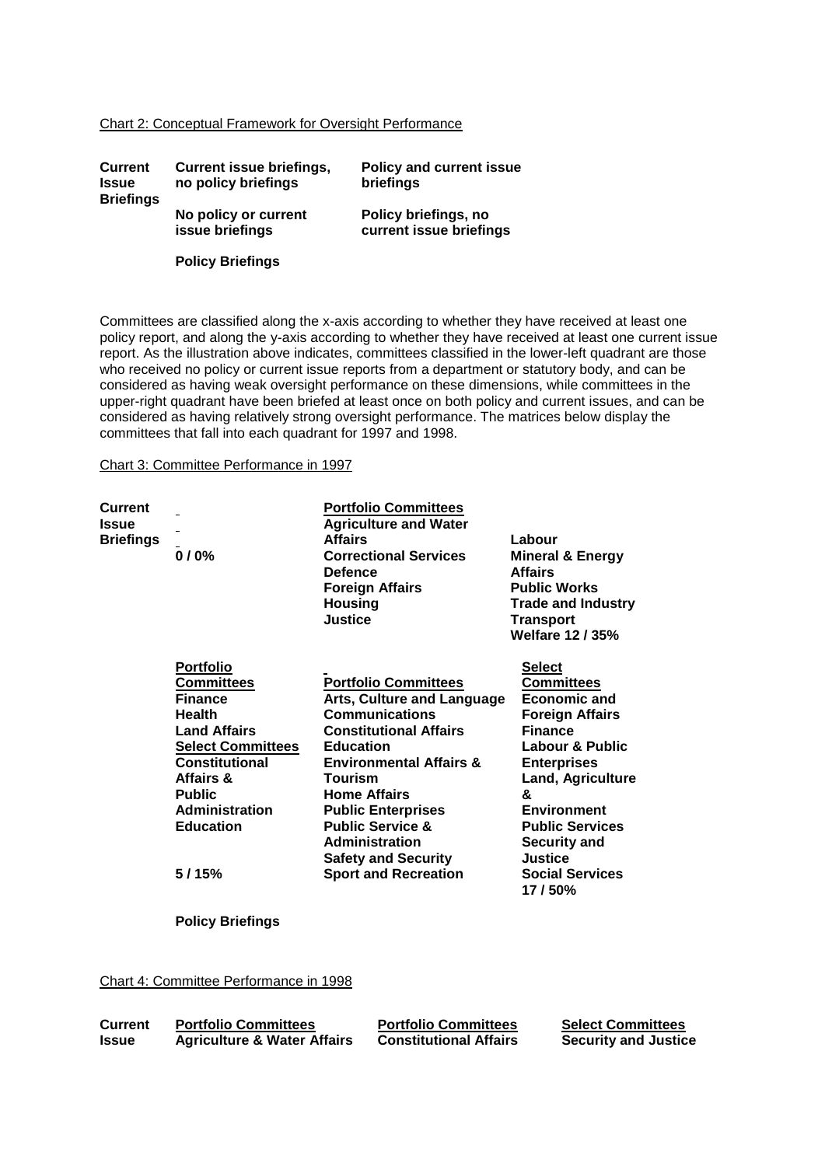#### Chart 2: Conceptual Framework for Oversight Performance

| <b>Current</b><br><b>Issue</b><br><b>Briefings</b> | <b>Current issue briefings,</b><br>no policy briefings | <b>Policy and current issue</b><br>briefings    |
|----------------------------------------------------|--------------------------------------------------------|-------------------------------------------------|
|                                                    | No policy or current<br>issue briefings                | Policy briefings, no<br>current issue briefings |
|                                                    | <b>Policy Briefings</b>                                |                                                 |

Committees are classified along the x-axis according to whether they have received at least one policy report, and along the y-axis according to whether they have received at least one current issue report. As the illustration above indicates, committees classified in the lower-left quadrant are those who received no policy or current issue reports from a department or statutory body, and can be considered as having weak oversight performance on these dimensions, while committees in the upper-right quadrant have been briefed at least once on both policy and current issues, and can be considered as having relatively strong oversight performance. The matrices below display the committees that fall into each quadrant for 1997 and 1998.

## Chart 3: Committee Performance in 1997

| <b>Current</b><br><b>Issue</b><br><b>Briefings</b> | 0/0%                                                                                                                                                                                                                                     | <b>Portfolio Committees</b><br><b>Agriculture and Water</b><br><b>Affairs</b><br><b>Correctional Services</b><br><b>Defence</b><br><b>Foreign Affairs</b><br><b>Housing</b><br><b>Justice</b>                                                                                                                                                                     | Labour<br><b>Mineral &amp; Energy</b><br><b>Affairs</b><br><b>Public Works</b><br><b>Trade and Industry</b><br><b>Transport</b><br><b>Welfare 12/35%</b>                                                                                                                                              |
|----------------------------------------------------|------------------------------------------------------------------------------------------------------------------------------------------------------------------------------------------------------------------------------------------|-------------------------------------------------------------------------------------------------------------------------------------------------------------------------------------------------------------------------------------------------------------------------------------------------------------------------------------------------------------------|-------------------------------------------------------------------------------------------------------------------------------------------------------------------------------------------------------------------------------------------------------------------------------------------------------|
|                                                    | <b>Portfolio</b><br><b>Committees</b><br><b>Finance</b><br><b>Health</b><br><b>Land Affairs</b><br><b>Select Committees</b><br><b>Constitutional</b><br>Affairs &<br><b>Public</b><br><b>Administration</b><br><b>Education</b><br>5/15% | <b>Portfolio Committees</b><br>Arts, Culture and Language<br><b>Communications</b><br><b>Constitutional Affairs</b><br><b>Education</b><br><b>Environmental Affairs &amp;</b><br>Tourism<br><b>Home Affairs</b><br><b>Public Enterprises</b><br><b>Public Service &amp;</b><br><b>Administration</b><br><b>Safety and Security</b><br><b>Sport and Recreation</b> | Select<br><b>Committees</b><br><b>Economic and</b><br><b>Foreign Affairs</b><br><b>Finance</b><br>Labour & Public<br><b>Enterprises</b><br><b>Land, Agriculture</b><br>&<br><b>Environment</b><br><b>Public Services</b><br><b>Security and</b><br><b>Justice</b><br><b>Social Services</b><br>17/50% |

**Policy Briefings**

Chart 4: Committee Performance in 1998

| <b>Current</b> | <b>Portfolio Committees</b>            | <b>Portfolio Committees</b>   | <b>Select Comm</b>  |
|----------------|----------------------------------------|-------------------------------|---------------------|
| <b>Issue</b>   | <b>Agriculture &amp; Water Affairs</b> | <b>Constitutional Affairs</b> | <b>Security and</b> |

**Select Committees Justice**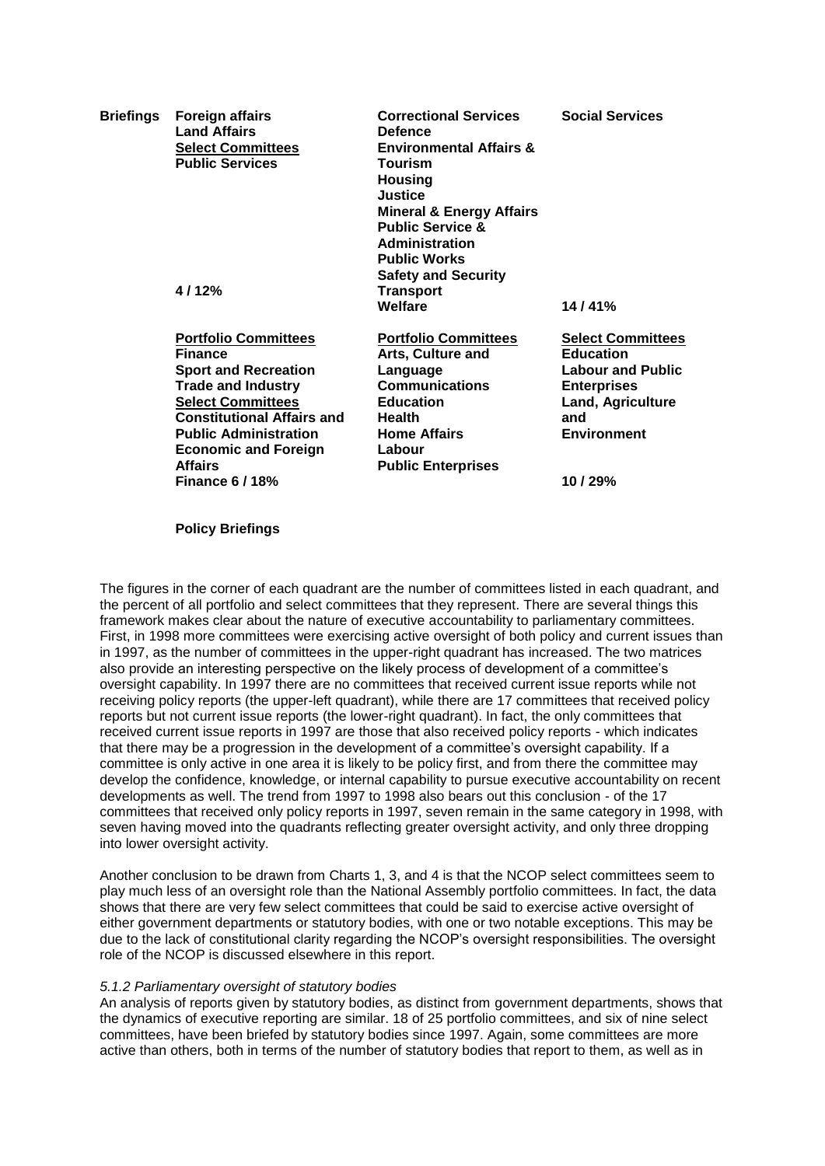| <b>Briefings</b> | <b>Foreign affairs</b><br><b>Land Affairs</b><br><b>Select Committees</b><br><b>Public Services</b>                                                                                                                                                                                 | <b>Correctional Services</b><br><b>Defence</b><br><b>Environmental Affairs &amp;</b><br><b>Tourism</b><br><b>Housing</b><br>Justice<br><b>Mineral &amp; Energy Affairs</b><br><b>Public Service &amp;</b><br><b>Administration</b><br><b>Public Works</b><br><b>Safety and Security</b> | <b>Social Services</b>                                                                                                                                     |
|------------------|-------------------------------------------------------------------------------------------------------------------------------------------------------------------------------------------------------------------------------------------------------------------------------------|-----------------------------------------------------------------------------------------------------------------------------------------------------------------------------------------------------------------------------------------------------------------------------------------|------------------------------------------------------------------------------------------------------------------------------------------------------------|
|                  | 4/12%                                                                                                                                                                                                                                                                               | <b>Transport</b><br>Welfare                                                                                                                                                                                                                                                             | 14/41%                                                                                                                                                     |
|                  | <b>Portfolio Committees</b><br><b>Finance</b><br><b>Sport and Recreation</b><br><b>Trade and Industry</b><br><b>Select Committees</b><br><b>Constitutional Affairs and</b><br><b>Public Administration</b><br><b>Economic and Foreign</b><br><b>Affairs</b><br><b>Finance 6/18%</b> | <b>Portfolio Committees</b><br>Arts, Culture and<br>Language<br><b>Communications</b><br><b>Education</b><br><b>Health</b><br><b>Home Affairs</b><br>Labour<br><b>Public Enterprises</b>                                                                                                | <b>Select Committees</b><br><b>Education</b><br><b>Labour and Public</b><br><b>Enterprises</b><br>Land, Agriculture<br>and<br><b>Environment</b><br>10/29% |

**Policy Briefings**

The figures in the corner of each quadrant are the number of committees listed in each quadrant, and the percent of all portfolio and select committees that they represent. There are several things this framework makes clear about the nature of executive accountability to parliamentary committees. First, in 1998 more committees were exercising active oversight of both policy and current issues than in 1997, as the number of committees in the upper-right quadrant has increased. The two matrices also provide an interesting perspective on the likely process of development of a committee's oversight capability. In 1997 there are no committees that received current issue reports while not receiving policy reports (the upper-left quadrant), while there are 17 committees that received policy reports but not current issue reports (the lower-right quadrant). In fact, the only committees that received current issue reports in 1997 are those that also received policy reports - which indicates that there may be a progression in the development of a committee's oversight capability. If a committee is only active in one area it is likely to be policy first, and from there the committee may develop the confidence, knowledge, or internal capability to pursue executive accountability on recent developments as well. The trend from 1997 to 1998 also bears out this conclusion - of the 17 committees that received only policy reports in 1997, seven remain in the same category in 1998, with seven having moved into the quadrants reflecting greater oversight activity, and only three dropping into lower oversight activity.

Another conclusion to be drawn from Charts 1, 3, and 4 is that the NCOP select committees seem to play much less of an oversight role than the National Assembly portfolio committees. In fact, the data shows that there are very few select committees that could be said to exercise active oversight of either government departments or statutory bodies, with one or two notable exceptions. This may be due to the lack of constitutional clarity regarding the NCOP's oversight responsibilities. The oversight role of the NCOP is discussed elsewhere in this report.

## *5.1.2 Parliamentary oversight of statutory bodies*

An analysis of reports given by statutory bodies, as distinct from government departments, shows that the dynamics of executive reporting are similar. 18 of 25 portfolio committees, and six of nine select committees, have been briefed by statutory bodies since 1997. Again, some committees are more active than others, both in terms of the number of statutory bodies that report to them, as well as in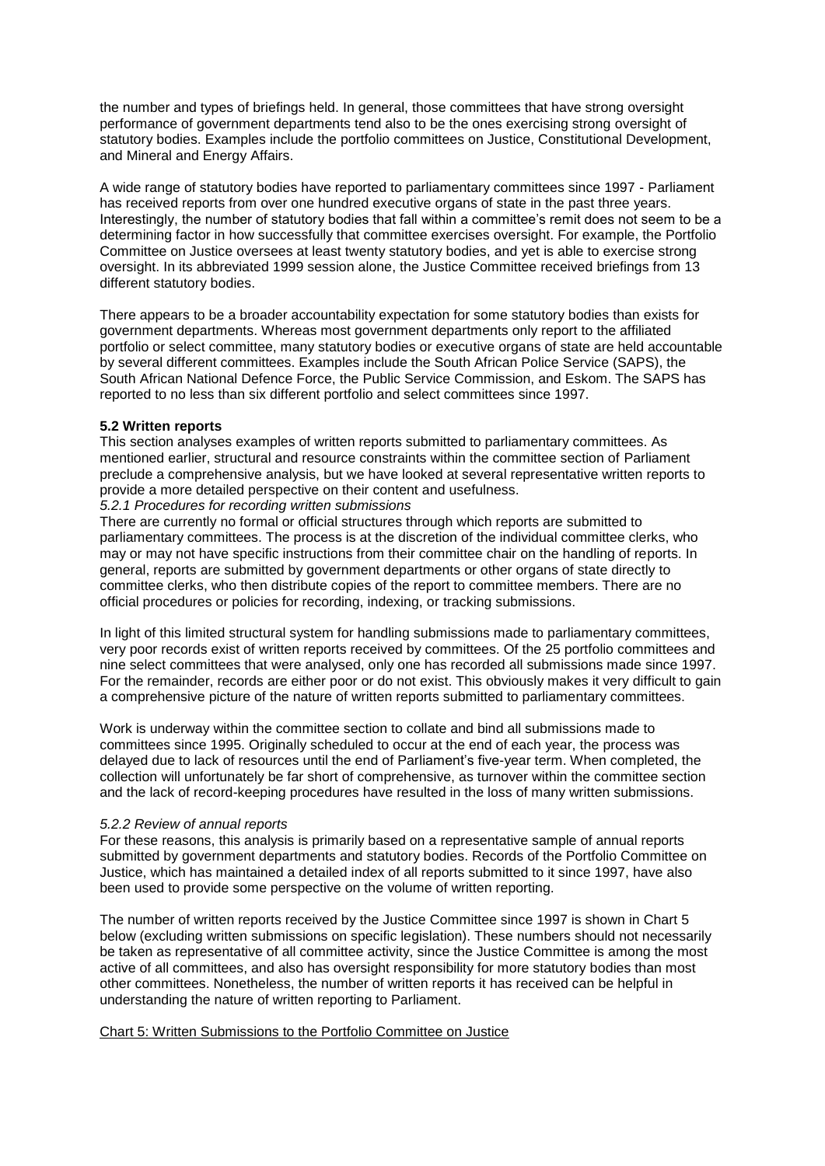the number and types of briefings held. In general, those committees that have strong oversight performance of government departments tend also to be the ones exercising strong oversight of statutory bodies. Examples include the portfolio committees on Justice, Constitutional Development, and Mineral and Energy Affairs.

A wide range of statutory bodies have reported to parliamentary committees since 1997 - Parliament has received reports from over one hundred executive organs of state in the past three years. Interestingly, the number of statutory bodies that fall within a committee's remit does not seem to be a determining factor in how successfully that committee exercises oversight. For example, the Portfolio Committee on Justice oversees at least twenty statutory bodies, and yet is able to exercise strong oversight. In its abbreviated 1999 session alone, the Justice Committee received briefings from 13 different statutory bodies.

There appears to be a broader accountability expectation for some statutory bodies than exists for government departments. Whereas most government departments only report to the affiliated portfolio or select committee, many statutory bodies or executive organs of state are held accountable by several different committees. Examples include the South African Police Service (SAPS), the South African National Defence Force, the Public Service Commission, and Eskom. The SAPS has reported to no less than six different portfolio and select committees since 1997.

## **5.2 Written reports**

This section analyses examples of written reports submitted to parliamentary committees. As mentioned earlier, structural and resource constraints within the committee section of Parliament preclude a comprehensive analysis, but we have looked at several representative written reports to provide a more detailed perspective on their content and usefulness.

*5.2.1 Procedures for recording written submissions*

There are currently no formal or official structures through which reports are submitted to parliamentary committees. The process is at the discretion of the individual committee clerks, who may or may not have specific instructions from their committee chair on the handling of reports. In general, reports are submitted by government departments or other organs of state directly to committee clerks, who then distribute copies of the report to committee members. There are no official procedures or policies for recording, indexing, or tracking submissions.

In light of this limited structural system for handling submissions made to parliamentary committees, very poor records exist of written reports received by committees. Of the 25 portfolio committees and nine select committees that were analysed, only one has recorded all submissions made since 1997. For the remainder, records are either poor or do not exist. This obviously makes it very difficult to gain a comprehensive picture of the nature of written reports submitted to parliamentary committees.

Work is underway within the committee section to collate and bind all submissions made to committees since 1995. Originally scheduled to occur at the end of each year, the process was delayed due to lack of resources until the end of Parliament's five-year term. When completed, the collection will unfortunately be far short of comprehensive, as turnover within the committee section and the lack of record-keeping procedures have resulted in the loss of many written submissions.

## *5.2.2 Review of annual reports*

For these reasons, this analysis is primarily based on a representative sample of annual reports submitted by government departments and statutory bodies. Records of the Portfolio Committee on Justice, which has maintained a detailed index of all reports submitted to it since 1997, have also been used to provide some perspective on the volume of written reporting.

The number of written reports received by the Justice Committee since 1997 is shown in Chart 5 below (excluding written submissions on specific legislation). These numbers should not necessarily be taken as representative of all committee activity, since the Justice Committee is among the most active of all committees, and also has oversight responsibility for more statutory bodies than most other committees. Nonetheless, the number of written reports it has received can be helpful in understanding the nature of written reporting to Parliament.

## Chart 5: Written Submissions to the Portfolio Committee on Justice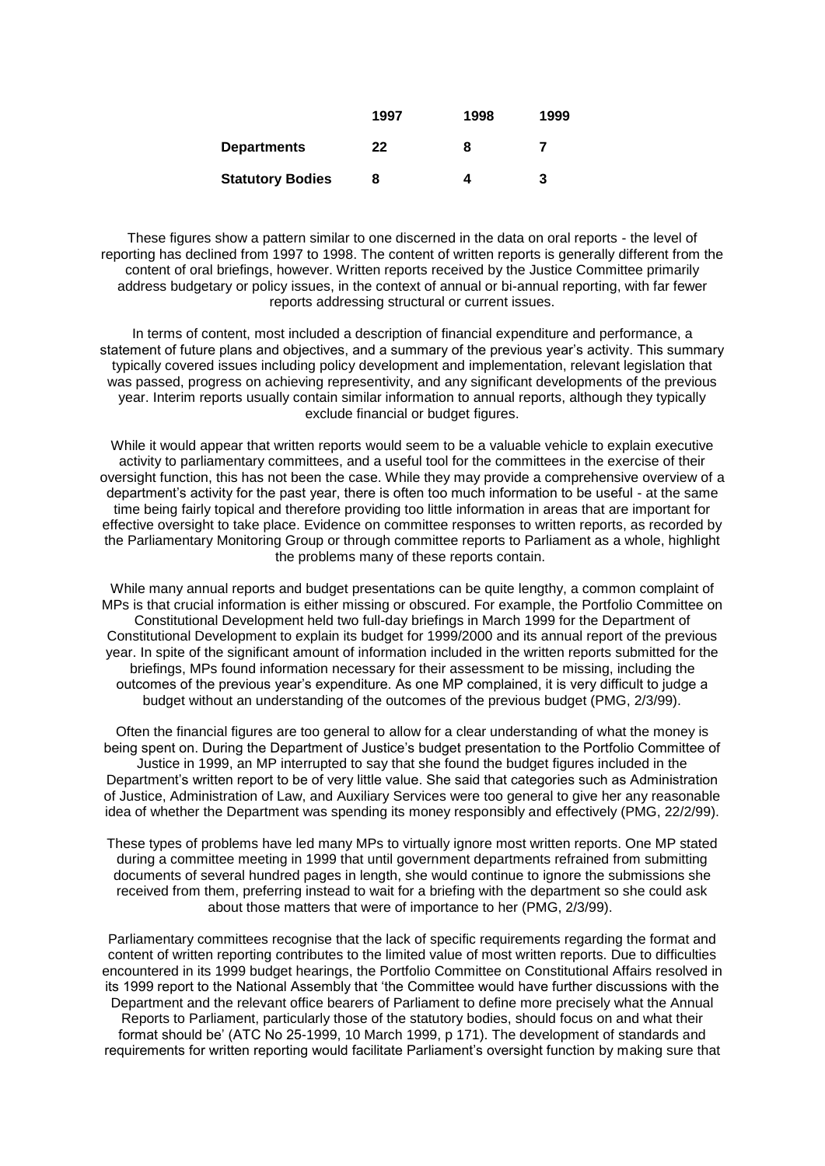|                         | 1997 | 1998 | 1999 |
|-------------------------|------|------|------|
| <b>Departments</b>      | 22   | 8    |      |
| <b>Statutory Bodies</b> | 8    |      | 3    |

These figures show a pattern similar to one discerned in the data on oral reports - the level of reporting has declined from 1997 to 1998. The content of written reports is generally different from the content of oral briefings, however. Written reports received by the Justice Committee primarily address budgetary or policy issues, in the context of annual or bi-annual reporting, with far fewer reports addressing structural or current issues.

In terms of content, most included a description of financial expenditure and performance, a statement of future plans and objectives, and a summary of the previous year's activity. This summary typically covered issues including policy development and implementation, relevant legislation that was passed, progress on achieving representivity, and any significant developments of the previous year. Interim reports usually contain similar information to annual reports, although they typically exclude financial or budget figures.

While it would appear that written reports would seem to be a valuable vehicle to explain executive activity to parliamentary committees, and a useful tool for the committees in the exercise of their oversight function, this has not been the case. While they may provide a comprehensive overview of a department's activity for the past year, there is often too much information to be useful - at the same time being fairly topical and therefore providing too little information in areas that are important for effective oversight to take place. Evidence on committee responses to written reports, as recorded by the Parliamentary Monitoring Group or through committee reports to Parliament as a whole, highlight the problems many of these reports contain.

While many annual reports and budget presentations can be quite lengthy, a common complaint of MPs is that crucial information is either missing or obscured. For example, the Portfolio Committee on Constitutional Development held two full-day briefings in March 1999 for the Department of Constitutional Development to explain its budget for 1999/2000 and its annual report of the previous year. In spite of the significant amount of information included in the written reports submitted for the briefings, MPs found information necessary for their assessment to be missing, including the outcomes of the previous year's expenditure. As one MP complained, it is very difficult to judge a budget without an understanding of the outcomes of the previous budget (PMG, 2/3/99).

Often the financial figures are too general to allow for a clear understanding of what the money is being spent on. During the Department of Justice's budget presentation to the Portfolio Committee of Justice in 1999, an MP interrupted to say that she found the budget figures included in the Department's written report to be of very little value. She said that categories such as Administration of Justice, Administration of Law, and Auxiliary Services were too general to give her any reasonable idea of whether the Department was spending its money responsibly and effectively (PMG, 22/2/99).

These types of problems have led many MPs to virtually ignore most written reports. One MP stated during a committee meeting in 1999 that until government departments refrained from submitting documents of several hundred pages in length, she would continue to ignore the submissions she received from them, preferring instead to wait for a briefing with the department so she could ask about those matters that were of importance to her (PMG, 2/3/99).

Parliamentary committees recognise that the lack of specific requirements regarding the format and content of written reporting contributes to the limited value of most written reports. Due to difficulties encountered in its 1999 budget hearings, the Portfolio Committee on Constitutional Affairs resolved in its 1999 report to the National Assembly that 'the Committee would have further discussions with the Department and the relevant office bearers of Parliament to define more precisely what the Annual Reports to Parliament, particularly those of the statutory bodies, should focus on and what their format should be' (ATC No 25-1999, 10 March 1999, p 171). The development of standards and requirements for written reporting would facilitate Parliament's oversight function by making sure that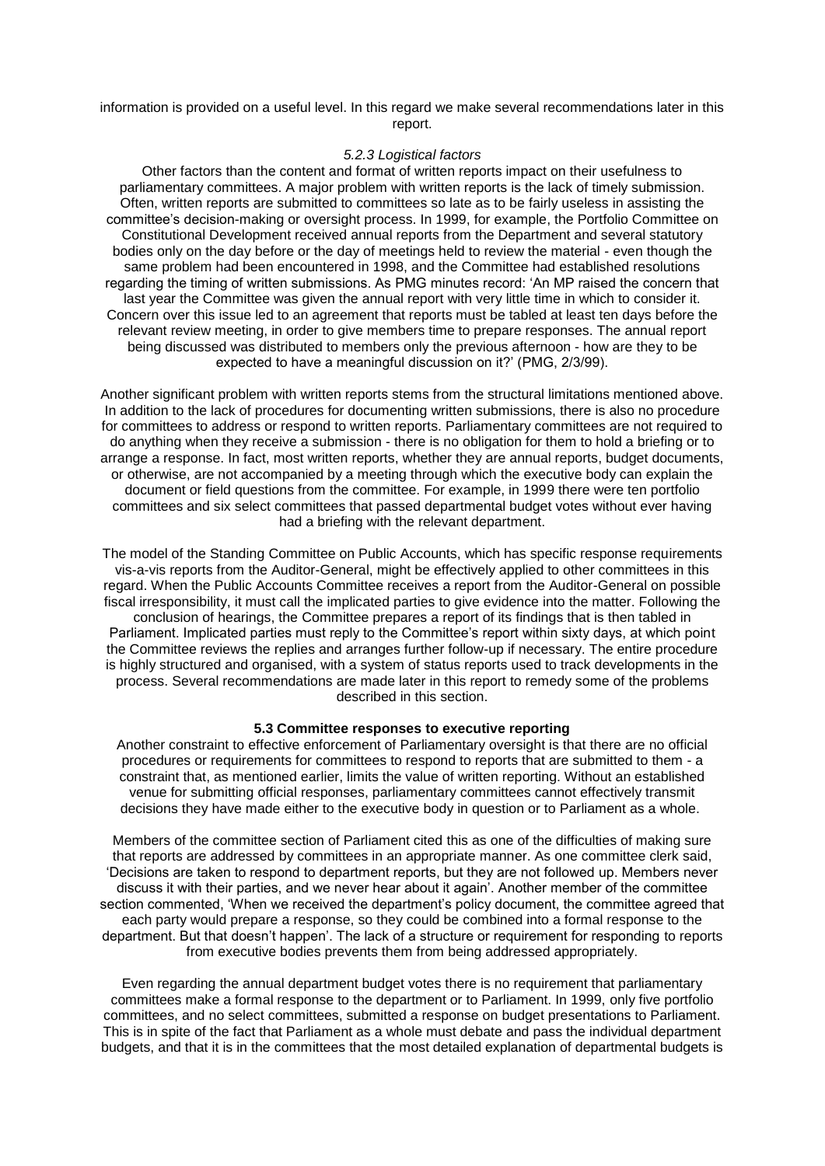information is provided on a useful level. In this regard we make several recommendations later in this report.

#### *5.2.3 Logistical factors*

Other factors than the content and format of written reports impact on their usefulness to parliamentary committees. A major problem with written reports is the lack of timely submission. Often, written reports are submitted to committees so late as to be fairly useless in assisting the committee's decision-making or oversight process. In 1999, for example, the Portfolio Committee on Constitutional Development received annual reports from the Department and several statutory bodies only on the day before or the day of meetings held to review the material - even though the same problem had been encountered in 1998, and the Committee had established resolutions regarding the timing of written submissions. As PMG minutes record: 'An MP raised the concern that last year the Committee was given the annual report with very little time in which to consider it. Concern over this issue led to an agreement that reports must be tabled at least ten days before the relevant review meeting, in order to give members time to prepare responses. The annual report being discussed was distributed to members only the previous afternoon - how are they to be expected to have a meaningful discussion on it?' (PMG, 2/3/99).

Another significant problem with written reports stems from the structural limitations mentioned above. In addition to the lack of procedures for documenting written submissions, there is also no procedure for committees to address or respond to written reports. Parliamentary committees are not required to do anything when they receive a submission - there is no obligation for them to hold a briefing or to arrange a response. In fact, most written reports, whether they are annual reports, budget documents, or otherwise, are not accompanied by a meeting through which the executive body can explain the document or field questions from the committee. For example, in 1999 there were ten portfolio committees and six select committees that passed departmental budget votes without ever having had a briefing with the relevant department.

The model of the Standing Committee on Public Accounts, which has specific response requirements vis-a-vis reports from the Auditor-General, might be effectively applied to other committees in this regard. When the Public Accounts Committee receives a report from the Auditor-General on possible fiscal irresponsibility, it must call the implicated parties to give evidence into the matter. Following the conclusion of hearings, the Committee prepares a report of its findings that is then tabled in Parliament. Implicated parties must reply to the Committee's report within sixty days, at which point the Committee reviews the replies and arranges further follow-up if necessary. The entire procedure is highly structured and organised, with a system of status reports used to track developments in the process. Several recommendations are made later in this report to remedy some of the problems described in this section.

#### **5.3 Committee responses to executive reporting**

Another constraint to effective enforcement of Parliamentary oversight is that there are no official procedures or requirements for committees to respond to reports that are submitted to them - a constraint that, as mentioned earlier, limits the value of written reporting. Without an established venue for submitting official responses, parliamentary committees cannot effectively transmit decisions they have made either to the executive body in question or to Parliament as a whole.

Members of the committee section of Parliament cited this as one of the difficulties of making sure that reports are addressed by committees in an appropriate manner. As one committee clerk said, 'Decisions are taken to respond to department reports, but they are not followed up. Members never discuss it with their parties, and we never hear about it again'. Another member of the committee section commented, 'When we received the department's policy document, the committee agreed that each party would prepare a response, so they could be combined into a formal response to the department. But that doesn't happen'. The lack of a structure or requirement for responding to reports from executive bodies prevents them from being addressed appropriately.

Even regarding the annual department budget votes there is no requirement that parliamentary committees make a formal response to the department or to Parliament. In 1999, only five portfolio committees, and no select committees, submitted a response on budget presentations to Parliament. This is in spite of the fact that Parliament as a whole must debate and pass the individual department budgets, and that it is in the committees that the most detailed explanation of departmental budgets is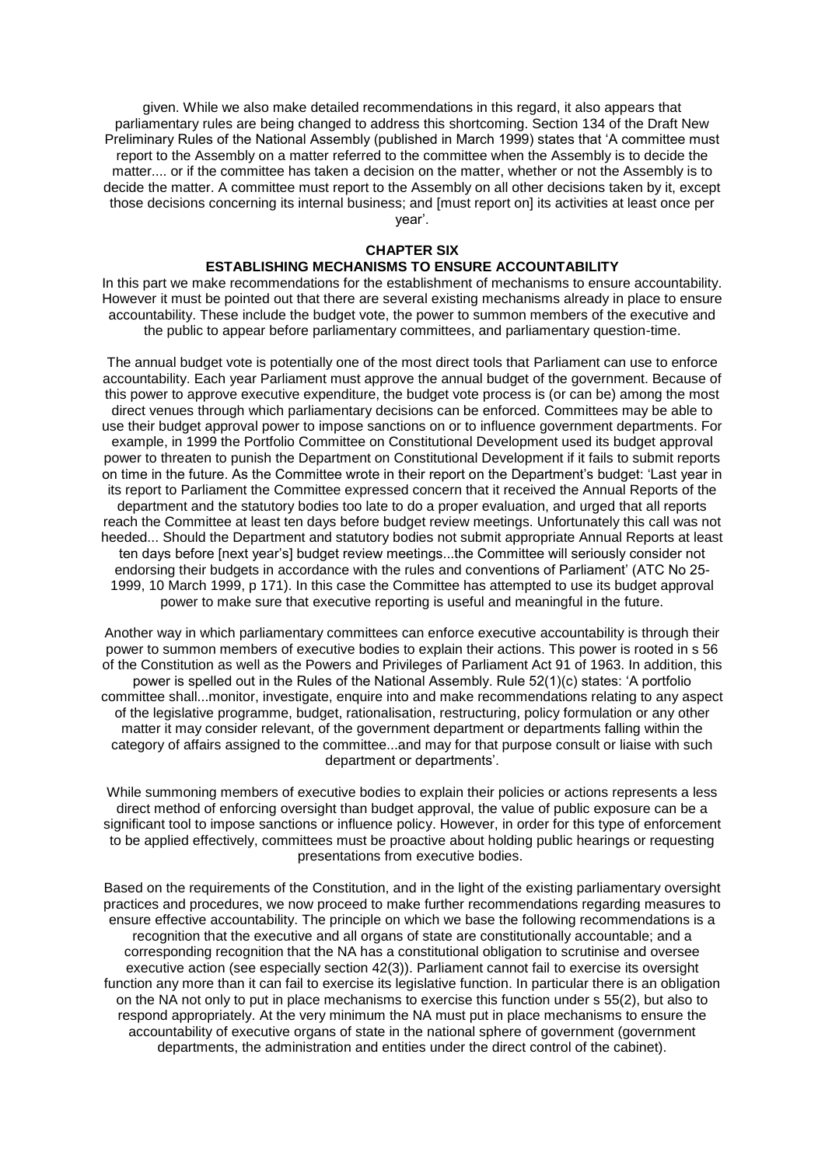given. While we also make detailed recommendations in this regard, it also appears that parliamentary rules are being changed to address this shortcoming. Section 134 of the Draft New Preliminary Rules of the National Assembly (published in March 1999) states that 'A committee must report to the Assembly on a matter referred to the committee when the Assembly is to decide the matter.... or if the committee has taken a decision on the matter, whether or not the Assembly is to decide the matter. A committee must report to the Assembly on all other decisions taken by it, except those decisions concerning its internal business; and [must report on] its activities at least once per year'.

## **CHAPTER SIX**

## **ESTABLISHING MECHANISMS TO ENSURE ACCOUNTABILITY**

In this part we make recommendations for the establishment of mechanisms to ensure accountability. However it must be pointed out that there are several existing mechanisms already in place to ensure accountability. These include the budget vote, the power to summon members of the executive and the public to appear before parliamentary committees, and parliamentary question-time.

The annual budget vote is potentially one of the most direct tools that Parliament can use to enforce accountability. Each year Parliament must approve the annual budget of the government. Because of this power to approve executive expenditure, the budget vote process is (or can be) among the most direct venues through which parliamentary decisions can be enforced. Committees may be able to use their budget approval power to impose sanctions on or to influence government departments. For example, in 1999 the Portfolio Committee on Constitutional Development used its budget approval power to threaten to punish the Department on Constitutional Development if it fails to submit reports on time in the future. As the Committee wrote in their report on the Department's budget: 'Last year in its report to Parliament the Committee expressed concern that it received the Annual Reports of the department and the statutory bodies too late to do a proper evaluation, and urged that all reports reach the Committee at least ten days before budget review meetings. Unfortunately this call was not heeded... Should the Department and statutory bodies not submit appropriate Annual Reports at least ten days before [next year's] budget review meetings...the Committee will seriously consider not endorsing their budgets in accordance with the rules and conventions of Parliament' (ATC No 25- 1999, 10 March 1999, p 171). In this case the Committee has attempted to use its budget approval power to make sure that executive reporting is useful and meaningful in the future.

Another way in which parliamentary committees can enforce executive accountability is through their power to summon members of executive bodies to explain their actions. This power is rooted in s 56 of the Constitution as well as the Powers and Privileges of Parliament Act 91 of 1963. In addition, this power is spelled out in the Rules of the National Assembly. Rule 52(1)(c) states: 'A portfolio committee shall...monitor, investigate, enquire into and make recommendations relating to any aspect of the legislative programme, budget, rationalisation, restructuring, policy formulation or any other matter it may consider relevant, of the government department or departments falling within the category of affairs assigned to the committee...and may for that purpose consult or liaise with such department or departments'.

While summoning members of executive bodies to explain their policies or actions represents a less direct method of enforcing oversight than budget approval, the value of public exposure can be a significant tool to impose sanctions or influence policy. However, in order for this type of enforcement to be applied effectively, committees must be proactive about holding public hearings or requesting presentations from executive bodies.

Based on the requirements of the Constitution, and in the light of the existing parliamentary oversight practices and procedures, we now proceed to make further recommendations regarding measures to ensure effective accountability. The principle on which we base the following recommendations is a recognition that the executive and all organs of state are constitutionally accountable; and a corresponding recognition that the NA has a constitutional obligation to scrutinise and oversee executive action (see especially section 42(3)). Parliament cannot fail to exercise its oversight function any more than it can fail to exercise its legislative function. In particular there is an obligation on the NA not only to put in place mechanisms to exercise this function under s 55(2), but also to respond appropriately. At the very minimum the NA must put in place mechanisms to ensure the accountability of executive organs of state in the national sphere of government (government departments, the administration and entities under the direct control of the cabinet).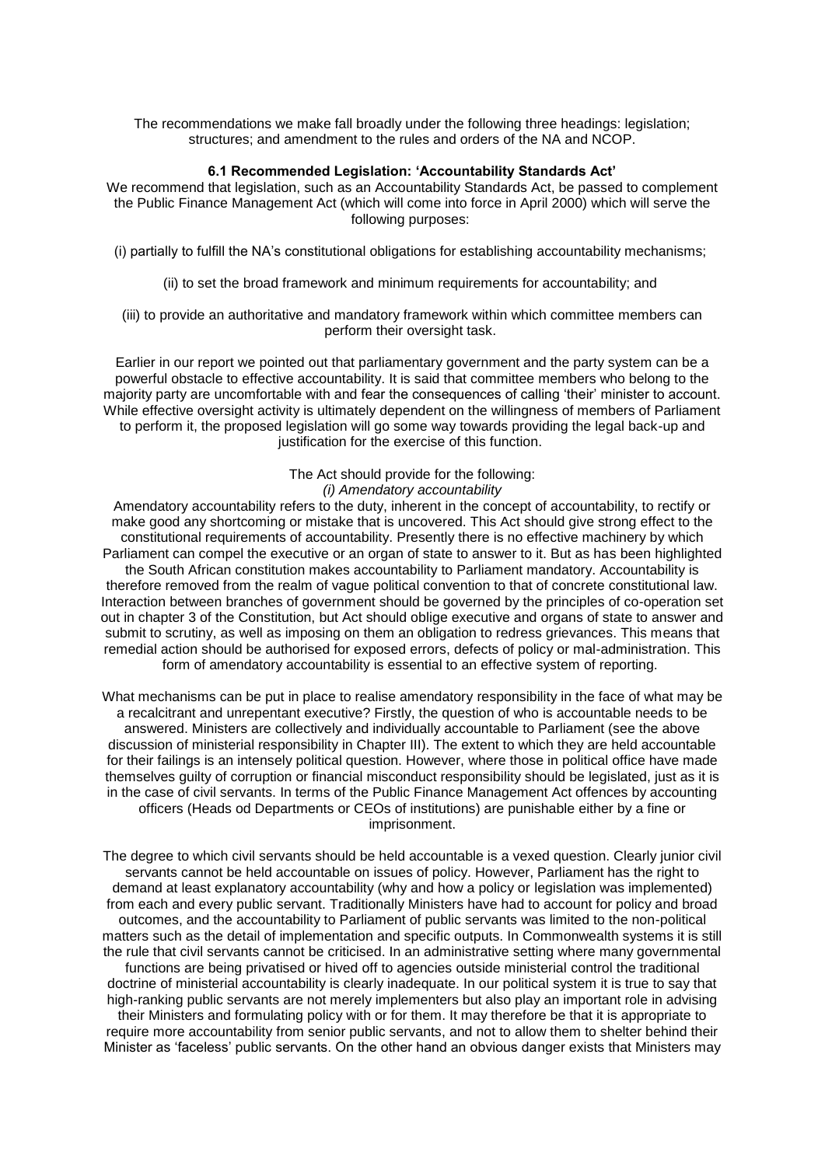The recommendations we make fall broadly under the following three headings: legislation; structures; and amendment to the rules and orders of the NA and NCOP.

#### **6.1 Recommended Legislation: 'Accountability Standards Act'**

We recommend that legislation, such as an Accountability Standards Act, be passed to complement the Public Finance Management Act (which will come into force in April 2000) which will serve the following purposes:

(i) partially to fulfill the NA's constitutional obligations for establishing accountability mechanisms;

(ii) to set the broad framework and minimum requirements for accountability; and

(iii) to provide an authoritative and mandatory framework within which committee members can perform their oversight task.

Earlier in our report we pointed out that parliamentary government and the party system can be a powerful obstacle to effective accountability. It is said that committee members who belong to the majority party are uncomfortable with and fear the consequences of calling 'their' minister to account. While effective oversight activity is ultimately dependent on the willingness of members of Parliament to perform it, the proposed legislation will go some way towards providing the legal back-up and justification for the exercise of this function.

## The Act should provide for the following: *(i) Amendatory accountability*

Amendatory accountability refers to the duty, inherent in the concept of accountability, to rectify or make good any shortcoming or mistake that is uncovered. This Act should give strong effect to the constitutional requirements of accountability. Presently there is no effective machinery by which Parliament can compel the executive or an organ of state to answer to it. But as has been highlighted the South African constitution makes accountability to Parliament mandatory. Accountability is therefore removed from the realm of vague political convention to that of concrete constitutional law. Interaction between branches of government should be governed by the principles of co-operation set out in chapter 3 of the Constitution, but Act should oblige executive and organs of state to answer and submit to scrutiny, as well as imposing on them an obligation to redress grievances. This means that remedial action should be authorised for exposed errors, defects of policy or mal-administration. This form of amendatory accountability is essential to an effective system of reporting.

What mechanisms can be put in place to realise amendatory responsibility in the face of what may be a recalcitrant and unrepentant executive? Firstly, the question of who is accountable needs to be answered. Ministers are collectively and individually accountable to Parliament (see the above discussion of ministerial responsibility in Chapter III). The extent to which they are held accountable for their failings is an intensely political question. However, where those in political office have made themselves guilty of corruption or financial misconduct responsibility should be legislated, just as it is in the case of civil servants. In terms of the Public Finance Management Act offences by accounting officers (Heads od Departments or CEOs of institutions) are punishable either by a fine or imprisonment.

The degree to which civil servants should be held accountable is a vexed question. Clearly junior civil servants cannot be held accountable on issues of policy. However, Parliament has the right to demand at least explanatory accountability (why and how a policy or legislation was implemented) from each and every public servant. Traditionally Ministers have had to account for policy and broad outcomes, and the accountability to Parliament of public servants was limited to the non-political matters such as the detail of implementation and specific outputs. In Commonwealth systems it is still the rule that civil servants cannot be criticised. In an administrative setting where many governmental functions are being privatised or hived off to agencies outside ministerial control the traditional doctrine of ministerial accountability is clearly inadequate. In our political system it is true to say that high-ranking public servants are not merely implementers but also play an important role in advising their Ministers and formulating policy with or for them. It may therefore be that it is appropriate to require more accountability from senior public servants, and not to allow them to shelter behind their Minister as 'faceless' public servants. On the other hand an obvious danger exists that Ministers may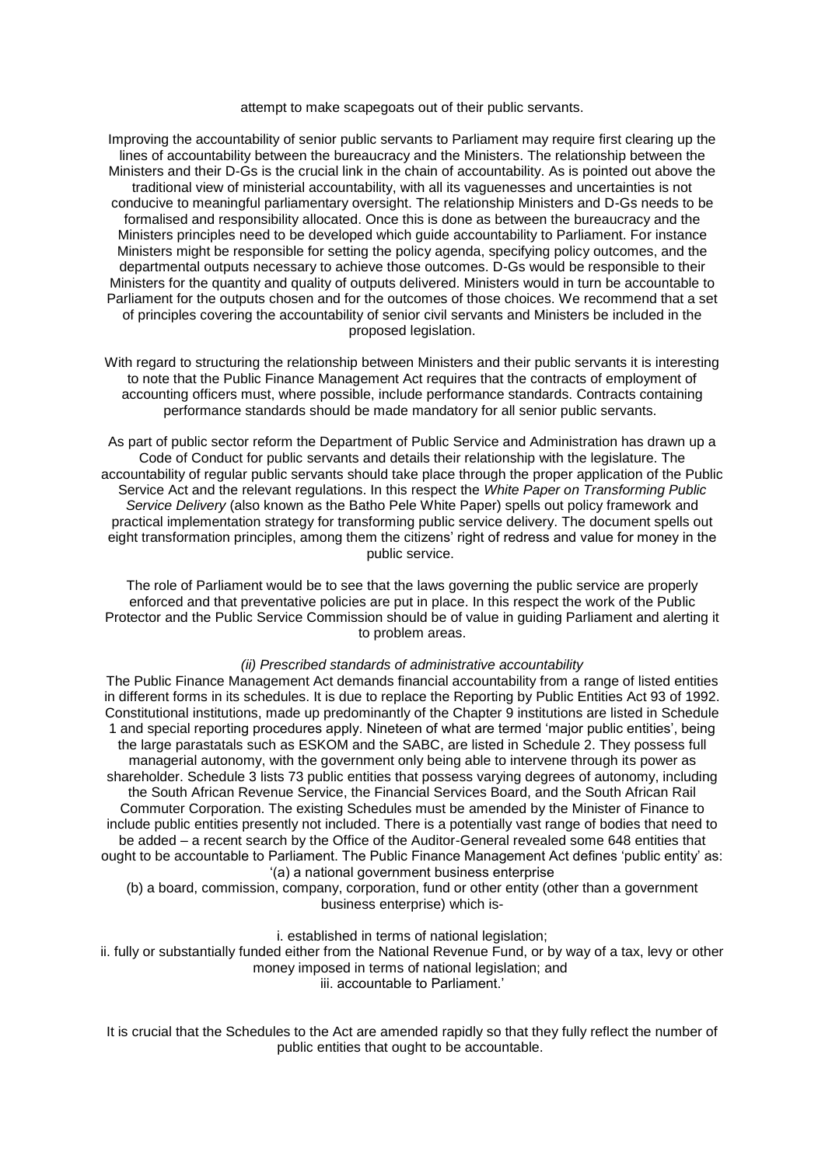attempt to make scapegoats out of their public servants.

Improving the accountability of senior public servants to Parliament may require first clearing up the lines of accountability between the bureaucracy and the Ministers. The relationship between the Ministers and their D-Gs is the crucial link in the chain of accountability. As is pointed out above the traditional view of ministerial accountability, with all its vaguenesses and uncertainties is not conducive to meaningful parliamentary oversight. The relationship Ministers and D-Gs needs to be formalised and responsibility allocated. Once this is done as between the bureaucracy and the Ministers principles need to be developed which guide accountability to Parliament. For instance Ministers might be responsible for setting the policy agenda, specifying policy outcomes, and the departmental outputs necessary to achieve those outcomes. D-Gs would be responsible to their Ministers for the quantity and quality of outputs delivered. Ministers would in turn be accountable to Parliament for the outputs chosen and for the outcomes of those choices. We recommend that a set of principles covering the accountability of senior civil servants and Ministers be included in the proposed legislation.

With regard to structuring the relationship between Ministers and their public servants it is interesting to note that the Public Finance Management Act requires that the contracts of employment of accounting officers must, where possible, include performance standards. Contracts containing performance standards should be made mandatory for all senior public servants.

As part of public sector reform the Department of Public Service and Administration has drawn up a Code of Conduct for public servants and details their relationship with the legislature. The accountability of regular public servants should take place through the proper application of the Public Service Act and the relevant regulations. In this respect the *White Paper on Transforming Public Service Delivery* (also known as the Batho Pele White Paper) spells out policy framework and practical implementation strategy for transforming public service delivery. The document spells out eight transformation principles, among them the citizens' right of redress and value for money in the public service.

The role of Parliament would be to see that the laws governing the public service are properly enforced and that preventative policies are put in place. In this respect the work of the Public Protector and the Public Service Commission should be of value in guiding Parliament and alerting it to problem areas.

### *(ii) Prescribed standards of administrative accountability*

The Public Finance Management Act demands financial accountability from a range of listed entities in different forms in its schedules. It is due to replace the Reporting by Public Entities Act 93 of 1992. Constitutional institutions, made up predominantly of the Chapter 9 institutions are listed in Schedule 1 and special reporting procedures apply. Nineteen of what are termed 'major public entities', being the large parastatals such as ESKOM and the SABC, are listed in Schedule 2. They possess full managerial autonomy, with the government only being able to intervene through its power as shareholder. Schedule 3 lists 73 public entities that possess varying degrees of autonomy, including the South African Revenue Service, the Financial Services Board, and the South African Rail Commuter Corporation. The existing Schedules must be amended by the Minister of Finance to include public entities presently not included. There is a potentially vast range of bodies that need to be added – a recent search by the Office of the Auditor-General revealed some 648 entities that ought to be accountable to Parliament. The Public Finance Management Act defines 'public entity' as: '(a) a national government business enterprise

(b) a board, commission, company, corporation, fund or other entity (other than a government business enterprise) which is-

i. established in terms of national legislation;

ii. fully or substantially funded either from the National Revenue Fund, or by way of a tax, levy or other money imposed in terms of national legislation; and iii. accountable to Parliament.'

It is crucial that the Schedules to the Act are amended rapidly so that they fully reflect the number of public entities that ought to be accountable.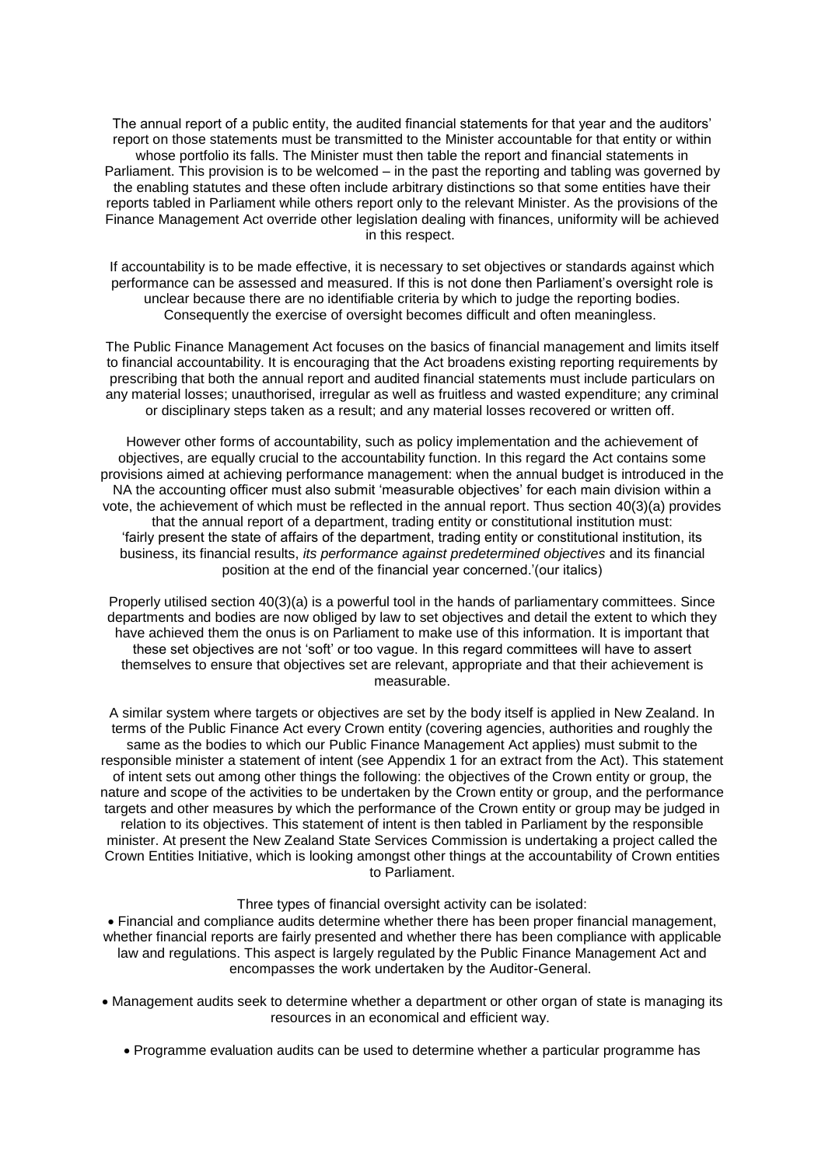The annual report of a public entity, the audited financial statements for that year and the auditors' report on those statements must be transmitted to the Minister accountable for that entity or within whose portfolio its falls. The Minister must then table the report and financial statements in Parliament. This provision is to be welcomed – in the past the reporting and tabling was governed by the enabling statutes and these often include arbitrary distinctions so that some entities have their reports tabled in Parliament while others report only to the relevant Minister. As the provisions of the Finance Management Act override other legislation dealing with finances, uniformity will be achieved in this respect.

If accountability is to be made effective, it is necessary to set objectives or standards against which performance can be assessed and measured. If this is not done then Parliament's oversight role is unclear because there are no identifiable criteria by which to judge the reporting bodies. Consequently the exercise of oversight becomes difficult and often meaningless.

The Public Finance Management Act focuses on the basics of financial management and limits itself to financial accountability. It is encouraging that the Act broadens existing reporting requirements by prescribing that both the annual report and audited financial statements must include particulars on any material losses; unauthorised, irregular as well as fruitless and wasted expenditure; any criminal or disciplinary steps taken as a result; and any material losses recovered or written off.

However other forms of accountability, such as policy implementation and the achievement of objectives, are equally crucial to the accountability function. In this regard the Act contains some provisions aimed at achieving performance management: when the annual budget is introduced in the NA the accounting officer must also submit 'measurable objectives' for each main division within a vote, the achievement of which must be reflected in the annual report. Thus section 40(3)(a) provides that the annual report of a department, trading entity or constitutional institution must: 'fairly present the state of affairs of the department, trading entity or constitutional institution, its business, its financial results, *its performance against predetermined objectives* and its financial position at the end of the financial year concerned.'(our italics)

Properly utilised section 40(3)(a) is a powerful tool in the hands of parliamentary committees. Since departments and bodies are now obliged by law to set objectives and detail the extent to which they have achieved them the onus is on Parliament to make use of this information. It is important that these set objectives are not 'soft' or too vague. In this regard committees will have to assert themselves to ensure that objectives set are relevant, appropriate and that their achievement is measurable.

A similar system where targets or objectives are set by the body itself is applied in New Zealand. In terms of the Public Finance Act every Crown entity (covering agencies, authorities and roughly the same as the bodies to which our Public Finance Management Act applies) must submit to the responsible minister a statement of intent (see Appendix 1 for an extract from the Act). This statement of intent sets out among other things the following: the objectives of the Crown entity or group, the nature and scope of the activities to be undertaken by the Crown entity or group, and the performance targets and other measures by which the performance of the Crown entity or group may be judged in relation to its objectives. This statement of intent is then tabled in Parliament by the responsible minister. At present the New Zealand State Services Commission is undertaking a project called the Crown Entities Initiative, which is looking amongst other things at the accountability of Crown entities to Parliament.

### Three types of financial oversight activity can be isolated:

 Financial and compliance audits determine whether there has been proper financial management, whether financial reports are fairly presented and whether there has been compliance with applicable law and regulations. This aspect is largely regulated by the Public Finance Management Act and encompasses the work undertaken by the Auditor-General.

- Management audits seek to determine whether a department or other organ of state is managing its resources in an economical and efficient way.
	- Programme evaluation audits can be used to determine whether a particular programme has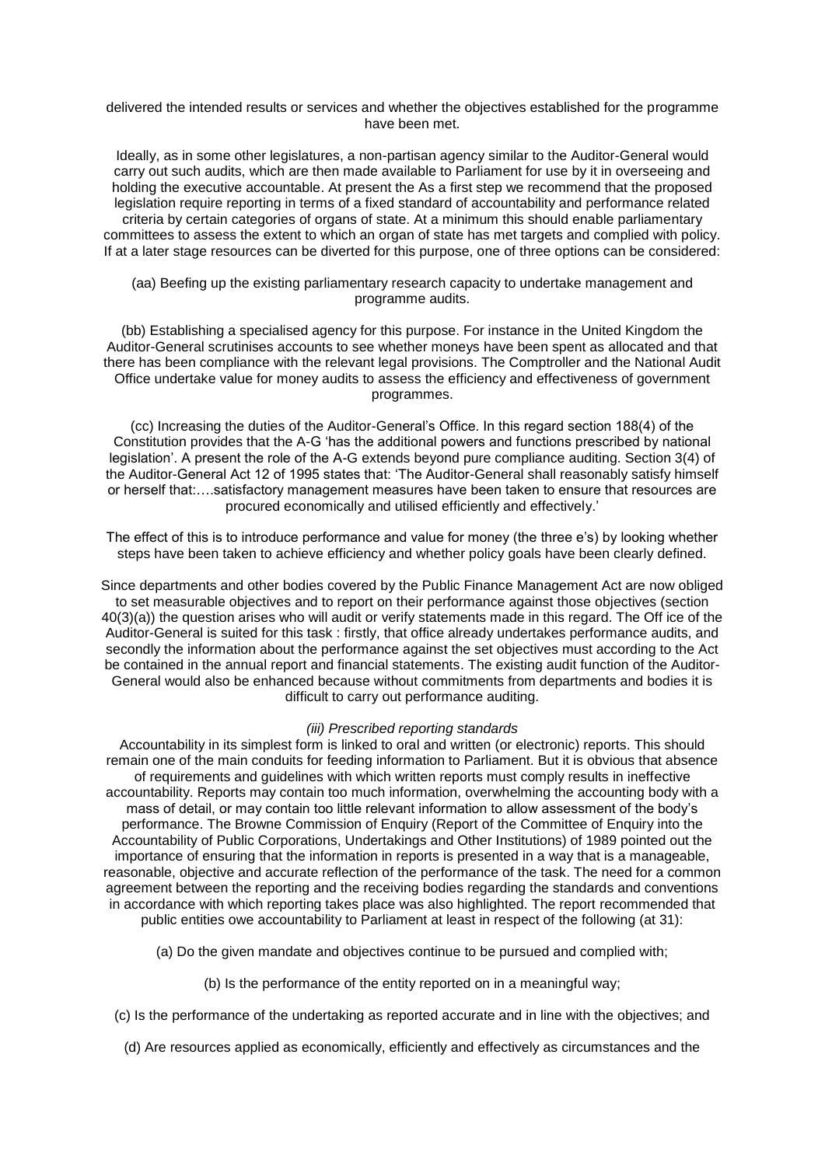### delivered the intended results or services and whether the objectives established for the programme have been met.

Ideally, as in some other legislatures, a non-partisan agency similar to the Auditor-General would carry out such audits, which are then made available to Parliament for use by it in overseeing and holding the executive accountable. At present the As a first step we recommend that the proposed legislation require reporting in terms of a fixed standard of accountability and performance related criteria by certain categories of organs of state. At a minimum this should enable parliamentary committees to assess the extent to which an organ of state has met targets and complied with policy. If at a later stage resources can be diverted for this purpose, one of three options can be considered:

### (aa) Beefing up the existing parliamentary research capacity to undertake management and programme audits.

(bb) Establishing a specialised agency for this purpose. For instance in the United Kingdom the Auditor-General scrutinises accounts to see whether moneys have been spent as allocated and that there has been compliance with the relevant legal provisions. The Comptroller and the National Audit Office undertake value for money audits to assess the efficiency and effectiveness of government programmes.

(cc) Increasing the duties of the Auditor-General's Office. In this regard section 188(4) of the Constitution provides that the A-G 'has the additional powers and functions prescribed by national legislation'. A present the role of the A-G extends beyond pure compliance auditing. Section 3(4) of the Auditor-General Act 12 of 1995 states that: 'The Auditor-General shall reasonably satisfy himself or herself that:….satisfactory management measures have been taken to ensure that resources are procured economically and utilised efficiently and effectively.'

The effect of this is to introduce performance and value for money (the three e's) by looking whether steps have been taken to achieve efficiency and whether policy goals have been clearly defined.

Since departments and other bodies covered by the Public Finance Management Act are now obliged to set measurable objectives and to report on their performance against those objectives (section 40(3)(a)) the question arises who will audit or verify statements made in this regard. The Off ice of the Auditor-General is suited for this task : firstly, that office already undertakes performance audits, and secondly the information about the performance against the set objectives must according to the Act be contained in the annual report and financial statements. The existing audit function of the Auditor-General would also be enhanced because without commitments from departments and bodies it is difficult to carry out performance auditing.

#### *(iii) Prescribed reporting standards*

Accountability in its simplest form is linked to oral and written (or electronic) reports. This should remain one of the main conduits for feeding information to Parliament. But it is obvious that absence of requirements and guidelines with which written reports must comply results in ineffective accountability. Reports may contain too much information, overwhelming the accounting body with a mass of detail, or may contain too little relevant information to allow assessment of the body's performance. The Browne Commission of Enquiry (Report of the Committee of Enquiry into the Accountability of Public Corporations, Undertakings and Other Institutions) of 1989 pointed out the importance of ensuring that the information in reports is presented in a way that is a manageable, reasonable, objective and accurate reflection of the performance of the task. The need for a common agreement between the reporting and the receiving bodies regarding the standards and conventions in accordance with which reporting takes place was also highlighted. The report recommended that public entities owe accountability to Parliament at least in respect of the following (at 31):

- (a) Do the given mandate and objectives continue to be pursued and complied with;
	- (b) Is the performance of the entity reported on in a meaningful way;
- (c) Is the performance of the undertaking as reported accurate and in line with the objectives; and
	- (d) Are resources applied as economically, efficiently and effectively as circumstances and the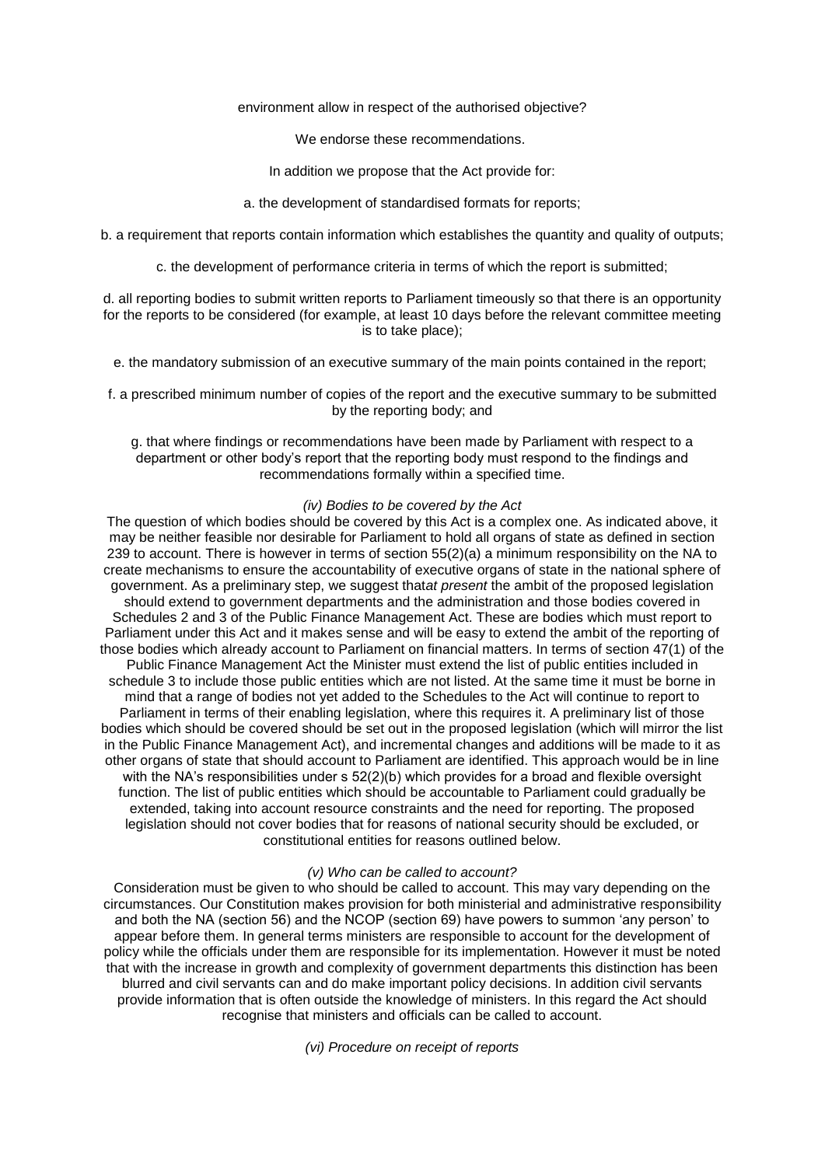### environment allow in respect of the authorised objective?

We endorse these recommendations.

In addition we propose that the Act provide for:

a. the development of standardised formats for reports;

b. a requirement that reports contain information which establishes the quantity and quality of outputs;

c. the development of performance criteria in terms of which the report is submitted;

d. all reporting bodies to submit written reports to Parliament timeously so that there is an opportunity for the reports to be considered (for example, at least 10 days before the relevant committee meeting is to take place);

e. the mandatory submission of an executive summary of the main points contained in the report;

f. a prescribed minimum number of copies of the report and the executive summary to be submitted by the reporting body; and

g. that where findings or recommendations have been made by Parliament with respect to a department or other body's report that the reporting body must respond to the findings and recommendations formally within a specified time.

## *(iv) Bodies to be covered by the Act*

The question of which bodies should be covered by this Act is a complex one. As indicated above, it may be neither feasible nor desirable for Parliament to hold all organs of state as defined in section 239 to account. There is however in terms of section 55(2)(a) a minimum responsibility on the NA to create mechanisms to ensure the accountability of executive organs of state in the national sphere of government. As a preliminary step, we suggest that*at present* the ambit of the proposed legislation should extend to government departments and the administration and those bodies covered in Schedules 2 and 3 of the Public Finance Management Act. These are bodies which must report to Parliament under this Act and it makes sense and will be easy to extend the ambit of the reporting of those bodies which already account to Parliament on financial matters. In terms of section 47(1) of the Public Finance Management Act the Minister must extend the list of public entities included in schedule 3 to include those public entities which are not listed. At the same time it must be borne in mind that a range of bodies not yet added to the Schedules to the Act will continue to report to Parliament in terms of their enabling legislation, where this requires it. A preliminary list of those bodies which should be covered should be set out in the proposed legislation (which will mirror the list in the Public Finance Management Act), and incremental changes and additions will be made to it as other organs of state that should account to Parliament are identified. This approach would be in line with the NA's responsibilities under s  $52(2)(b)$  which provides for a broad and flexible oversight function. The list of public entities which should be accountable to Parliament could gradually be extended, taking into account resource constraints and the need for reporting. The proposed legislation should not cover bodies that for reasons of national security should be excluded, or constitutional entities for reasons outlined below.

#### *(v) Who can be called to account?*

Consideration must be given to who should be called to account. This may vary depending on the circumstances. Our Constitution makes provision for both ministerial and administrative responsibility and both the NA (section 56) and the NCOP (section 69) have powers to summon 'any person' to appear before them. In general terms ministers are responsible to account for the development of policy while the officials under them are responsible for its implementation. However it must be noted that with the increase in growth and complexity of government departments this distinction has been blurred and civil servants can and do make important policy decisions. In addition civil servants provide information that is often outside the knowledge of ministers. In this regard the Act should recognise that ministers and officials can be called to account.

*(vi) Procedure on receipt of reports*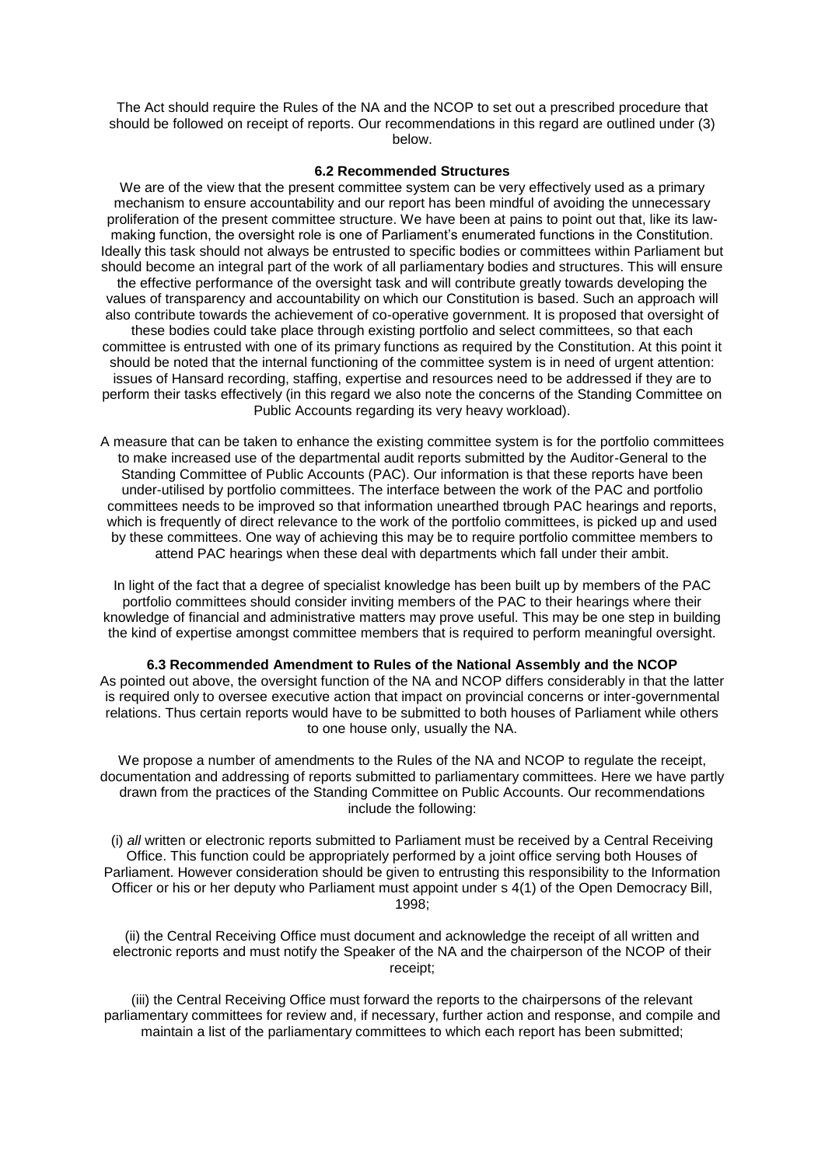The Act should require the Rules of the NA and the NCOP to set out a prescribed procedure that should be followed on receipt of reports. Our recommendations in this regard are outlined under (3) below.

#### **6.2 Recommended Structures**

We are of the view that the present committee system can be very effectively used as a primary mechanism to ensure accountability and our report has been mindful of avoiding the unnecessary proliferation of the present committee structure. We have been at pains to point out that, like its lawmaking function, the oversight role is one of Parliament's enumerated functions in the Constitution. Ideally this task should not always be entrusted to specific bodies or committees within Parliament but should become an integral part of the work of all parliamentary bodies and structures. This will ensure the effective performance of the oversight task and will contribute greatly towards developing the values of transparency and accountability on which our Constitution is based. Such an approach will also contribute towards the achievement of co-operative government. It is proposed that oversight of these bodies could take place through existing portfolio and select committees, so that each committee is entrusted with one of its primary functions as required by the Constitution. At this point it should be noted that the internal functioning of the committee system is in need of urgent attention: issues of Hansard recording, staffing, expertise and resources need to be addressed if they are to perform their tasks effectively (in this regard we also note the concerns of the Standing Committee on Public Accounts regarding its very heavy workload).

A measure that can be taken to enhance the existing committee system is for the portfolio committees to make increased use of the departmental audit reports submitted by the Auditor-General to the Standing Committee of Public Accounts (PAC). Our information is that these reports have been under-utilised by portfolio committees. The interface between the work of the PAC and portfolio committees needs to be improved so that information unearthed tbrough PAC hearings and reports, which is frequently of direct relevance to the work of the portfolio committees, is picked up and used by these committees. One way of achieving this may be to require portfolio committee members to attend PAC hearings when these deal with departments which fall under their ambit.

In light of the fact that a degree of specialist knowledge has been built up by members of the PAC portfolio committees should consider inviting members of the PAC to their hearings where their knowledge of financial and administrative matters may prove useful. This may be one step in building the kind of expertise amongst committee members that is required to perform meaningful oversight.

**6.3 Recommended Amendment to Rules of the National Assembly and the NCOP** As pointed out above, the oversight function of the NA and NCOP differs considerably in that the latter is required only to oversee executive action that impact on provincial concerns or inter-governmental relations. Thus certain reports would have to be submitted to both houses of Parliament while others to one house only, usually the NA.

We propose a number of amendments to the Rules of the NA and NCOP to regulate the receipt, documentation and addressing of reports submitted to parliamentary committees. Here we have partly drawn from the practices of the Standing Committee on Public Accounts. Our recommendations include the following:

(i) *all* written or electronic reports submitted to Parliament must be received by a Central Receiving Office. This function could be appropriately performed by a joint office serving both Houses of Parliament. However consideration should be given to entrusting this responsibility to the Information Officer or his or her deputy who Parliament must appoint under s 4(1) of the Open Democracy Bill, 1998;

(ii) the Central Receiving Office must document and acknowledge the receipt of all written and electronic reports and must notify the Speaker of the NA and the chairperson of the NCOP of their receipt;

(iii) the Central Receiving Office must forward the reports to the chairpersons of the relevant parliamentary committees for review and, if necessary, further action and response, and compile and maintain a list of the parliamentary committees to which each report has been submitted;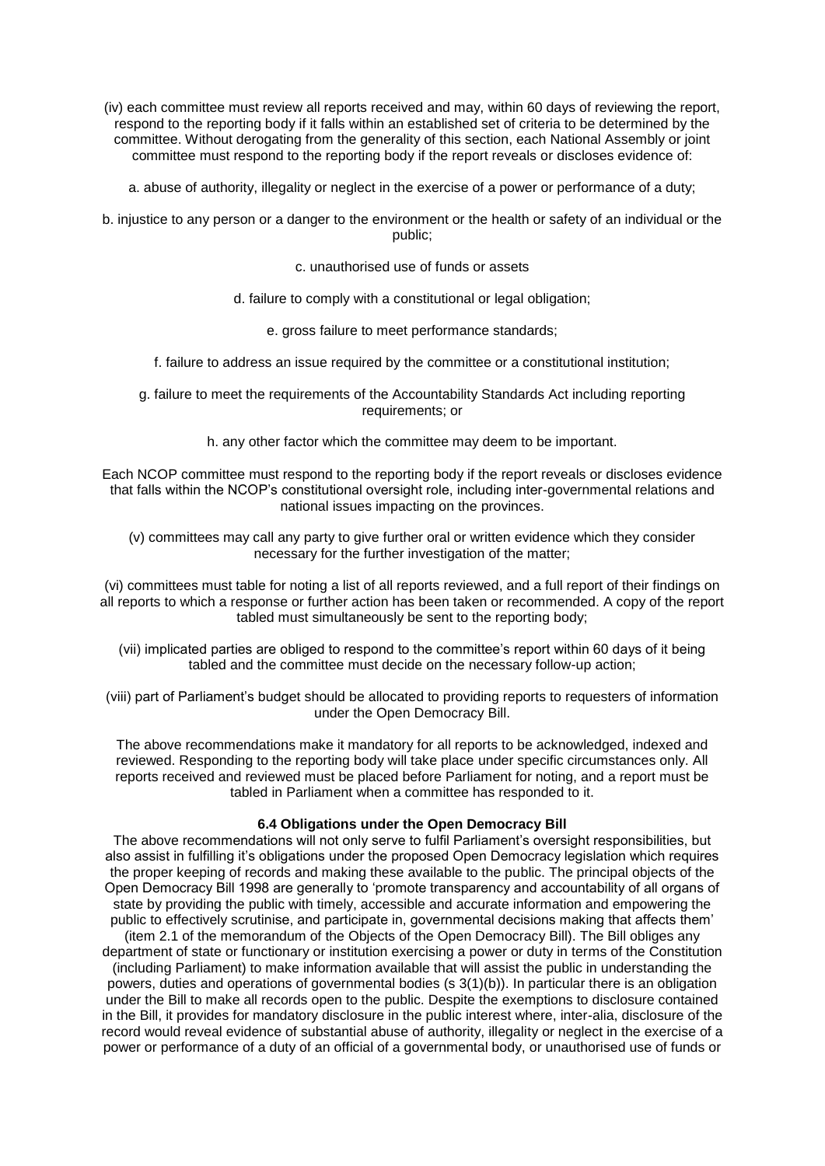(iv) each committee must review all reports received and may, within 60 days of reviewing the report, respond to the reporting body if it falls within an established set of criteria to be determined by the committee. Without derogating from the generality of this section, each National Assembly or joint committee must respond to the reporting body if the report reveals or discloses evidence of:

a. abuse of authority, illegality or neglect in the exercise of a power or performance of a duty;

b. injustice to any person or a danger to the environment or the health or safety of an individual or the public;

c. unauthorised use of funds or assets

- d. failure to comply with a constitutional or legal obligation;
	- e. gross failure to meet performance standards;
- f. failure to address an issue required by the committee or a constitutional institution;
- g. failure to meet the requirements of the Accountability Standards Act including reporting requirements; or
	- h. any other factor which the committee may deem to be important.

Each NCOP committee must respond to the reporting body if the report reveals or discloses evidence that falls within the NCOP's constitutional oversight role, including inter-governmental relations and national issues impacting on the provinces.

(v) committees may call any party to give further oral or written evidence which they consider necessary for the further investigation of the matter;

(vi) committees must table for noting a list of all reports reviewed, and a full report of their findings on all reports to which a response or further action has been taken or recommended. A copy of the report tabled must simultaneously be sent to the reporting body;

(vii) implicated parties are obliged to respond to the committee's report within 60 days of it being tabled and the committee must decide on the necessary follow-up action;

(viii) part of Parliament's budget should be allocated to providing reports to requesters of information under the Open Democracy Bill.

The above recommendations make it mandatory for all reports to be acknowledged, indexed and reviewed. Responding to the reporting body will take place under specific circumstances only. All reports received and reviewed must be placed before Parliament for noting, and a report must be tabled in Parliament when a committee has responded to it.

## **6.4 Obligations under the Open Democracy Bill**

The above recommendations will not only serve to fulfil Parliament's oversight responsibilities, but also assist in fulfilling it's obligations under the proposed Open Democracy legislation which requires the proper keeping of records and making these available to the public. The principal objects of the Open Democracy Bill 1998 are generally to 'promote transparency and accountability of all organs of state by providing the public with timely, accessible and accurate information and empowering the public to effectively scrutinise, and participate in, governmental decisions making that affects them' (item 2.1 of the memorandum of the Objects of the Open Democracy Bill). The Bill obliges any department of state or functionary or institution exercising a power or duty in terms of the Constitution (including Parliament) to make information available that will assist the public in understanding the powers, duties and operations of governmental bodies (s 3(1)(b)). In particular there is an obligation under the Bill to make all records open to the public. Despite the exemptions to disclosure contained in the Bill, it provides for mandatory disclosure in the public interest where, inter-alia, disclosure of the record would reveal evidence of substantial abuse of authority, illegality or neglect in the exercise of a power or performance of a duty of an official of a governmental body, or unauthorised use of funds or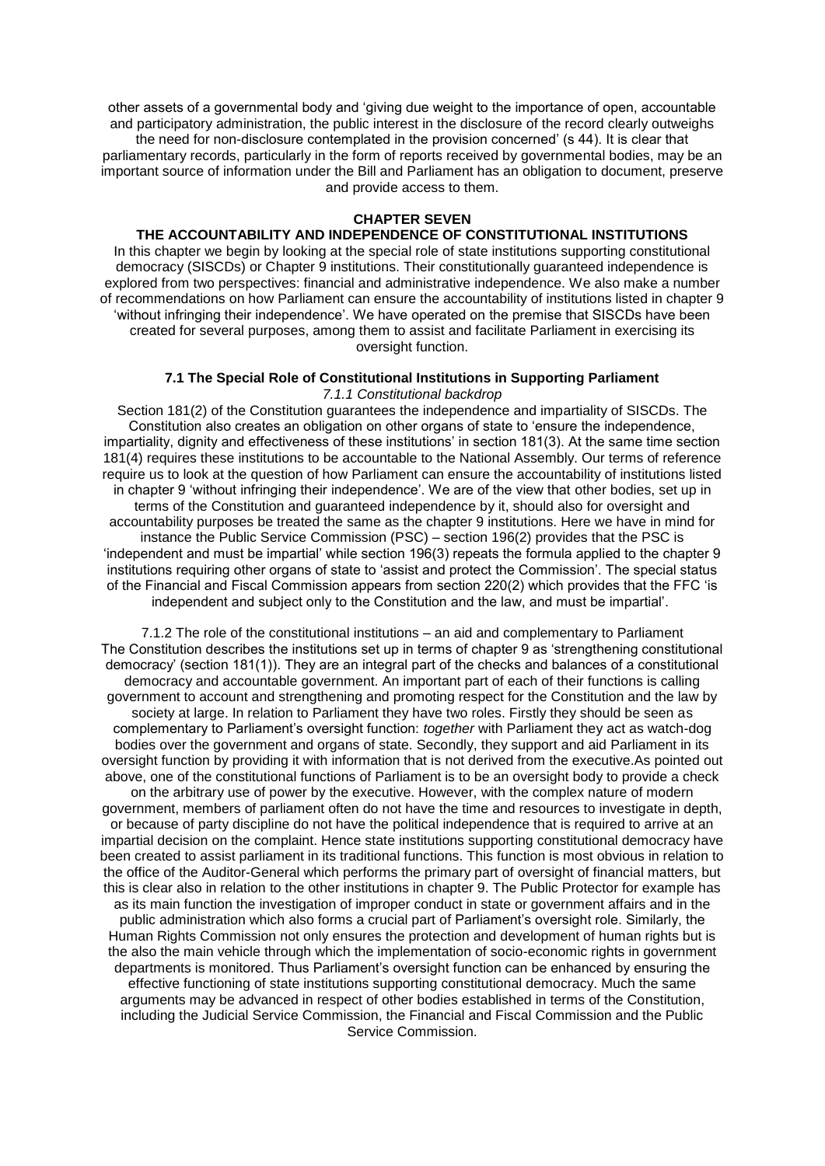other assets of a governmental body and 'giving due weight to the importance of open, accountable and participatory administration, the public interest in the disclosure of the record clearly outweighs the need for non-disclosure contemplated in the provision concerned' (s 44). It is clear that parliamentary records, particularly in the form of reports received by governmental bodies, may be an important source of information under the Bill and Parliament has an obligation to document, preserve and provide access to them.

## **CHAPTER SEVEN**

## **THE ACCOUNTABILITY AND INDEPENDENCE OF CONSTITUTIONAL INSTITUTIONS**

In this chapter we begin by looking at the special role of state institutions supporting constitutional democracy (SISCDs) or Chapter 9 institutions. Their constitutionally guaranteed independence is explored from two perspectives: financial and administrative independence. We also make a number of recommendations on how Parliament can ensure the accountability of institutions listed in chapter 9 'without infringing their independence'. We have operated on the premise that SISCDs have been created for several purposes, among them to assist and facilitate Parliament in exercising its oversight function.

## **7.1 The Special Role of Constitutional Institutions in Supporting Parliament** *7.1.1 Constitutional backdrop*

Section 181(2) of the Constitution guarantees the independence and impartiality of SISCDs. The Constitution also creates an obligation on other organs of state to 'ensure the independence, impartiality, dignity and effectiveness of these institutions' in section 181(3). At the same time section 181(4) requires these institutions to be accountable to the National Assembly. Our terms of reference require us to look at the question of how Parliament can ensure the accountability of institutions listed in chapter 9 'without infringing their independence'. We are of the view that other bodies, set up in terms of the Constitution and guaranteed independence by it, should also for oversight and accountability purposes be treated the same as the chapter 9 institutions. Here we have in mind for instance the Public Service Commission (PSC) – section 196(2) provides that the PSC is 'independent and must be impartial' while section 196(3) repeats the formula applied to the chapter 9 institutions requiring other organs of state to 'assist and protect the Commission'. The special status of the Financial and Fiscal Commission appears from section 220(2) which provides that the FFC 'is independent and subject only to the Constitution and the law, and must be impartial'.

7.1.2 The role of the constitutional institutions – an aid and complementary to Parliament The Constitution describes the institutions set up in terms of chapter 9 as 'strengthening constitutional democracy' (section 181(1)). They are an integral part of the checks and balances of a constitutional democracy and accountable government. An important part of each of their functions is calling government to account and strengthening and promoting respect for the Constitution and the law by society at large. In relation to Parliament they have two roles. Firstly they should be seen as complementary to Parliament's oversight function: *together* with Parliament they act as watch-dog bodies over the government and organs of state. Secondly, they support and aid Parliament in its oversight function by providing it with information that is not derived from the executive.As pointed out above, one of the constitutional functions of Parliament is to be an oversight body to provide a check on the arbitrary use of power by the executive. However, with the complex nature of modern government, members of parliament often do not have the time and resources to investigate in depth, or because of party discipline do not have the political independence that is required to arrive at an impartial decision on the complaint. Hence state institutions supporting constitutional democracy have been created to assist parliament in its traditional functions. This function is most obvious in relation to the office of the Auditor-General which performs the primary part of oversight of financial matters, but this is clear also in relation to the other institutions in chapter 9. The Public Protector for example has as its main function the investigation of improper conduct in state or government affairs and in the public administration which also forms a crucial part of Parliament's oversight role. Similarly, the Human Rights Commission not only ensures the protection and development of human rights but is the also the main vehicle through which the implementation of socio-economic rights in government departments is monitored. Thus Parliament's oversight function can be enhanced by ensuring the effective functioning of state institutions supporting constitutional democracy. Much the same arguments may be advanced in respect of other bodies established in terms of the Constitution, including the Judicial Service Commission, the Financial and Fiscal Commission and the Public Service Commission.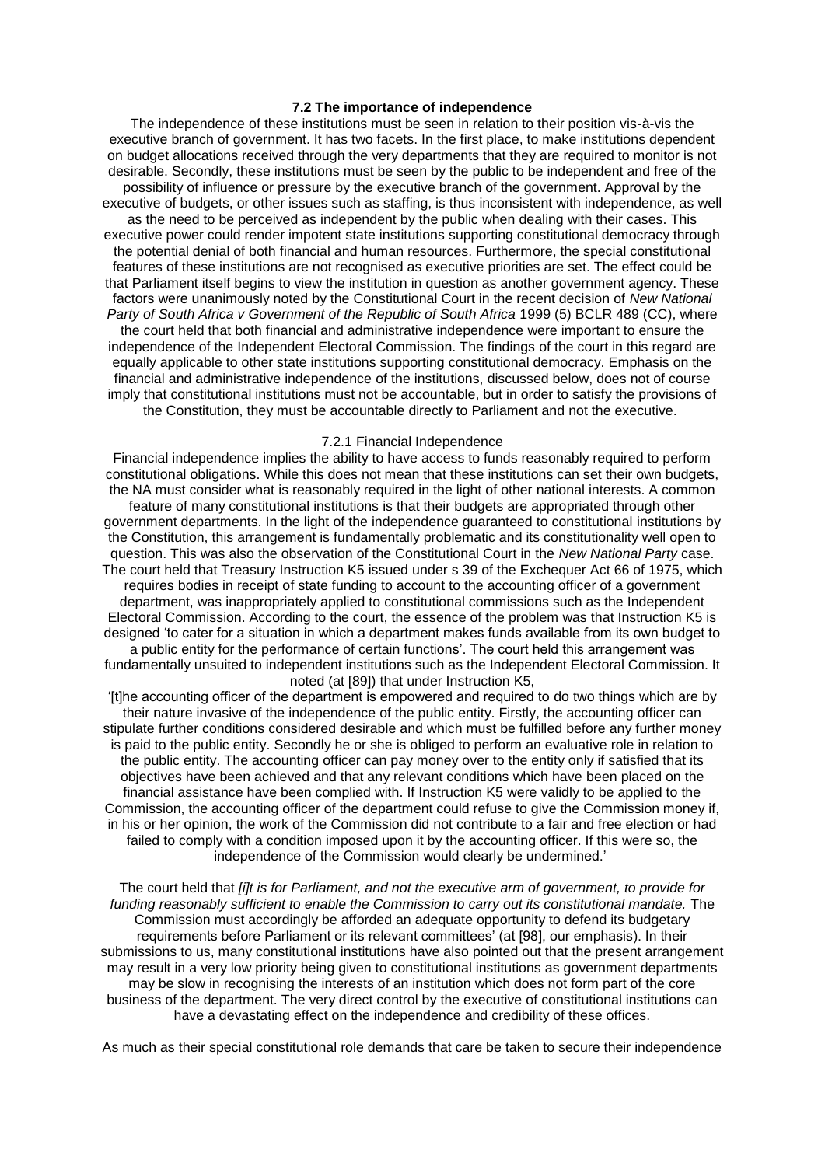## **7.2 The importance of independence**

The independence of these institutions must be seen in relation to their position vis-à-vis the executive branch of government. It has two facets. In the first place, to make institutions dependent on budget allocations received through the very departments that they are required to monitor is not desirable. Secondly, these institutions must be seen by the public to be independent and free of the possibility of influence or pressure by the executive branch of the government. Approval by the executive of budgets, or other issues such as staffing, is thus inconsistent with independence, as well as the need to be perceived as independent by the public when dealing with their cases. This executive power could render impotent state institutions supporting constitutional democracy through the potential denial of both financial and human resources. Furthermore, the special constitutional features of these institutions are not recognised as executive priorities are set. The effect could be that Parliament itself begins to view the institution in question as another government agency. These factors were unanimously noted by the Constitutional Court in the recent decision of *New National Party of South Africa v Government of the Republic of South Africa* 1999 (5) BCLR 489 (CC), where the court held that both financial and administrative independence were important to ensure the independence of the Independent Electoral Commission. The findings of the court in this regard are equally applicable to other state institutions supporting constitutional democracy. Emphasis on the financial and administrative independence of the institutions, discussed below, does not of course imply that constitutional institutions must not be accountable, but in order to satisfy the provisions of the Constitution, they must be accountable directly to Parliament and not the executive.

#### 7.2.1 Financial Independence

Financial independence implies the ability to have access to funds reasonably required to perform constitutional obligations. While this does not mean that these institutions can set their own budgets, the NA must consider what is reasonably required in the light of other national interests. A common feature of many constitutional institutions is that their budgets are appropriated through other government departments. In the light of the independence guaranteed to constitutional institutions by the Constitution, this arrangement is fundamentally problematic and its constitutionality well open to question. This was also the observation of the Constitutional Court in the *New National Party* case. The court held that Treasury Instruction K5 issued under s 39 of the Exchequer Act 66 of 1975, which requires bodies in receipt of state funding to account to the accounting officer of a government department, was inappropriately applied to constitutional commissions such as the Independent Electoral Commission. According to the court, the essence of the problem was that Instruction K5 is designed 'to cater for a situation in which a department makes funds available from its own budget to a public entity for the performance of certain functions'. The court held this arrangement was fundamentally unsuited to independent institutions such as the Independent Electoral Commission. It noted (at [89]) that under Instruction K5,

'[t]he accounting officer of the department is empowered and required to do two things which are by their nature invasive of the independence of the public entity. Firstly, the accounting officer can stipulate further conditions considered desirable and which must be fulfilled before any further money is paid to the public entity. Secondly he or she is obliged to perform an evaluative role in relation to the public entity. The accounting officer can pay money over to the entity only if satisfied that its objectives have been achieved and that any relevant conditions which have been placed on the financial assistance have been complied with. If Instruction K5 were validly to be applied to the Commission, the accounting officer of the department could refuse to give the Commission money if, in his or her opinion, the work of the Commission did not contribute to a fair and free election or had failed to comply with a condition imposed upon it by the accounting officer. If this were so, the independence of the Commission would clearly be undermined.'

The court held that *[i]t is for Parliament, and not the executive arm of government, to provide for funding reasonably sufficient to enable the Commission to carry out its constitutional mandate.* The Commission must accordingly be afforded an adequate opportunity to defend its budgetary requirements before Parliament or its relevant committees' (at [98], our emphasis). In their submissions to us, many constitutional institutions have also pointed out that the present arrangement may result in a very low priority being given to constitutional institutions as government departments may be slow in recognising the interests of an institution which does not form part of the core business of the department. The very direct control by the executive of constitutional institutions can have a devastating effect on the independence and credibility of these offices.

As much as their special constitutional role demands that care be taken to secure their independence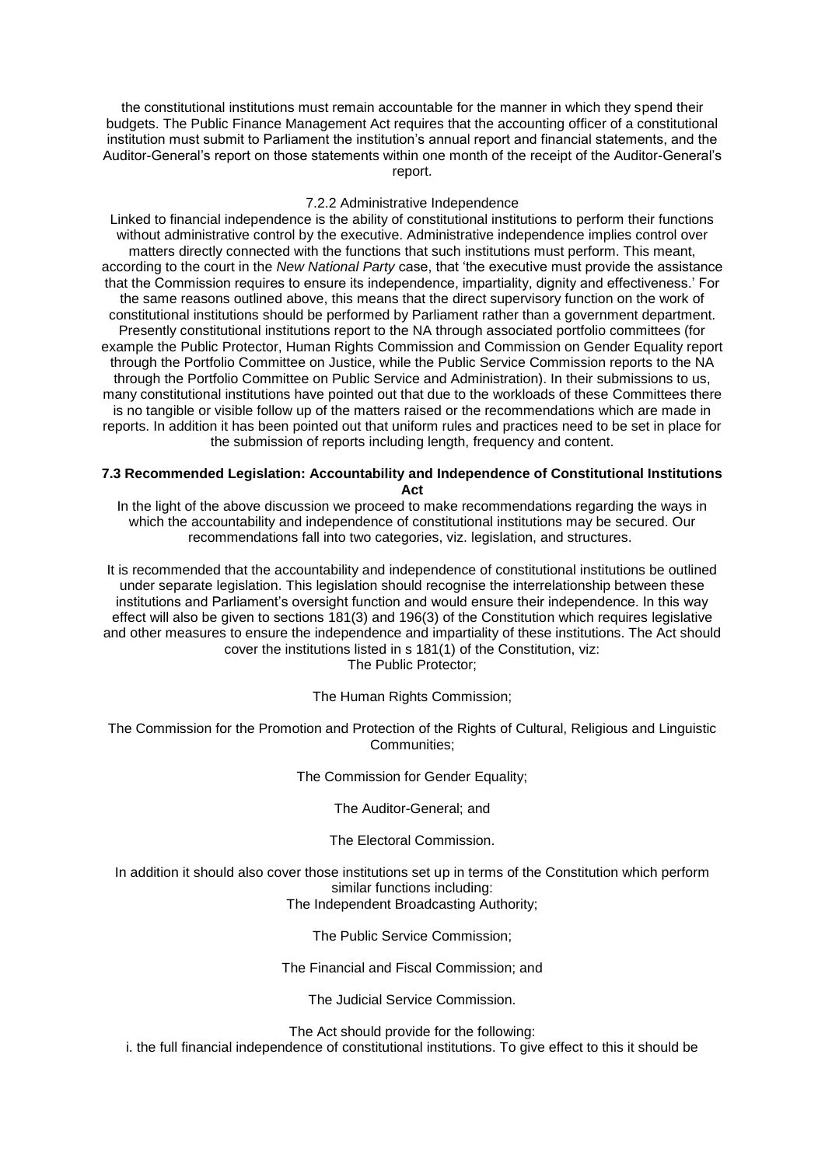the constitutional institutions must remain accountable for the manner in which they spend their budgets. The Public Finance Management Act requires that the accounting officer of a constitutional institution must submit to Parliament the institution's annual report and financial statements, and the Auditor-General's report on those statements within one month of the receipt of the Auditor-General's report.

#### 7.2.2 Administrative Independence

Linked to financial independence is the ability of constitutional institutions to perform their functions without administrative control by the executive. Administrative independence implies control over matters directly connected with the functions that such institutions must perform. This meant, according to the court in the *New National Party* case, that 'the executive must provide the assistance that the Commission requires to ensure its independence, impartiality, dignity and effectiveness.' For the same reasons outlined above, this means that the direct supervisory function on the work of constitutional institutions should be performed by Parliament rather than a government department. Presently constitutional institutions report to the NA through associated portfolio committees (for example the Public Protector, Human Rights Commission and Commission on Gender Equality report through the Portfolio Committee on Justice, while the Public Service Commission reports to the NA through the Portfolio Committee on Public Service and Administration). In their submissions to us, many constitutional institutions have pointed out that due to the workloads of these Committees there is no tangible or visible follow up of the matters raised or the recommendations which are made in reports. In addition it has been pointed out that uniform rules and practices need to be set in place for the submission of reports including length, frequency and content.

### **7.3 Recommended Legislation: Accountability and Independence of Constitutional Institutions Act**

In the light of the above discussion we proceed to make recommendations regarding the ways in which the accountability and independence of constitutional institutions may be secured. Our recommendations fall into two categories, viz. legislation, and structures.

It is recommended that the accountability and independence of constitutional institutions be outlined under separate legislation. This legislation should recognise the interrelationship between these institutions and Parliament's oversight function and would ensure their independence. In this way effect will also be given to sections 181(3) and 196(3) of the Constitution which requires legislative and other measures to ensure the independence and impartiality of these institutions. The Act should cover the institutions listed in s 181(1) of the Constitution, viz: The Public Protector;

The Human Rights Commission;

The Commission for the Promotion and Protection of the Rights of Cultural, Religious and Linguistic Communities;

The Commission for Gender Equality;

The Auditor-General; and

The Electoral Commission.

In addition it should also cover those institutions set up in terms of the Constitution which perform similar functions including: The Independent Broadcasting Authority;

The Public Service Commission;

The Financial and Fiscal Commission; and

The Judicial Service Commission.

The Act should provide for the following:

i. the full financial independence of constitutional institutions. To give effect to this it should be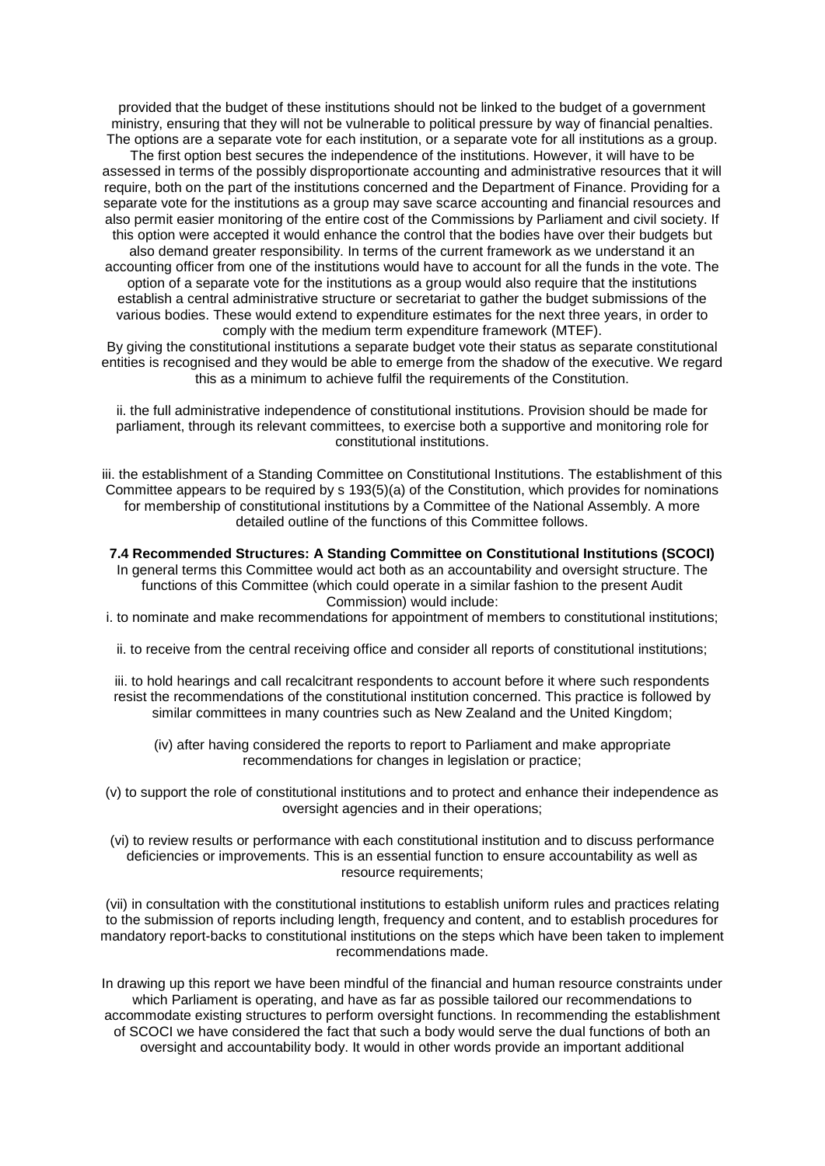provided that the budget of these institutions should not be linked to the budget of a government ministry, ensuring that they will not be vulnerable to political pressure by way of financial penalties. The options are a separate vote for each institution, or a separate vote for all institutions as a group. The first option best secures the independence of the institutions. However, it will have to be assessed in terms of the possibly disproportionate accounting and administrative resources that it will require, both on the part of the institutions concerned and the Department of Finance. Providing for a separate vote for the institutions as a group may save scarce accounting and financial resources and also permit easier monitoring of the entire cost of the Commissions by Parliament and civil society. If this option were accepted it would enhance the control that the bodies have over their budgets but also demand greater responsibility. In terms of the current framework as we understand it an accounting officer from one of the institutions would have to account for all the funds in the vote. The option of a separate vote for the institutions as a group would also require that the institutions establish a central administrative structure or secretariat to gather the budget submissions of the various bodies. These would extend to expenditure estimates for the next three years, in order to comply with the medium term expenditure framework (MTEF).

By giving the constitutional institutions a separate budget vote their status as separate constitutional entities is recognised and they would be able to emerge from the shadow of the executive. We regard this as a minimum to achieve fulfil the requirements of the Constitution.

ii. the full administrative independence of constitutional institutions. Provision should be made for parliament, through its relevant committees, to exercise both a supportive and monitoring role for constitutional institutions.

iii. the establishment of a Standing Committee on Constitutional Institutions. The establishment of this Committee appears to be required by s 193(5)(a) of the Constitution, which provides for nominations for membership of constitutional institutions by a Committee of the National Assembly. A more detailed outline of the functions of this Committee follows.

## **7.4 Recommended Structures: A Standing Committee on Constitutional Institutions (SCOCI)**

In general terms this Committee would act both as an accountability and oversight structure. The functions of this Committee (which could operate in a similar fashion to the present Audit Commission) would include:

- i. to nominate and make recommendations for appointment of members to constitutional institutions;
	- ii. to receive from the central receiving office and consider all reports of constitutional institutions;

iii. to hold hearings and call recalcitrant respondents to account before it where such respondents resist the recommendations of the constitutional institution concerned. This practice is followed by similar committees in many countries such as New Zealand and the United Kingdom;

- (iv) after having considered the reports to report to Parliament and make appropriate recommendations for changes in legislation or practice;
- (v) to support the role of constitutional institutions and to protect and enhance their independence as oversight agencies and in their operations;
- (vi) to review results or performance with each constitutional institution and to discuss performance deficiencies or improvements. This is an essential function to ensure accountability as well as resource requirements;

(vii) in consultation with the constitutional institutions to establish uniform rules and practices relating to the submission of reports including length, frequency and content, and to establish procedures for mandatory report-backs to constitutional institutions on the steps which have been taken to implement recommendations made.

In drawing up this report we have been mindful of the financial and human resource constraints under which Parliament is operating, and have as far as possible tailored our recommendations to accommodate existing structures to perform oversight functions. In recommending the establishment of SCOCI we have considered the fact that such a body would serve the dual functions of both an oversight and accountability body. It would in other words provide an important additional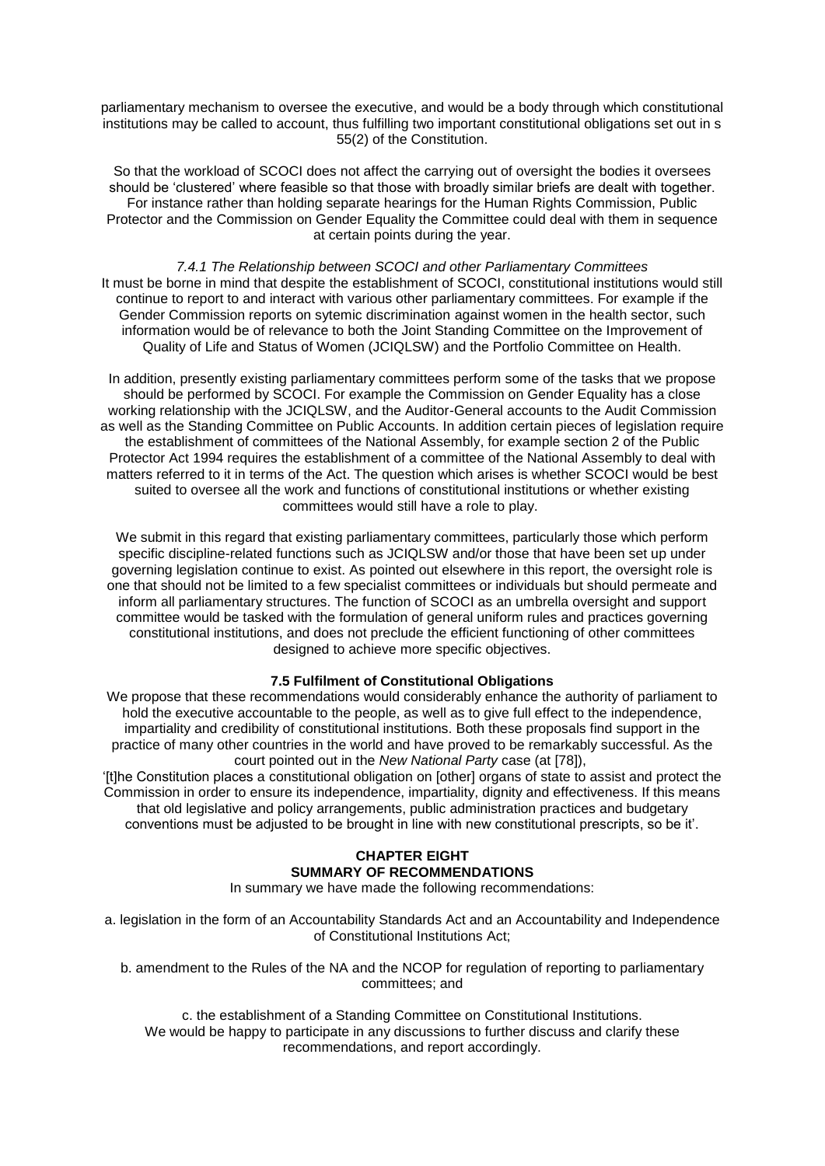parliamentary mechanism to oversee the executive, and would be a body through which constitutional institutions may be called to account, thus fulfilling two important constitutional obligations set out in s 55(2) of the Constitution.

So that the workload of SCOCI does not affect the carrying out of oversight the bodies it oversees should be 'clustered' where feasible so that those with broadly similar briefs are dealt with together. For instance rather than holding separate hearings for the Human Rights Commission, Public Protector and the Commission on Gender Equality the Committee could deal with them in sequence at certain points during the year.

*7.4.1 The Relationship between SCOCI and other Parliamentary Committees* It must be borne in mind that despite the establishment of SCOCI, constitutional institutions would still continue to report to and interact with various other parliamentary committees. For example if the Gender Commission reports on sytemic discrimination against women in the health sector, such information would be of relevance to both the Joint Standing Committee on the Improvement of Quality of Life and Status of Women (JCIQLSW) and the Portfolio Committee on Health.

In addition, presently existing parliamentary committees perform some of the tasks that we propose should be performed by SCOCI. For example the Commission on Gender Equality has a close working relationship with the JCIQLSW, and the Auditor-General accounts to the Audit Commission as well as the Standing Committee on Public Accounts. In addition certain pieces of legislation require the establishment of committees of the National Assembly, for example section 2 of the Public Protector Act 1994 requires the establishment of a committee of the National Assembly to deal with matters referred to it in terms of the Act. The question which arises is whether SCOCI would be best suited to oversee all the work and functions of constitutional institutions or whether existing committees would still have a role to play.

We submit in this regard that existing parliamentary committees, particularly those which perform specific discipline-related functions such as JCIQLSW and/or those that have been set up under governing legislation continue to exist. As pointed out elsewhere in this report, the oversight role is one that should not be limited to a few specialist committees or individuals but should permeate and inform all parliamentary structures. The function of SCOCI as an umbrella oversight and support committee would be tasked with the formulation of general uniform rules and practices governing constitutional institutions, and does not preclude the efficient functioning of other committees designed to achieve more specific objectives.

## **7.5 Fulfilment of Constitutional Obligations**

We propose that these recommendations would considerably enhance the authority of parliament to hold the executive accountable to the people, as well as to give full effect to the independence, impartiality and credibility of constitutional institutions. Both these proposals find support in the practice of many other countries in the world and have proved to be remarkably successful. As the court pointed out in the *New National Party* case (at [78]),

'[t]he Constitution places a constitutional obligation on [other] organs of state to assist and protect the Commission in order to ensure its independence, impartiality, dignity and effectiveness. If this means that old legislative and policy arrangements, public administration practices and budgetary conventions must be adjusted to be brought in line with new constitutional prescripts, so be it'.

# **CHAPTER EIGHT SUMMARY OF RECOMMENDATIONS**

In summary we have made the following recommendations:

a. legislation in the form of an Accountability Standards Act and an Accountability and Independence of Constitutional Institutions Act;

b. amendment to the Rules of the NA and the NCOP for regulation of reporting to parliamentary committees; and

c. the establishment of a Standing Committee on Constitutional Institutions. We would be happy to participate in any discussions to further discuss and clarify these recommendations, and report accordingly.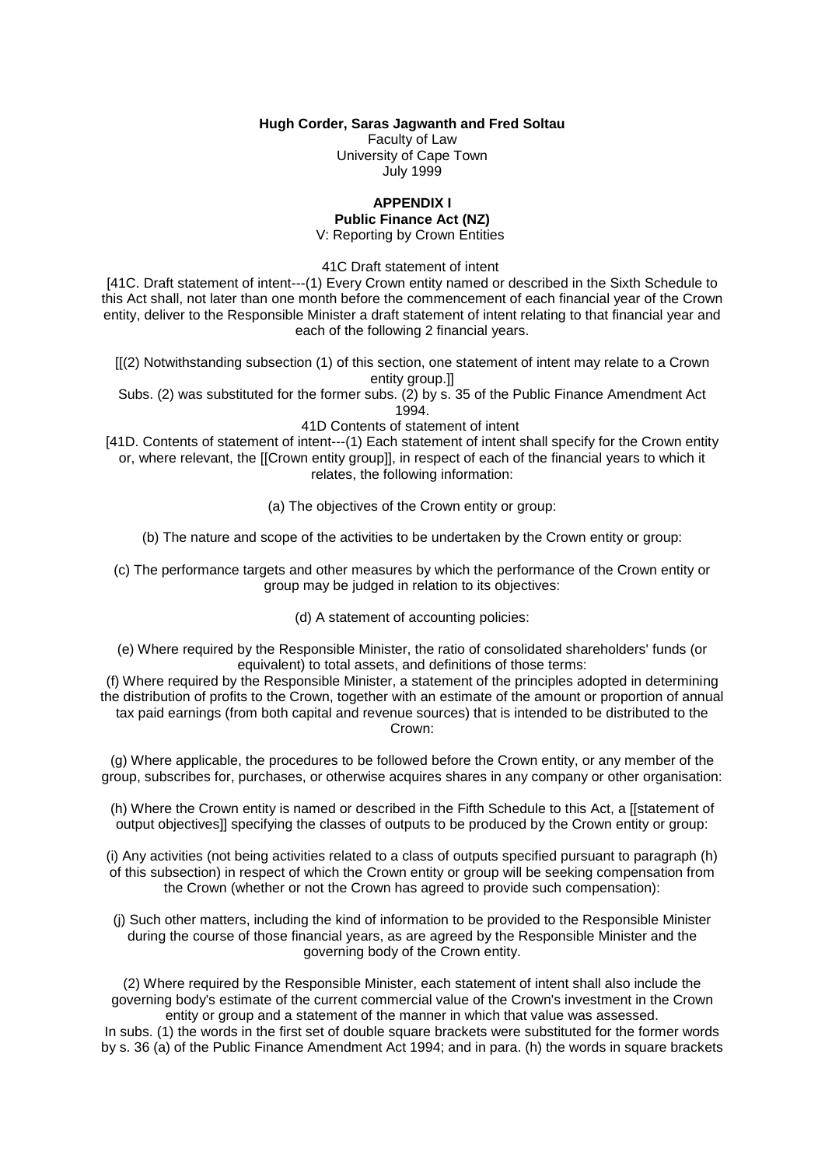**Hugh Corder, Saras Jagwanth and Fred Soltau**

Faculty of Law University of Cape Town July 1999

## **APPENDIX I**

### **Public Finance Act (NZ)** V: Reporting by Crown Entities

41C Draft statement of intent

[41C. Draft statement of intent---(1) Every Crown entity named or described in the Sixth Schedule to this Act shall, not later than one month before the commencement of each financial year of the Crown entity, deliver to the Responsible Minister a draft statement of intent relating to that financial year and each of the following 2 financial years.

[[(2) Notwithstanding subsection (1) of this section, one statement of intent may relate to a Crown entity group.]]

Subs. (2) was substituted for the former subs. (2) by s. 35 of the Public Finance Amendment Act 1994.

41D Contents of statement of intent

[41D. Contents of statement of intent---(1) Each statement of intent shall specify for the Crown entity or, where relevant, the [[Crown entity group]], in respect of each of the financial years to which it relates, the following information:

(a) The objectives of the Crown entity or group:

(b) The nature and scope of the activities to be undertaken by the Crown entity or group:

(c) The performance targets and other measures by which the performance of the Crown entity or group may be judged in relation to its objectives:

(d) A statement of accounting policies:

(e) Where required by the Responsible Minister, the ratio of consolidated shareholders' funds (or equivalent) to total assets, and definitions of those terms:

(f) Where required by the Responsible Minister, a statement of the principles adopted in determining the distribution of profits to the Crown, together with an estimate of the amount or proportion of annual tax paid earnings (from both capital and revenue sources) that is intended to be distributed to the Crown:

(g) Where applicable, the procedures to be followed before the Crown entity, or any member of the group, subscribes for, purchases, or otherwise acquires shares in any company or other organisation:

(h) Where the Crown entity is named or described in the Fifth Schedule to this Act, a [[statement of output objectives]] specifying the classes of outputs to be produced by the Crown entity or group:

(i) Any activities (not being activities related to a class of outputs specified pursuant to paragraph (h) of this subsection) in respect of which the Crown entity or group will be seeking compensation from the Crown (whether or not the Crown has agreed to provide such compensation):

(j) Such other matters, including the kind of information to be provided to the Responsible Minister during the course of those financial years, as are agreed by the Responsible Minister and the governing body of the Crown entity.

(2) Where required by the Responsible Minister, each statement of intent shall also include the governing body's estimate of the current commercial value of the Crown's investment in the Crown entity or group and a statement of the manner in which that value was assessed.

In subs. (1) the words in the first set of double square brackets were substituted for the former words by s. 36 (a) of the Public Finance Amendment Act 1994; and in para. (h) the words in square brackets